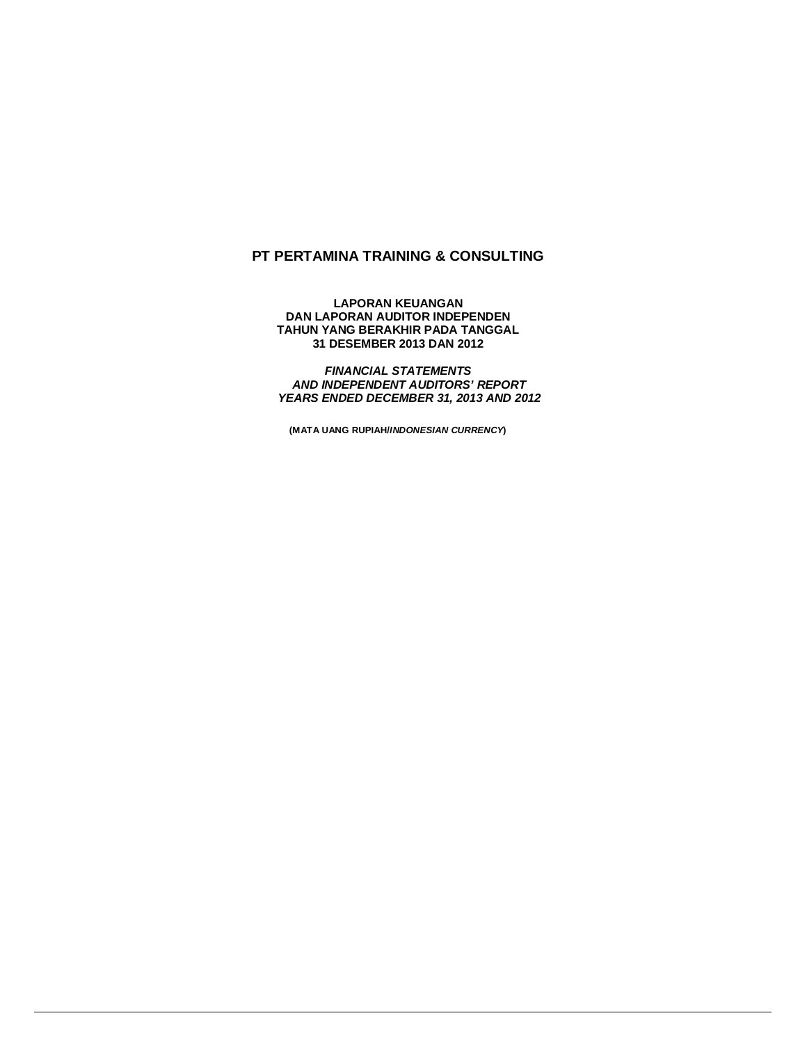## **PT PERTAMINA TRAINING & CONSULTING**

**LAPORAN KEUANGAN DAN LAPORAN AUDITOR INDEPENDEN TAHUN YANG BERAKHIR PADA TANGGAL 31 DESEMBER 2013 DAN 2012**

*FINANCIAL STATEMENTS AND INDEPENDENT AUDITORS' REPORT YEARS ENDED DECEMBER 31, 2013 AND 2012*

**(MATA UANG RUPIAH/***INDONESIAN CURRENCY***)**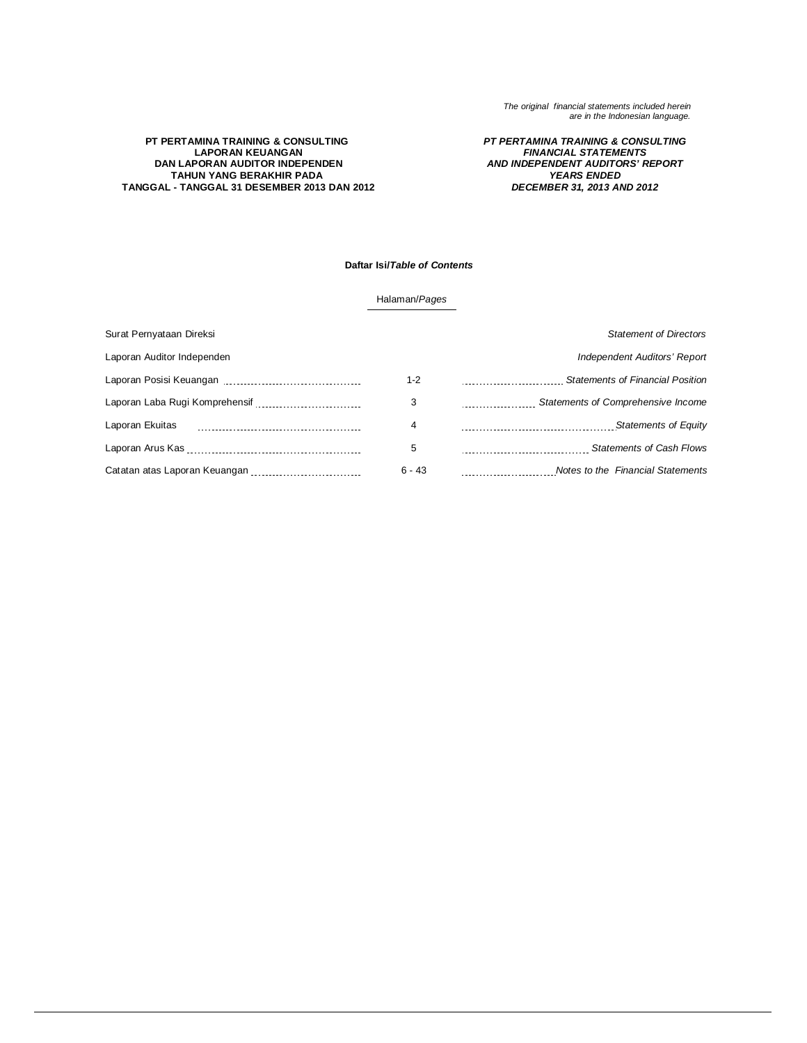### **PT PERTAMINA TRAINING & CONSULTING LAPORAN KEUANGAN DAN LAPORAN AUDITOR INDEPENDEN TAHUN YANG BERAKHIR PADA TANGGAL - TANGGAL 31 DESEMBER 2013 DAN 2012**

### *PT PERTAMINA TRAINING & CONSULTING FINANCIAL STATEMENTS AND INDEPENDENT AUDITORS' REPORT YEARS ENDED DECEMBER 31, 2013 AND 2012*

### **Daftar Isi/***Table of Contents*

### Halaman/*Pages*

| Surat Pernyataan Direksi      |          | <b>Statement of Directors</b>           |
|-------------------------------|----------|-----------------------------------------|
| Laporan Auditor Independen    |          | Independent Auditors' Report            |
|                               | $1 - 2$  | <b>Statements of Financial Position</b> |
|                               | 3        | Statements of Comprehensive Income      |
| Laporan Ekuitas               | 4        | <b>Statements of Equity</b>             |
|                               | 5        | <b>Statements of Cash Flows</b>         |
| Catatan atas Laporan Keuangan | $6 - 43$ | Notes to the Financial Statements       |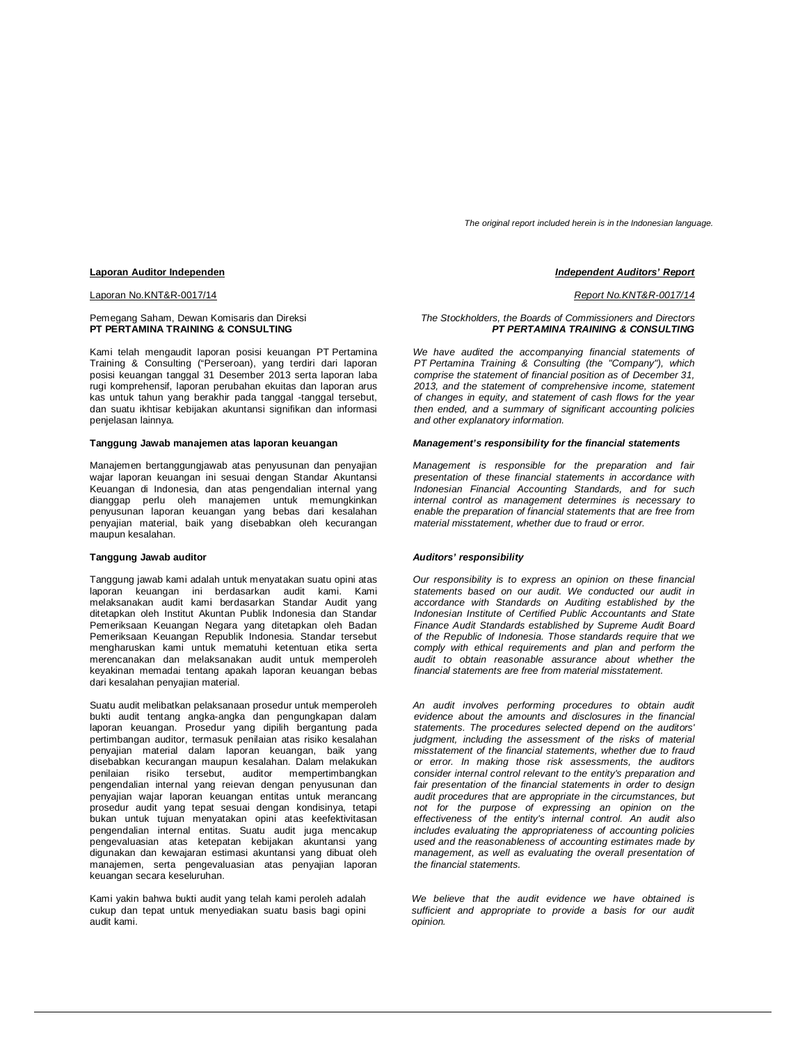*The original report included herein is in the Indonesian language.*

#### **Laporan Auditor Independen** *Independent Auditors' Report*

#### Laporan No.KNT&R-0017/14 *Report No.KNT&R-0017/14*

### Pemegang Saham, Dewan Komisaris dan Direksi **PT PERTAMINA TRAINING & CONSULTING**

Kami telah mengaudit laporan posisi keuangan PT Pertamina Training & Consulting ("Perseroan), yang terdiri dari laporan posisi keuangan tanggal 31 Desember 2013 serta laporan laba rugi komprehensif, laporan perubahan ekuitas dan laporan arus kas untuk tahun yang berakhir pada tanggal -tanggal tersebut, dan suatu ikhtisar kebijakan akuntansi signifikan dan informasi penjelasan lainnya.

### **Tanggung Jawab manajemen atas laporan keuangan**

Manajemen bertanggungjawab atas penyusunan dan penyajian wajar laporan keuangan ini sesuai dengan Standar Akuntansi Keuangan di Indonesia, dan atas pengendalian internal yang dianggap perlu oleh manajemen untuk memungkinkan penyusunan laporan keuangan yang bebas dari kesalahan penyajian material, baik yang disebabkan oleh kecurangan maupun kesalahan.

#### **Tanggung Jawab auditor**

Tanggung jawab kami adalah untuk menyatakan suatu opini atas laporan keuangan ini berdasarkan audit kami. Kami melaksanakan audit kami berdasarkan Standar Audit yang ditetapkan oleh Institut Akuntan Publik Indonesia dan Standar Pemeriksaan Keuangan Negara yang ditetapkan oleh Badan Pemeriksaan Keuangan Republik Indonesia. Standar tersebut mengharuskan kami untuk mematuhi ketentuan etika serta merencanakan dan melaksanakan audit untuk memperoleh keyakinan memadai tentang apakah laporan keuangan bebas dari kesalahan penyajian material.

Suatu audit melibatkan pelaksanaan prosedur untuk memperoleh bukti audit tentang angka-angka dan pengungkapan dalam laporan keuangan. Prosedur yang dipilih bergantung pada pertimbangan auditor, termasuk penilaian atas risiko kesalahan penyajian material dalam laporan keuangan, baik yang disebabkan kecurangan maupun kesalahan. Dalam melakukan penilaian risiko tersebut, auditor mempertimbangkan pengendalian internal yang reievan dengan penyusunan dan penyajian wajar laporan keuangan entitas untuk merancang prosedur audit yang tepat sesuai dengan kondisinya, tetapi bukan untuk tujuan menyatakan opini atas keefektivitasan pengendalian internal entitas. Suatu audit juga mencakup pengevaluasian atas ketepatan kebijakan akuntansi yang digunakan dan kewajaran estimasi akuntansi yang dibuat oleh manajemen, serta pengevaluasian atas penyajian laporan keuangan secara keseluruhan.

Kami yakin bahwa bukti audit yang telah kami peroleh adalah cukup dan tepat untuk menyediakan suatu basis bagi opini audit kami.

### *The Stockholders, the Boards of Commissioners and Directors PT PERTAMINA TRAINING & CONSULTING*

*We have audited the accompanying financial statements of PT Pertamina Training & Consulting (the "Company"), which comprise the statement of financial position as of December 31, 2013, and the statement of comprehensive income, statement of changes in equity, and statement of cash flows for the year then ended, and a summary of significant accounting policies and other explanatory information.*

### *Management's responsibility for the financial statements*

*Management is responsible for the preparation and fair presentation of these financial statements in accordance with Indonesian Financial Accounting Standards, and for such internal control as management determines is necessary to enable the preparation of financial statements that are free from material misstatement, whether due to fraud or error.*

#### *Auditors' responsibility*

*Our responsibility is to express an opinion on these financial statements based on our audit. We conducted our audit in accordance with Standards on Auditing established by the Indonesian Institute of Certified Public Accountants and State Finance Audit Standards established by Supreme Audit Board of the Republic of Indonesia. Those standards require that we comply with ethical requirements and plan and perform the audit to obtain reasonable assurance about whether the financial statements are free from material misstatement.*

*An audit involves performing procedures to obtain audit evidence about the amounts and disclosures in the financial statements. The procedures selected depend on the auditors' judgment, including the assessment of the risks of material misstatement of the financial statements, whether due to fraud or error. In making those risk assessments, the auditors consider internal control relevant to the entity's preparation and fair presentation of the financial statements in order to design audit procedures that are appropriate in the circumstances, but not for the purpose of expressing an opinion on the effectiveness of the entity's internal control. An audit also includes evaluating the appropriateness of accounting policies used and the reasonableness of accounting estimates made by management, as well as evaluating the overall presentation of the financial statements.*

*We believe that the audit evidence we have obtained is sufficient and appropriate to provide a basis for our audit opinion.*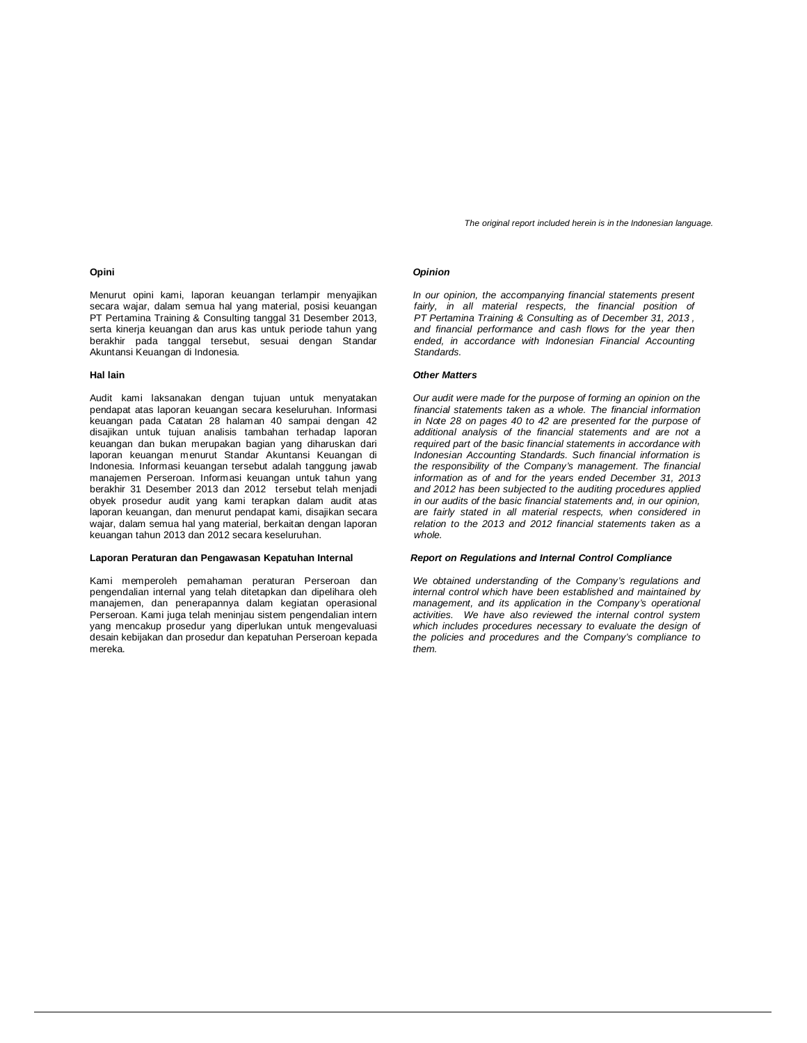### **Opini**

Menurut opini kami, laporan keuangan terlampir menyajikan secara wajar, dalam semua hal yang material, posisi keuangan PT Pertamina Training & Consulting tanggal 31 Desember 2013, serta kinerja keuangan dan arus kas untuk periode tahun yang berakhir pada tanggal tersebut, sesuai dengan Standar Akuntansi Keuangan di Indonesia.

Audit kami laksanakan dengan tujuan untuk menyatakan pendapat atas laporan keuangan secara keseluruhan. Informasi keuangan pada Catatan 28 halaman 40 sampai dengan 42 disajikan untuk tujuan analisis tambahan terhadap laporan keuangan dan bukan merupakan bagian yang diharuskan dari laporan keuangan menurut Standar Akuntansi Keuangan di Indonesia. Informasi keuangan tersebut adalah tanggung jawab manajemen Perseroan. Informasi keuangan untuk tahun yang berakhir 31 Desember 2013 dan 2012 tersebut telah menjadi obyek prosedur audit yang kami terapkan dalam audit atas laporan keuangan, dan menurut pendapat kami, disajikan secara wajar, dalam semua hal yang material, berkaitan dengan laporan keuangan tahun 2013 dan 2012 secara keseluruhan.

### **Laporan Peraturan dan Pengawasan Kepatuhan Internal** *Report on Regulations and Internal Control Compliance*

Kami memperoleh pemahaman peraturan Perseroan dan pengendalian internal yang telah ditetapkan dan dipelihara oleh manajemen, dan penerapannya dalam kegiatan operasional Perseroan. Kami juga telah meninjau sistem pengendalian intern yang mencakup prosedur yang diperlukan untuk mengevaluasi desain kebijakan dan prosedur dan kepatuhan Perseroan kepada mereka.

*The original report included herein is in the Indonesian language.*

### *Opinion*

*In our opinion, the accompanying financial statements present*  fairly, in all material respects, the financial position of *PT Pertamina Training & Consulting as of December 31, 2013 , and financial performance and cash flows for the year then ended, in accordance with Indonesian Financial Accounting Standards.*

### **Hal lain** *Other Matters*

*Our audit were made for the purpose of forming an opinion on the financial statements taken as a whole. The financial information in Note 28 on pages 40 to 42 are presented for the purpose of additional analysis of the financial statements and are not a required part of the basic financial statements in accordance with Indonesian Accounting Standards. Such financial information is the responsibility of the Company's management. The financial information as of and for the years ended December 31, 2013 and 2012 has been subjected to the auditing procedures applied in our audits of the basic financial statements and, in our opinion, are fairly stated in all material respects, when considered in relation to the 2013 and 2012 financial statements taken as a whole.*

*We obtained understanding of the Company's regulations and internal control which have been established and maintained by management, and its application in the Company's operational activities. We have also reviewed the internal control system which includes procedures necessary to evaluate the design of the policies and procedures and the Company's compliance to them.*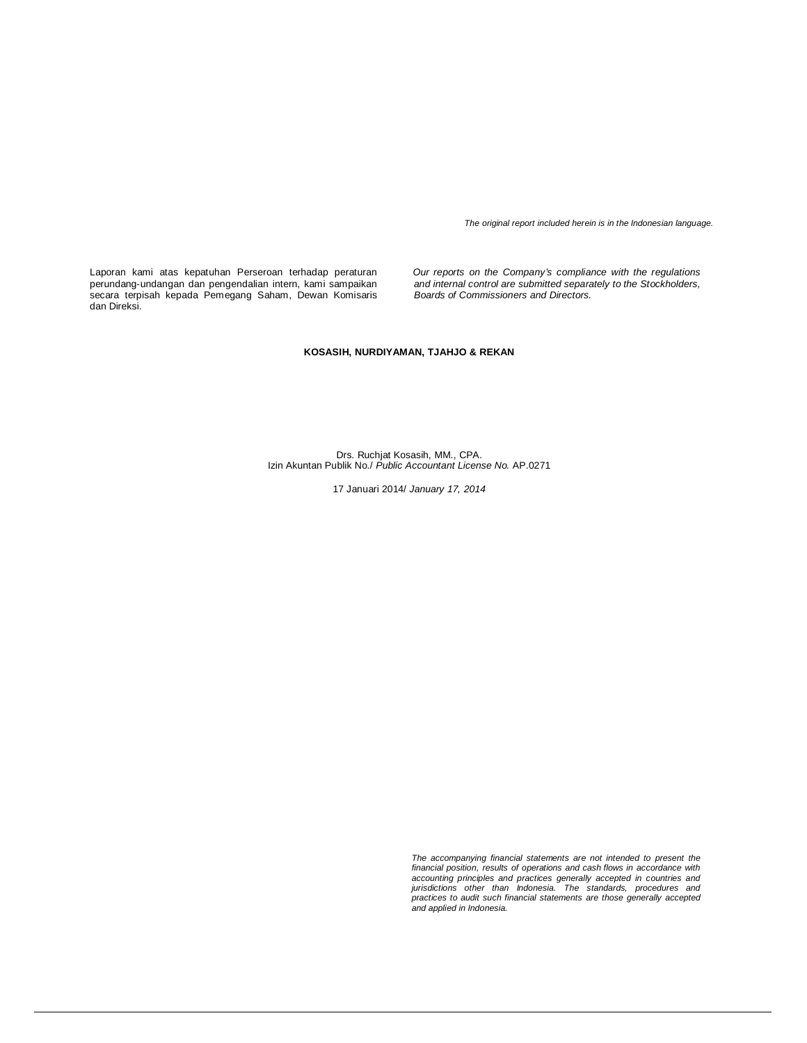*The original report included herein is in the Indonesian language.*

Laporan kami atas kepatuhan Perseroan terhadap peraturan perundang-undangan dan pengendalian intern, kami sampaikan secara terpisah kepada Pemegang Saham, Dewan Komisaris dan Direksi.

*Our reports on the Company's compliance with the regulations and internal control are submitted separately to the Stockholders, Boards of Commissioners and Directors.*

### **KOSASIH, NURDIYAMAN, TJAHJO & REKAN**

Drs. Ruchjat Kosasih, MM., CPA. Izin Akuntan Publik No./ *Public Accountant License No.* AP.0271

17 Januari 2014/ *January 17, 2014*

*The accompanying financial statements are not intended to present the financial position, results of operations and cash flows in accordance with*  accounting principles and practices generally accepted in countries and<br>jurisdictions other than Indonesia. The standards, procedures and<br>practices to audit such financial statements are those generally accepted<br>and applie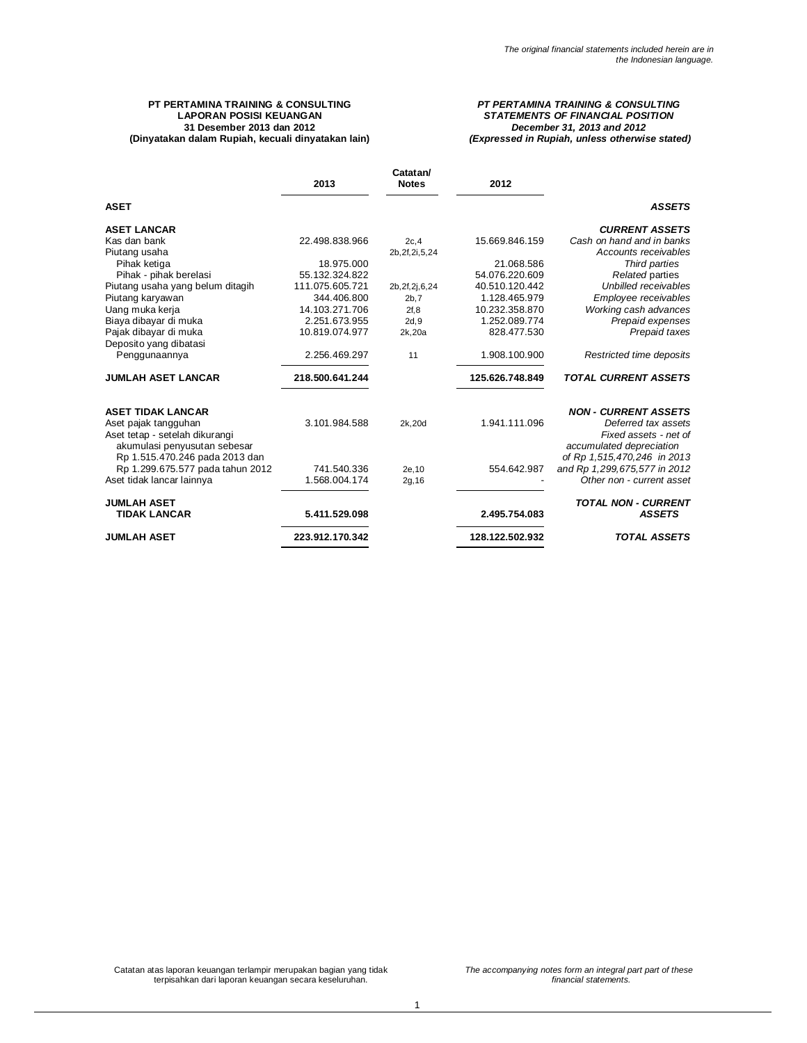### **PT PERTAMINA TRAINING & CONSULTING LAPORAN POSISI KEUANGAN 31 Desember 2013 dan 2012 (Dinyatakan dalam Rupiah, kecuali dinyatakan lain)**

### *PT PERTAMINA TRAINING & CONSULTING STATEMENTS OF FINANCIAL POSITION December 31, 2013 and 2012 (Expressed in Rupiah, unless otherwise stated)*

|                                                                | 2013            | Catatan/<br><b>Notes</b> | 2012            |                                                   |
|----------------------------------------------------------------|-----------------|--------------------------|-----------------|---------------------------------------------------|
| <b>ASET</b>                                                    |                 |                          |                 | <b>ASSETS</b>                                     |
| <b>ASET LANCAR</b>                                             |                 |                          |                 | <b>CURRENT ASSETS</b>                             |
| Kas dan bank                                                   | 22.498.838.966  | 2c, 4                    | 15.669.846.159  | Cash on hand and in banks                         |
| Piutang usaha                                                  |                 | 2b, 2f, 2i, 5, 24        |                 | Accounts receivables                              |
| Pihak ketiga                                                   | 18.975.000      |                          | 21.068.586      | Third parties                                     |
| Pihak - pihak berelasi                                         | 55.132.324.822  |                          | 54.076.220.609  | Related parties                                   |
| Piutang usaha yang belum ditagih                               | 111.075.605.721 | 2b, 2f, 2j, 6, 24        | 40.510.120.442  | Unbilled receivables                              |
| Piutang karyawan                                               | 344.406.800     | 2b,7                     | 1.128.465.979   | Employee receivables                              |
| Uang muka kerja                                                | 14.103.271.706  | 2f, 8                    | 10.232.358.870  | Working cash advances                             |
| Biaya dibayar di muka                                          | 2.251.673.955   | 2d,9                     | 1.252.089.774   | Prepaid expenses                                  |
| Pajak dibayar di muka                                          | 10.819.074.977  | 2k,20a                   | 828.477.530     | Prepaid taxes                                     |
| Deposito yang dibatasi                                         |                 |                          |                 |                                                   |
| Penggunaannya                                                  | 2.256.469.297   | 11                       | 1.908.100.900   | Restricted time deposits                          |
| <b>JUMLAH ASET LANCAR</b>                                      | 218.500.641.244 |                          | 125.626.748.849 | <b>TOTAL CURRENT ASSETS</b>                       |
| <b>ASET TIDAK LANCAR</b>                                       |                 |                          |                 | <b>NON - CURRENT ASSETS</b>                       |
| Aset pajak tangguhan                                           | 3.101.984.588   | 2k, 20d                  | 1.941.111.096   | Deferred tax assets                               |
| Aset tetap - setelah dikurangi<br>akumulasi penyusutan sebesar |                 |                          |                 | Fixed assets - net of<br>accumulated depreciation |
| Rp 1.515.470.246 pada 2013 dan                                 |                 |                          |                 | of Rp 1,515,470,246 in 2013                       |
| Rp 1.299.675.577 pada tahun 2012                               | 741.540.336     | 2e.10                    | 554.642.987     | and Rp 1,299,675,577 in 2012                      |
| Aset tidak lancar lainnya                                      | 1.568.004.174   | 2g, 16                   |                 | Other non - current asset                         |
| <b>JUMLAH ASET</b><br><b>TIDAK LANCAR</b>                      | 5.411.529.098   |                          | 2.495.754.083   | <b>TOTAL NON - CURRENT</b><br><b>ASSETS</b>       |
| <b>JUMLAH ASET</b>                                             | 223.912.170.342 |                          | 128.122.502.932 | <b>TOTAL ASSETS</b>                               |

Catatan atas laporan keuangan terlampir merupakan bagian yang tidak terpisahkan dari laporan keuangan secara keseluruhan.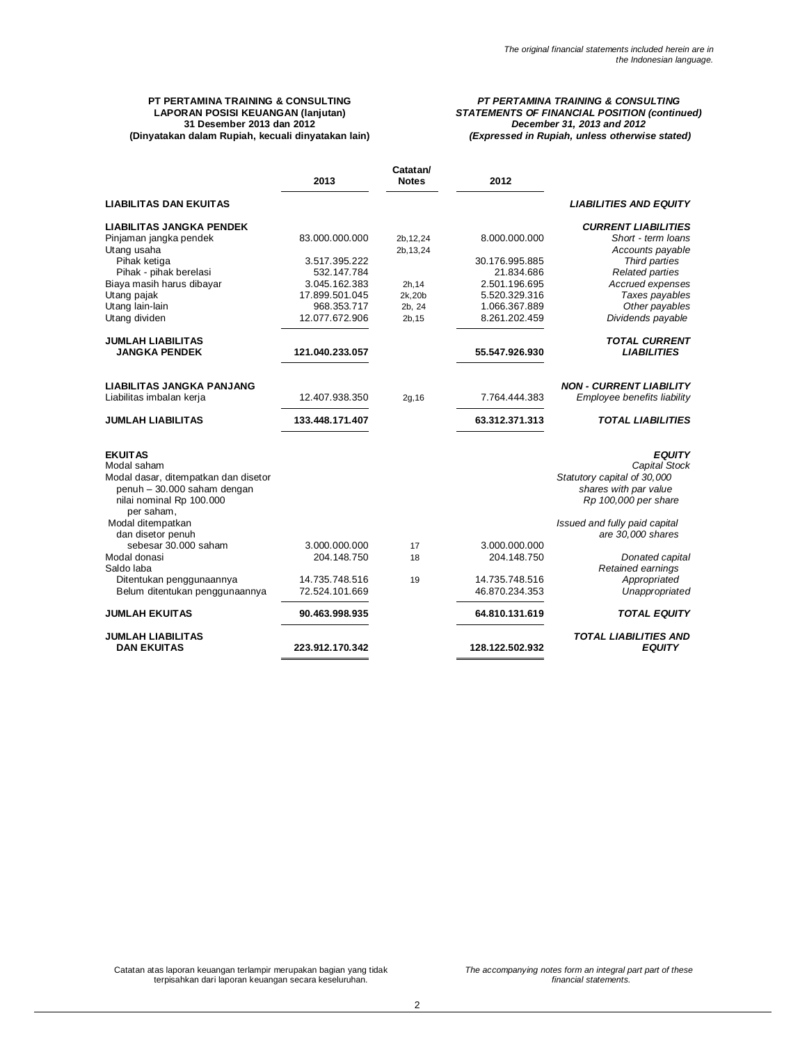### **PT PERTAMINA TRAINING & CONSULTING LAPORAN POSISI KEUANGAN (lanjutan) 31 Desember 2013 dan 2012 (Dinyatakan dalam Rupiah, kecuali dinyatakan lain)**

### *PT PERTAMINA TRAINING & CONSULTING STATEMENTS OF FINANCIAL POSITION (continued) December 31, 2013 and 2012 (Expressed in Rupiah, unless otherwise stated)*

|                                          | 2013                         | Catatan/<br><b>Notes</b> | 2012                        |                                    |
|------------------------------------------|------------------------------|--------------------------|-----------------------------|------------------------------------|
| <b>LIABILITAS DAN EKUITAS</b>            |                              |                          |                             | <b>LIABILITIES AND EQUITY</b>      |
| <b>LIABILITAS JANGKA PENDEK</b>          |                              |                          |                             | <b>CURRENT LIABILITIES</b>         |
| Pinjaman jangka pendek                   | 83.000.000.000               | 2b, 12, 24               | 8.000.000.000               | Short - term loans                 |
| Utang usaha                              |                              | 2b, 13, 24               |                             | Accounts payable                   |
| Pihak ketiga                             | 3.517.395.222                |                          | 30.176.995.885              | Third parties                      |
| Pihak - pihak berelasi                   | 532.147.784<br>3.045.162.383 |                          | 21.834.686<br>2.501.196.695 | <b>Related parties</b>             |
| Biaya masih harus dibayar<br>Utang pajak | 17.899.501.045               | 2h, 14<br>2k,20b         | 5.520.329.316               | Accrued expenses<br>Taxes payables |
| Utang lain-lain                          | 968.353.717                  | 2b, 24                   | 1.066.367.889               | Other payables                     |
| Utang dividen                            | 12.077.672.906               | 2b, 15                   | 8.261.202.459               | Dividends payable                  |
|                                          |                              |                          |                             |                                    |
| <b>JUMLAH LIABILITAS</b>                 |                              |                          |                             | <b>TOTAL CURRENT</b>               |
| <b>JANGKA PENDEK</b>                     | 121.040.233.057              |                          | 55.547.926.930              | <b>LIABILITIES</b>                 |
| <b>LIABILITAS JANGKA PANJANG</b>         |                              |                          |                             | <b>NON - CURRENT LIABILITY</b>     |
| Liabilitas imbalan kerja                 | 12.407.938.350               | 2g, 16                   | 7.764.444.383               | Employee benefits liability        |
| <b>JUMLAH LIABILITAS</b>                 | 133.448.171.407              |                          | 63.312.371.313              | <b>TOTAL LIABILITIES</b>           |
| <b>EKUITAS</b>                           |                              |                          |                             | <b>EQUITY</b>                      |
| Modal saham                              |                              |                          |                             | Capital Stock                      |
| Modal dasar, ditempatkan dan disetor     |                              |                          |                             | Statutory capital of 30,000        |
| penuh - 30.000 saham dengan              |                              |                          |                             | shares with par value              |
| nilai nominal Rp 100.000<br>per saham,   |                              |                          |                             | Rp 100,000 per share               |
| Modal ditempatkan                        |                              |                          |                             | Issued and fully paid capital      |
| dan disetor penuh                        |                              |                          |                             | are 30,000 shares                  |
| sebesar 30.000 saham                     | 3.000.000.000                | 17                       | 3.000.000.000               |                                    |
| Modal donasi                             | 204.148.750                  | 18                       | 204.148.750                 | Donated capital                    |
| Saldo laba                               |                              |                          |                             | Retained earnings                  |
| Ditentukan penggunaannya                 | 14.735.748.516               | 19                       | 14.735.748.516              | Appropriated                       |
| Belum ditentukan penggunaannya           | 72.524.101.669               |                          | 46.870.234.353              | Unappropriated                     |
| <b>JUMLAH EKUITAS</b>                    | 90.463.998.935               |                          | 64.810.131.619              | <b>TOTAL EQUITY</b>                |
| <b>JUMLAH LIABILITAS</b>                 |                              |                          |                             | <b>TOTAL LIABILITIES AND</b>       |
| <b>DAN EKUITAS</b>                       | 223.912.170.342              |                          | 128.122.502.932             | <b>EQUITY</b>                      |

Catatan atas laporan keuangan terlampir merupakan bagian yang tidak terpisahkan dari laporan keuangan secara keseluruhan.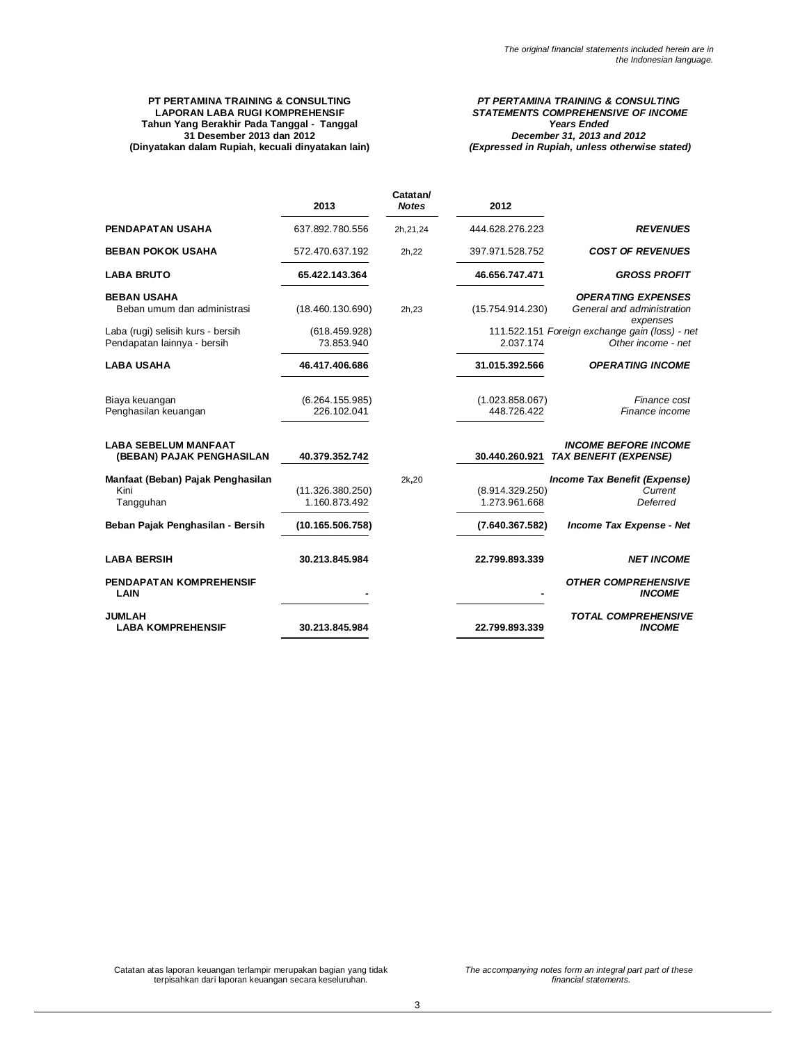### **PT PERTAMINA TRAINING & CONSULTING LAPORAN LABA RUGI KOMPREHENSIF Tahun Yang Berakhir Pada Tanggal - Tanggal 31 Desember 2013 dan 2012 (Dinyatakan dalam Rupiah, kecuali dinyatakan lain)**

### *PT PERTAMINA TRAINING & CONSULTING STATEMENTS COMPREHENSIVE OF INCOME Years Ended December 31, 2013 and 2012 (Expressed in Rupiah, unless otherwise stated)*

|                                                                  | 2013                              | Catatan/<br><b>Notes</b> | 2012                             |                                                                      |
|------------------------------------------------------------------|-----------------------------------|--------------------------|----------------------------------|----------------------------------------------------------------------|
| PENDAPATAN USAHA                                                 | 637.892.780.556                   | 2h, 21, 24               | 444.628.276.223                  | <b>REVENUES</b>                                                      |
| <b>BEBAN POKOK USAHA</b>                                         | 572.470.637.192                   | 2h, 22                   | 397.971.528.752                  | <b>COST OF REVENUES</b>                                              |
| <b>LABA BRUTO</b>                                                | 65.422.143.364                    |                          | 46.656.747.471                   | <b>GROSS PROFIT</b>                                                  |
| <b>BEBAN USAHA</b><br>Beban umum dan administrasi                | (18.460.130.690)                  | 2h.23                    | (15.754.914.230)                 | <b>OPERATING EXPENSES</b><br>General and administration<br>expenses  |
| Laba (rugi) selisih kurs - bersih<br>Pendapatan lainnya - bersih | (618.459.928)<br>73.853.940       |                          | 2.037.174                        | 111.522.151 Foreign exchange gain (loss) - net<br>Other income - net |
| <b>LABA USAHA</b>                                                | 46.417.406.686                    |                          | 31.015.392.566                   | <b>OPERATING INCOME</b>                                              |
| Biaya keuangan<br>Penghasilan keuangan                           | (6.264.155.985)<br>226.102.041    |                          | (1.023.858.067)<br>448.726.422   | Finance cost<br>Finance income                                       |
| <b>LABA SEBELUM MANFAAT</b><br>(BEBAN) PAJAK PENGHASILAN         | 40.379.352.742                    |                          | 30.440.260.921                   | <b>INCOME BEFORE INCOME</b><br><b>TAX BENEFIT (EXPENSE)</b>          |
| Manfaat (Beban) Pajak Penghasilan<br>Kini<br>Tangguhan           | (11.326.380.250)<br>1.160.873.492 | 2k,20                    | (8.914.329.250)<br>1.273.961.668 | Income Tax Benefit (Expense)<br>Current<br>Deferred                  |
| Beban Pajak Penghasilan - Bersih                                 | (10.165.506.758)                  |                          | (7.640.367.582)                  | Income Tax Expense - Net                                             |
| <b>LABA BERSIH</b>                                               | 30.213.845.984                    |                          | 22.799.893.339                   | <b>NET INCOME</b>                                                    |
| PENDAPATAN KOMPREHENSIF<br>LAIN                                  |                                   |                          |                                  | <b>OTHER COMPREHENSIVE</b><br><b>INCOME</b>                          |
| <b>JUMLAH</b><br><b>LABA KOMPREHENSIF</b>                        | 30.213.845.984                    |                          | 22.799.893.339                   | <b>TOTAL COMPREHENSIVE</b><br><b>INCOME</b>                          |

Catatan atas laporan keuangan terlampir merupakan bagian yang tidak terpisahkan dari laporan keuangan secara keseluruhan.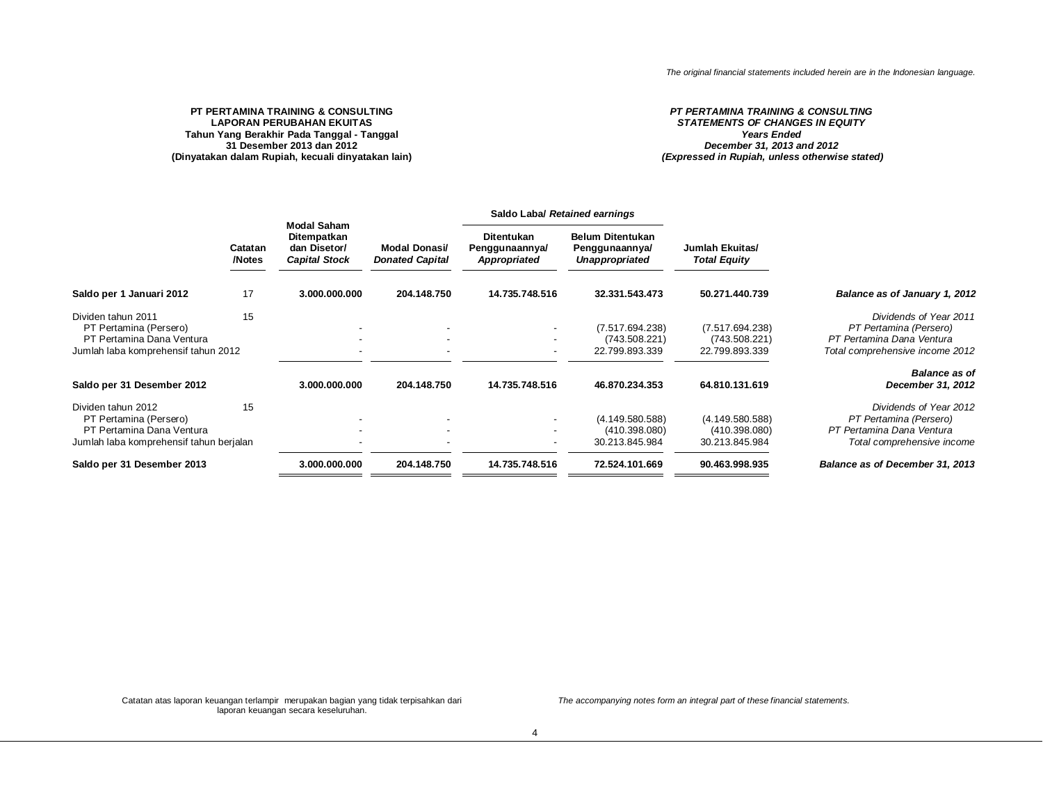### **PT PERTAMINA TRAINING & CONSULTING LAPORAN PERUBAHAN EKUITAS Tahun Yang Berakhir Pada Tanggal - Tanggal 31 Desember 2013 dan 2012 (Dinyatakan dalam Rupiah, kecuali dinyatakan lain)**

### *PT PERTAMINA TRAINING & CONSULTING STATEMENTS OF CHANGES IN EQUITY Years Ended December 31, 2013 and 2012 (Expressed in Rupiah, unless otherwise stated)*

|                                                                                                                      |                   | <b>Modal Saham</b>                                  |                                                |                                              | Saldo Laba/ Retained earnings                                      |                                                    |                                                                                                                  |
|----------------------------------------------------------------------------------------------------------------------|-------------------|-----------------------------------------------------|------------------------------------------------|----------------------------------------------|--------------------------------------------------------------------|----------------------------------------------------|------------------------------------------------------------------------------------------------------------------|
|                                                                                                                      | Catatan<br>/Notes | Ditempatkan<br>dan Disetor/<br><b>Capital Stock</b> | <b>Modal Donasi/</b><br><b>Donated Capital</b> | Ditentukan<br>Penggunaannya/<br>Appropriated | <b>Belum Ditentukan</b><br>Penggunaannya/<br><b>Unappropriated</b> | Jumlah Ekuitas/<br><b>Total Equity</b>             |                                                                                                                  |
| Saldo per 1 Januari 2012                                                                                             | 17                | 3.000.000.000                                       | 204.148.750                                    | 14.735.748.516                               | 32.331.543.473                                                     | 50.271.440.739                                     | Balance as of January 1, 2012                                                                                    |
| Dividen tahun 2011<br>PT Pertamina (Persero)<br>PT Pertamina Dana Ventura<br>Jumlah laba komprehensif tahun 2012     | 15                |                                                     | $\overline{\phantom{a}}$                       |                                              | (7.517.694.238)<br>(743.508.221)<br>22.799.893.339                 | (7.517.694.238)<br>(743.508.221)<br>22.799.893.339 | Dividends of Year 2011<br>PT Pertamina (Persero)<br>PT Pertamina Dana Ventura<br>Total comprehensive income 2012 |
| Saldo per 31 Desember 2012                                                                                           |                   | 3.000.000.000                                       | 204.148.750                                    | 14.735.748.516                               | 46.870.234.353                                                     | 64.810.131.619                                     | <b>Balance as of</b><br>December 31, 2012                                                                        |
| Dividen tahun 2012<br>PT Pertamina (Persero)<br>PT Pertamina Dana Ventura<br>Jumlah laba komprehensif tahun berjalan | 15                |                                                     |                                                |                                              | (4.149.580.588)<br>(410.398.080)<br>30.213.845.984                 | (4.149.580.588)<br>(410.398.080)<br>30.213.845.984 | Dividends of Year 2012<br>PT Pertamina (Persero)<br>PT Pertamina Dana Ventura<br>Total comprehensive income      |
| Saldo per 31 Desember 2013                                                                                           |                   | 3.000.000.000                                       | 204.148.750                                    | 14.735.748.516                               | 72.524.101.669                                                     | 90.463.998.935                                     | Balance as of December 31, 2013                                                                                  |
|                                                                                                                      |                   |                                                     |                                                |                                              |                                                                    |                                                    |                                                                                                                  |

Catatan atas laporan keuangan terlampir merupakan bagian yang tidak terpisahkan dari laporan keuangan secara keseluruhan.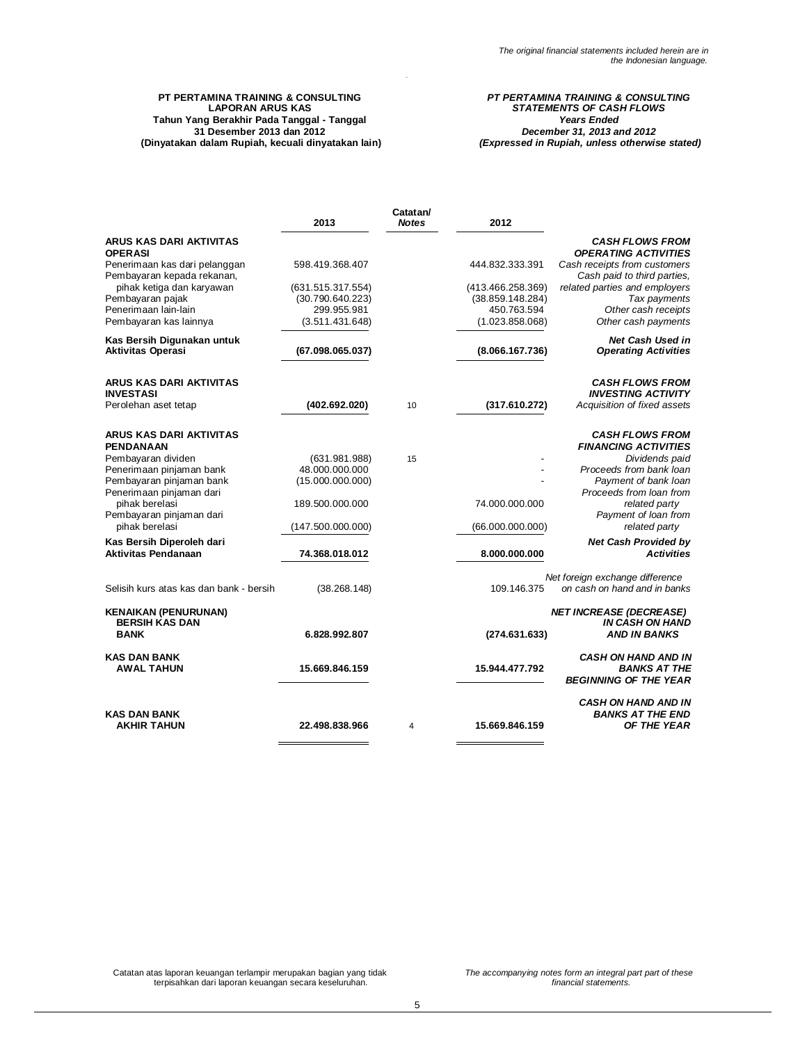### **PT PERTAMINA TRAINING & CONSULTING LAPORAN ARUS KAS Tahun Yang Berakhir Pada Tanggal - Tanggal 31 Desember 2013 dan 2012 (Dinyatakan dalam Rupiah, kecuali dinyatakan lain)**

### *PT PERTAMINA TRAINING & CONSULTING STATEMENTS OF CASH FLOWS Years Ended December 31, 2013 and 2012 (Expressed in Rupiah, unless otherwise stated)*

|                                                             | 2013                            | Catatan/<br><b>Notes</b> | 2012                           |                                                                 |
|-------------------------------------------------------------|---------------------------------|--------------------------|--------------------------------|-----------------------------------------------------------------|
| ARUS KAS DARI AKTIVITAS<br><b>OPERASI</b>                   |                                 |                          |                                | <b>CASH FLOWS FROM</b><br><b>OPERATING ACTIVITIES</b>           |
| Penerimaan kas dari pelanggan<br>Pembayaran kepada rekanan, | 598.419.368.407                 |                          | 444.832.333.391                | Cash receipts from customers<br>Cash paid to third parties,     |
| pihak ketiga dan karyawan                                   | (631.515.317.554)               |                          | (413.466.258.369)              | related parties and employers                                   |
| Pembayaran pajak                                            | (30.790.640.223)                |                          | (38.859.148.284)               | Tax payments                                                    |
| Penerimaan lain-lain<br>Pembayaran kas lainnya              | 299.955.981<br>(3.511.431.648)  |                          | 450.763.594<br>(1.023.858.068) | Other cash receipts<br>Other cash payments                      |
| Kas Bersih Digunakan untuk<br><b>Aktivitas Operasi</b>      | (67.098.065.037)                |                          | (8.066.167.736)                | Net Cash Used in<br><b>Operating Activities</b>                 |
|                                                             |                                 |                          |                                |                                                                 |
| <b>ARUS KAS DARI AKTIVITAS</b><br><b>INVESTASI</b>          |                                 |                          |                                | <b>CASH FLOWS FROM</b><br><b>INVESTING ACTIVITY</b>             |
| Perolehan aset tetap                                        | (402.692.020)                   | 10                       | (317.610.272)                  | Acquisition of fixed assets                                     |
| ARUS KAS DARI AKTIVITAS                                     |                                 |                          |                                | <b>CASH FLOWS FROM</b>                                          |
| <b>PENDANAAN</b>                                            |                                 |                          |                                | <b>FINANCING ACTIVITIES</b>                                     |
| Pembayaran dividen<br>Penerimaan pinjaman bank              | (631.981.988)<br>48.000.000.000 | 15                       |                                | Dividends paid<br>Proceeds from bank loan                       |
| Pembayaran pinjaman bank                                    | (15.000.000.000)                |                          |                                | Payment of bank loan                                            |
| Penerimaan pinjaman dari                                    |                                 |                          |                                | Proceeds from loan from                                         |
| pihak berelasi                                              | 189.500.000.000                 |                          | 74.000.000.000                 | related party                                                   |
| Pembayaran pinjaman dari<br>pihak berelasi                  | (147.500.000.000)               |                          | (66.000.000.000)               | Payment of loan from<br>related party                           |
| Kas Bersih Diperoleh dari                                   |                                 |                          |                                | <b>Net Cash Provided by</b>                                     |
| <b>Aktivitas Pendanaan</b>                                  | 74.368.018.012                  |                          | 8.000.000.000                  | <b>Activities</b>                                               |
| Selisih kurs atas kas dan bank - bersih                     | (38.268.148)                    |                          | 109.146.375                    | Net foreign exchange difference<br>on cash on hand and in banks |
| <b>KENAIKAN (PENURUNAN)</b><br><b>BERSIH KAS DAN</b>        |                                 |                          |                                | <b>NET INCREASE (DECREASE)</b><br><b>IN CASH ON HAND</b>        |
| <b>BANK</b>                                                 | 6.828.992.807                   |                          | (274.631.633)                  | <b>AND IN BANKS</b>                                             |
| <b>KAS DAN BANK</b>                                         |                                 |                          |                                | <b>CASH ON HAND AND IN</b>                                      |
| <b>AWAL TAHUN</b>                                           | 15.669.846.159                  |                          | 15.944.477.792                 | <b>BANKS AT THE</b><br><b>BEGINNING OF THE YEAR</b>             |
|                                                             |                                 |                          |                                | <b>CASH ON HAND AND IN</b>                                      |
| <b>KAS DAN BANK</b><br><b>AKHIR TAHUN</b>                   | 22.498.838.966                  | 4                        | 15.669.846.159                 | <b>BANKS AT THE END</b><br><b>OF THE YEAR</b>                   |
|                                                             |                                 |                          |                                |                                                                 |

Catatan atas laporan keuangan terlampir merupakan bagian yang tidak terpisahkan dari laporan keuangan secara keseluruhan.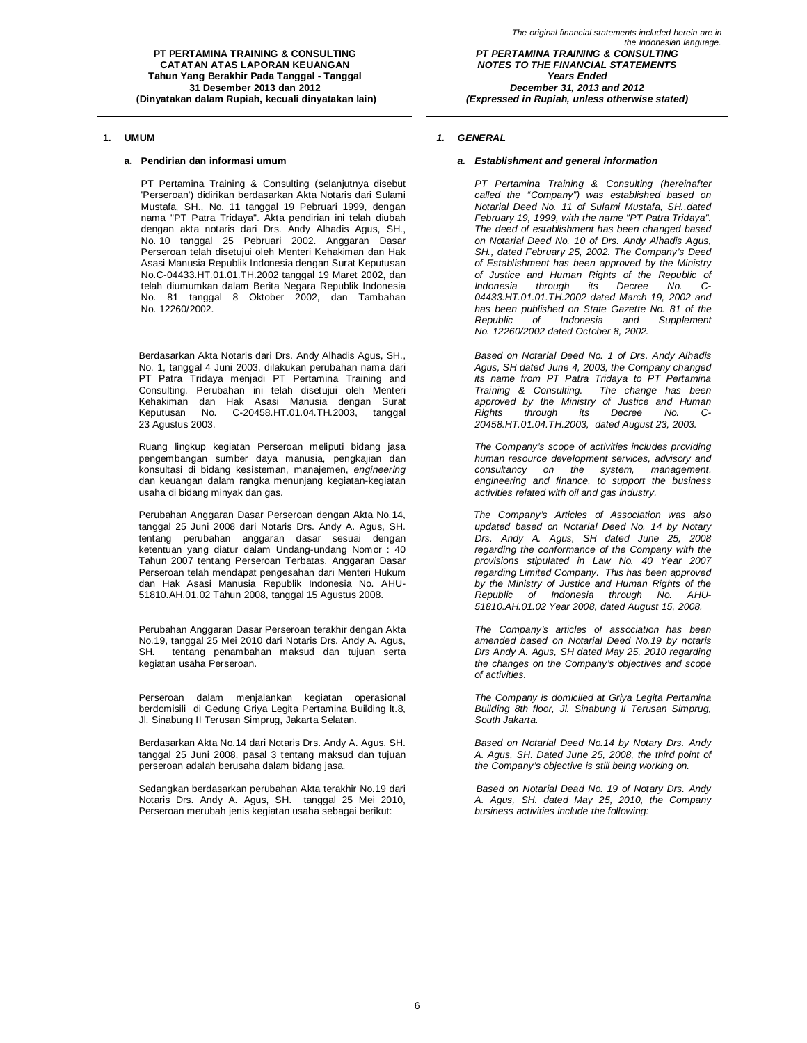PT Pertamina Training & Consulting (selanjutnya disebut 'Perseroan') didirikan berdasarkan Akta Notaris dari Sulami Mustafa, SH., No. 11 tanggal 19 Pebruari 1999, dengan nama "PT Patra Tridaya". Akta pendirian ini telah diubah dengan akta notaris dari Drs. Andy Alhadis Agus, SH., No. 10 tanggal 25 Pebruari 2002. Anggaran Dasar Perseroan telah disetujui oleh Menteri Kehakiman dan Hak Asasi Manusia Republik Indonesia dengan Surat Keputusan No.C-04433.HT.01.01.TH.2002 tanggal 19 Maret 2002, dan telah diumumkan dalam Berita Negara Republik Indonesia No. 81 tanggal 8 Oktober 2002, dan Tambahan No. 12260/2002.

Berdasarkan Akta Notaris dari Drs. Andy Alhadis Agus, SH., No. 1, tanggal 4 Juni 2003, dilakukan perubahan nama dari PT Patra Tridaya menjadi PT Pertamina Training and Consulting. Perubahan ini telah disetujui oleh Menteri Kehakiman dan Hak Asasi Manusia dengan Surat Keputusan No. C-20458.HT.01.04.TH.2003, tanggal 23 Agustus 2003.

Ruang lingkup kegiatan Perseroan meliputi bidang jasa pengembangan sumber daya manusia, pengkajian dan konsultasi di bidang kesisteman, manajemen, *engineering* dan keuangan dalam rangka menunjang kegiatan-kegiatan usaha di bidang minyak dan gas.

Perubahan Anggaran Dasar Perseroan dengan Akta No.14, tanggal 25 Juni 2008 dari Notaris Drs. Andy A. Agus, SH. tentang perubahan anggaran dasar sesuai dengan ketentuan yang diatur dalam Undang-undang Nomor : 40 Tahun 2007 tentang Perseroan Terbatas. Anggaran Dasar Perseroan telah mendapat pengesahan dari Menteri Hukum dan Hak Asasi Manusia Republik Indonesia No. AHU-51810.AH.01.02 Tahun 2008, tanggal 15 Agustus 2008.

Perubahan Anggaran Dasar Perseroan terakhir dengan Akta No.19, tanggal 25 Mei 2010 dari Notaris Drs. Andy A. Agus, SH. tentang penambahan maksud dan tujuan serta kegiatan usaha Perseroan.

Perseroan dalam menjalankan kegiatan operasional berdomisili di Gedung Griya Legita Pertamina Building lt.8, Jl. Sinabung II Terusan Simprug, Jakarta Selatan.

Berdasarkan Akta No.14 dari Notaris Drs. Andy A. Agus, SH. tanggal 25 Juni 2008, pasal 3 tentang maksud dan tujuan perseroan adalah berusaha dalam bidang jasa.

Sedangkan berdasarkan perubahan Akta terakhir No.19 dari Notaris Drs. Andy A. Agus, SH. tanggal 25 Mei 2010, Perseroan merubah jenis kegiatan usaha sebagai berikut:

### **1. UMUM** *1. GENERAL*

### **a. Pendirian dan informasi umum** *a. Establishment and general information*

*PT Pertamina Training & Consulting (hereinafter called the "Company") was established based on Notarial Deed No. 11 of Sulami Mustafa, SH.,dated February 19, 1999, with the name "PT Patra Tridaya". The deed of establishment has been changed based on Notarial Deed No. 10 of Drs. Andy Alhadis Agus, SH., dated February 25, 2002. The Company's Deed of Establishment has been approved by the Ministry of Justice and Human Rights of the Republic of its* Decree *04433.HT.01.01.TH.2002 dated March 19, 2002 and has been published on State Gazette No. 81 of the Republic of Indonesia and Supplement No. 12260/2002 dated October 8, 2002.*

*Based on Notarial Deed No. 1 of Drs. Andy Alhadis Agus, SH dated June 4, 2003, the Company changed its name from PT Patra Tridaya to PT Pertamina Training & Consulting. The change has been approved by the Ministry of Justice and Human Rights through its Decree No. C-20458.HT.01.04.TH.2003, dated August 23, 2003.*

*The Company's scope of activities includes providing human resource development services, advisory and consultancy on the system, management, engineering and finance, to support the business activities related with oil and gas industry.*

*The Company's Articles of Association was also updated based on Notarial Deed No. 14 by Notary Drs. Andy A. Agus, SH dated June 25, 2008 regarding the conformance of the Company with the provisions stipulated in Law No. 40 Year 2007 regarding Limited Company. This has been approved by the Ministry of Justice and Human Rights of the Republic of Indonesia through No. AHU-51810.AH.01.02 Year 2008, dated August 15, 2008.*

*The Company's articles of association has been amended based on Notarial Deed No.19 by notaris Drs Andy A. Agus, SH dated May 25, 2010 regarding the changes on the Company's objectives and scope of activities.*

*The Company is domiciled at Griya Legita Pertamina Building 8th floor, Jl. Sinabung II Terusan Simprug, South Jakarta.*

*Based on Notarial Deed No.14 by Notary Drs. Andy A. Agus, SH. Dated June 25, 2008, the third point of the Company's objective is still being working on.*

*Based on Notarial Dead No. 19 of Notary Drs. Andy A. Agus, SH. dated May 25, 2010, the Company business activities include the following:*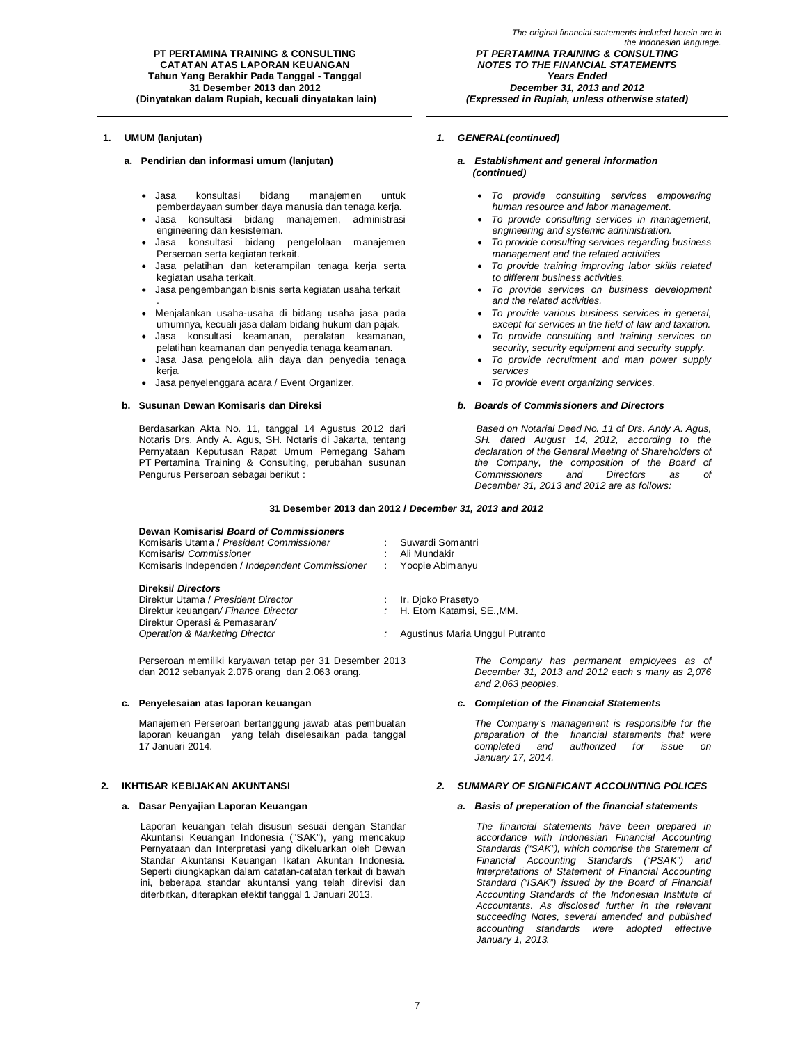*The original financial statements included herein are in the Indonesian language. PT PERTAMINA TRAINING & CONSULTING NOTES TO THE FINANCIAL STATEMENTS Years Ended December 31, 2013 and 2012 (Expressed in Rupiah, unless otherwise stated)*

### **a. Pendirian dan informasi umum (lanjutan)** *a. Establishment and general information*

- Jasa konsultasi bidang manajemen untuk pemberdayaan sumber daya manusia dan tenaga kerja.
- Jasa konsultasi bidang manajemen, administrasi engineering dan kesisteman.
- Jasa konsultasi bidang pengelolaan manajemen Perseroan serta kegiatan terkait.
- Jasa pelatihan dan keterampilan tenaga kerja serta kegiatan usaha terkait.
- Jasa pengembangan bisnis serta kegiatan usaha terkait
- . Menjalankan usaha-usaha di bidang usaha jasa pada umumnya, kecuali jasa dalam bidang hukum dan pajak.
- Jasa konsultasi keamanan, peralatan keamanan, pelatihan keamanan dan penyedia tenaga keamanan.
- Jasa Jasa pengelola alih daya dan penyedia tenaga kerja.
- Jasa penyelenggara acara / Event Organizer.

Berdasarkan Akta No. 11, tanggal 14 Agustus 2012 dari Notaris Drs. Andy A. Agus, SH. Notaris di Jakarta, tentang Pernyataan Keputusan Rapat Umum Pemegang Saham PT Pertamina Training & Consulting, perubahan susunan Pengurus Perseroan sebagai berikut :

### **1. UMUM (lanjutan)** *1. GENERAL(continued)*

# *(continued)*

- *To provide consulting services empowering human resource and labor management.*
- *To provide consulting services in management, engineering and systemic administration.*
- *To provide consulting services regarding business management and the related activities*
- *To provide training improving labor skills related to different business activities.*
- *To provide services on business development and the related activities.*
- *To provide various business services in general, except for services in the field of law and taxation.*
- *To provide consulting and training services on security, security equipment and security supply.*
- *To provide recruitment and man power supply services*
- *To provide event organizing services.*

### **b. Susunan Dewan Komisaris dan Direksi** *b. Boards of Commissioners and Directors*

*Based on Notarial Deed No. 11 of Drs. Andy A. Agus, SH. dated August 14, 2012, according to the declaration of the General Meeting of Shareholders of the Company, the composition of the Board of Commissioners and Directors as of December 31, 2013 and 2012 are as follows:*

### **31 Desember 2013 dan 2012 /** *December 31, 2013 and 2012*

#### **Dewan Komisaris/** *Board of Commissioners*

Komisaris Utama / *President Commissioner* : Suwardi Somantri Komisaris/ *Commissioner* Komisaris Independen / *Independent Commissioner* : Yoopie Abimanyu

#### **Direksi/** *Directors*

Direktur Utama / *President Director* : Ir. Djoko Prasetyo Direktur keuangan/ Finance Director Direktur Operasi & Pemasaran*/*

Perseroan memiliki karyawan tetap per 31 Desember 2013 dan 2012 sebanyak 2.076 orang dan 2.063 orang.

Manajemen Perseroan bertanggung jawab atas pembuatan laporan keuangan yang telah diselesaikan pada tanggal 17 Januari 2014.

Laporan keuangan telah disusun sesuai dengan Standar Akuntansi Keuangan Indonesia ("SAK"), yang mencakup Pernyataan dan Interpretasi yang dikeluarkan oleh Dewan Standar Akuntansi Keuangan Ikatan Akuntan Indonesia. Seperti diungkapkan dalam catatan-catatan terkait di bawah ini, beberapa standar akuntansi yang telah direvisi dan diterbitkan, diterapkan efektif tanggal 1 Januari 2013.

*Operation & Marketing Director :* Agustinus Maria Unggul Putranto

*The Company has permanent employees as of December 31, 2013 and 2012 each s many as 2,076 and 2,063 peoples.*

### **c. Penyelesaian atas laporan keuangan** *c. Completion of the Financial Statements*

*The Company's management is responsible for the preparation of the financial statements that were completed and authorized for issue on January 17, 2014.*

### **2. IKHTISAR KEBIJAKAN AKUNTANSI** *2. SUMMARY OF SIGNIFICANT ACCOUNTING POLICES*

### **a. Dasar Penyajian Laporan Keuangan** *a. Basis of preperation of the financial statements*

*The financial statements have been prepared in accordance with Indonesian Financial Accounting Standards ("SAK"), which comprise the Statement of Financial Accounting Standards ("PSAK") and Interpretations of Statement of Financial Accounting Standard ("ISAK") issued by the Board of Financial Accounting Standards of the Indonesian Institute of Accountants. As disclosed further in the relevant succeeding Notes, several amended and published accounting standards were adopted effective January 1, 2013.*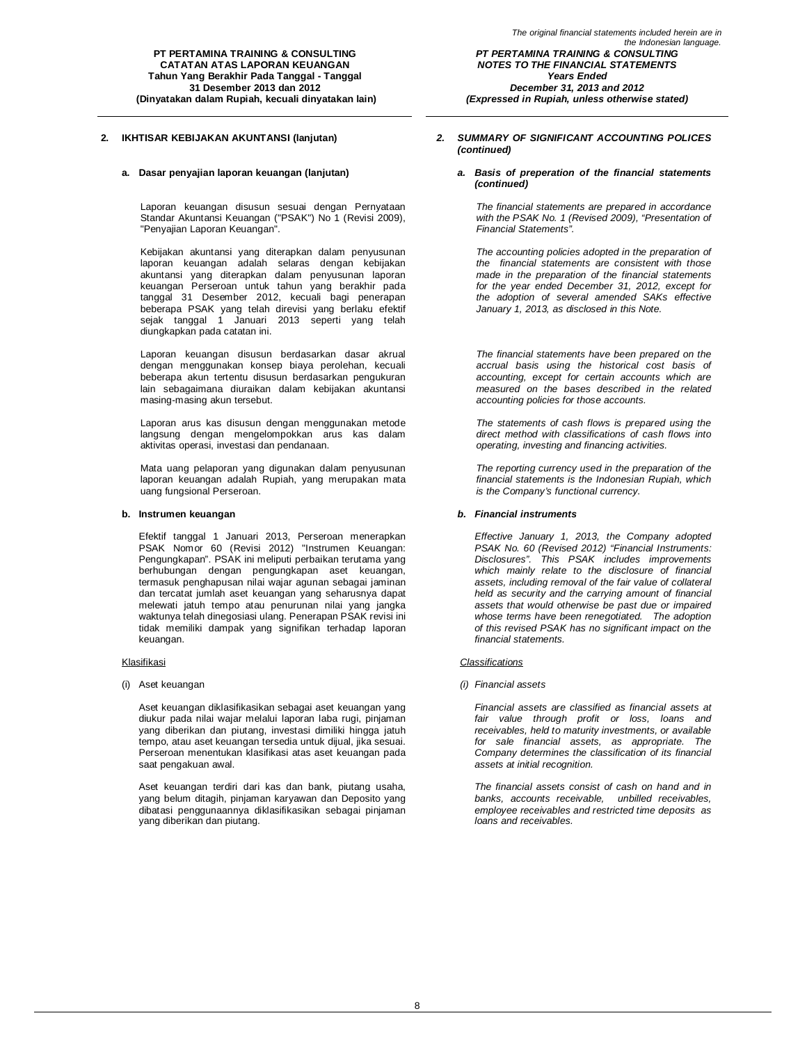Laporan keuangan disusun sesuai dengan Pernyataan Standar Akuntansi Keuangan ("PSAK") No 1 (Revisi 2009), "Penyajian Laporan Keuangan".

Kebijakan akuntansi yang diterapkan dalam penyusunan laporan keuangan adalah selaras dengan kebijakan akuntansi yang diterapkan dalam penyusunan laporan keuangan Perseroan untuk tahun yang berakhir pada tanggal 31 Desember 2012, kecuali bagi penerapan beberapa PSAK yang telah direvisi yang berlaku efektif sejak tanggal 1 Januari 2013 seperti yang telah diungkapkan pada catatan ini.

Laporan keuangan disusun berdasarkan dasar akrual dengan menggunakan konsep biaya perolehan, kecuali beberapa akun tertentu disusun berdasarkan pengukuran lain sebagaimana diuraikan dalam kebijakan akuntansi masing-masing akun tersebut.

Laporan arus kas disusun dengan menggunakan metode langsung dengan mengelompokkan arus kas dalam aktivitas operasi, investasi dan pendanaan.

Mata uang pelaporan yang digunakan dalam penyusunan laporan keuangan adalah Rupiah, yang merupakan mata uang fungsional Perseroan.

Efektif tanggal 1 Januari 2013, Perseroan menerapkan PSAK Nomor 60 (Revisi 2012) "Instrumen Keuangan: Pengungkapan". PSAK ini meliputi perbaikan terutama yang berhubungan dengan pengungkapan aset keuangan, termasuk penghapusan nilai wajar agunan sebagai jaminan dan tercatat jumlah aset keuangan yang seharusnya dapat melewati jatuh tempo atau penurunan nilai yang jangka waktunya telah dinegosiasi ulang. Penerapan PSAK revisi ini tidak memiliki dampak yang signifikan terhadap laporan keuangan.

Aset keuangan diklasifikasikan sebagai aset keuangan yang diukur pada nilai wajar melalui laporan laba rugi, pinjaman yang diberikan dan piutang, investasi dimiliki hingga jatuh tempo, atau aset keuangan tersedia untuk dijual, jika sesuai. Perseroan menentukan klasifikasi atas aset keuangan pada saat pengakuan awal.

Aset keuangan terdiri dari kas dan bank, piutang usaha, yang belum ditagih, pinjaman karyawan dan Deposito yang dibatasi penggunaannya diklasifikasikan sebagai pinjaman yang diberikan dan piutang.

### **2. IKHTISAR KEBIJAKAN AKUNTANSI (lanjutan)** *2. SUMMARY OF SIGNIFICANT ACCOUNTING POLICES (continued)*

*(Expressed in Rupiah, unless otherwise stated)*

#### **a. Dasar penyajian laporan keuangan (lanjutan)** *a. Basis of preperation of the financial statements (continued)*

*The financial statements are prepared in accordance with the PSAK No. 1 (Revised 2009), "Presentation of Financial Statements".*

*The accounting policies adopted in the preparation of the financial statements are consistent with those made in the preparation of the financial statements for the year ended December 31, 2012, except for the adoption of several amended SAKs effective January 1, 2013, as disclosed in this Note.*

*The financial statements have been prepared on the accrual basis using the historical cost basis of accounting, except for certain accounts which are measured on the bases described in the related accounting policies for those accounts.*

*The statements of cash flows is prepared using the direct method with classifications of cash flows into operating, investing and financing activities.*

*The reporting currency used in the preparation of the financial statements is the Indonesian Rupiah, which is the Company's functional currency.*

### **b. Instrumen keuangan** *b. Financial instruments*

*Effective January 1, 2013, the Company adopted PSAK No. 60 (Revised 2012) "Financial Instruments: Disclosures". This PSAK includes improvements which mainly relate to the disclosure of financial assets, including removal of the fair value of collateral held as security and the carrying amount of financial assets that would otherwise be past due or impaired whose terms have been renegotiated. The adoption of this revised PSAK has no significant impact on the financial statements.*

#### Klasifikasi *Classifications*

(i) Aset keuangan *(i) Financial assets*

*Financial assets are classified as financial assets at fair value through profit or loss, loans and receivables, held to maturity investments, or available for sale financial assets, as appropriate. The Company determines the classification of its financial assets at initial recognition.*

*The financial assets consist of cash on hand and in banks, accounts receivable, unbilled receivables, employee receivables and restricted time deposits as loans and receivables.*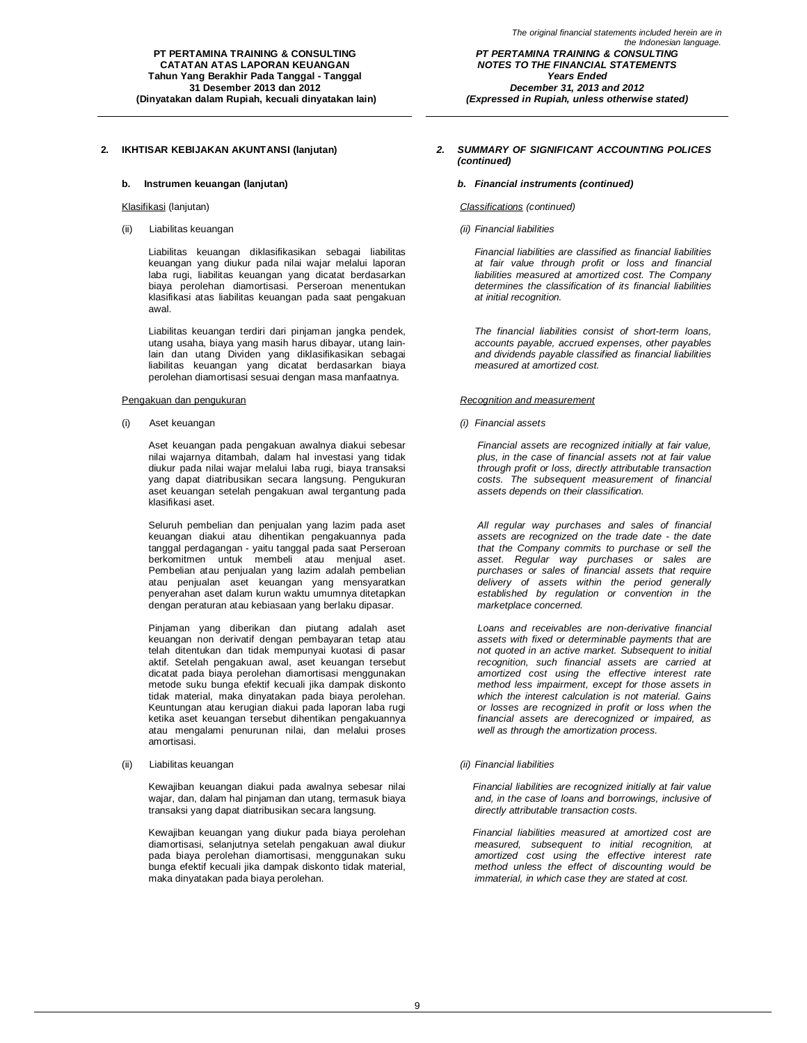#### **b. Instrumen keuangan (lanjutan)** *b. Financial instruments (continued)*

(ii) Liabilitas keuangan *(ii) Financial liabilities*

Liabilitas keuangan diklasifikasikan sebagai liabilitas keuangan yang diukur pada nilai wajar melalui laporan laba rugi, liabilitas keuangan yang dicatat berdasarkan biaya perolehan diamortisasi. Perseroan menentukan klasifikasi atas liabilitas keuangan pada saat pengakuan awal.

Liabilitas keuangan terdiri dari pinjaman jangka pendek, utang usaha, biaya yang masih harus dibayar, utang lainlain dan utang Dividen yang diklasifikasikan sebagai liabilitas keuangan yang dicatat berdasarkan biaya perolehan diamortisasi sesuai dengan masa manfaatnya.

(i) Aset keuangan *(i) Financial assets*

Aset keuangan pada pengakuan awalnya diakui sebesar nilai wajarnya ditambah, dalam hal investasi yang tidak diukur pada nilai wajar melalui laba rugi, biaya transaksi yang dapat diatribusikan secara langsung. Pengukuran aset keuangan setelah pengakuan awal tergantung pada klasifikasi aset.

Seluruh pembelian dan penjualan yang lazim pada aset keuangan diakui atau dihentikan pengakuannya pada tanggal perdagangan - yaitu tanggal pada saat Perseroan berkomitmen untuk membeli atau menjual aset. Pembelian atau penjualan yang lazim adalah pembelian atau penjualan aset keuangan yang mensyaratkan penyerahan aset dalam kurun waktu umumnya ditetapkan dengan peraturan atau kebiasaan yang berlaku dipasar.

Pinjaman yang diberikan dan piutang adalah aset keuangan non derivatif dengan pembayaran tetap atau telah ditentukan dan tidak mempunyai kuotasi di pasar aktif. Setelah pengakuan awal, aset keuangan tersebut dicatat pada biaya perolehan diamortisasi menggunakan metode suku bunga efektif kecuali jika dampak diskonto tidak material, maka dinyatakan pada biaya perolehan. Keuntungan atau kerugian diakui pada laporan laba rugi ketika aset keuangan tersebut dihentikan pengakuannya atau mengalami penurunan nilai, dan melalui proses amortisasi.

### (ii) Liabilitas keuangan *(ii) Financial liabilities*

Kewajiban keuangan diakui pada awalnya sebesar nilai wajar, dan, dalam hal pinjaman dan utang, termasuk biaya transaksi yang dapat diatribusikan secara langsung.

Kewajiban keuangan yang diukur pada biaya perolehan diamortisasi, selanjutnya setelah pengakuan awal diukur pada biaya perolehan diamortisasi, menggunakan suku bunga efektif kecuali jika dampak diskonto tidak material, maka dinyatakan pada biaya perolehan.

### **2. IKHTISAR KEBIJAKAN AKUNTANSI (lanjutan)** *2. SUMMARY OF SIGNIFICANT ACCOUNTING POLICES (continued)*

#### Klasifikasi (lanjutan) *Classifications (continued)*

*Financial liabilities are classified as financial liabilities at fair value through profit or loss and financial liabilities measured at amortized cost. The Company determines the classification of its financial liabilities at initial recognition.*

*The financial liabilities consist of short-term loans, accounts payable, accrued expenses, other payables and dividends payable classified as financial liabilities measured at amortized cost.*

#### Pengakuan dan pengukuran *Recognition and measurement*

*Financial assets are recognized initially at fair value, plus, in the case of financial assets not at fair value through profit or loss, directly attributable transaction costs. The subsequent measurement of financial assets depends on their classification.*

*All regular way purchases and sales of financial assets are recognized on the trade date - the date that the Company commits to purchase or sell the asset. Regular way purchases or sales are purchases or sales of financial assets that require delivery of assets within the period generally established by regulation or convention in the marketplace concerned.*

*Loans and receivables are non-derivative financial assets with fixed or determinable payments that are not quoted in an active market. Subsequent to initial recognition, such financial assets are carried at amortized cost using the effective interest rate method less impairment, except for those assets in which the interest calculation is not material. Gains or losses are recognized in profit or loss when the financial assets are derecognized or impaired, as well as through the amortization process.*

*Financial liabilities are recognized initially at fair value and, in the case of loans and borrowings, inclusive of directly attributable transaction costs.*

*Financial liabilities measured at amortized cost are measured, subsequent to initial recognition, at amortized cost using the effective interest rate method unless the effect of discounting would be immaterial, in which case they are stated at cost.*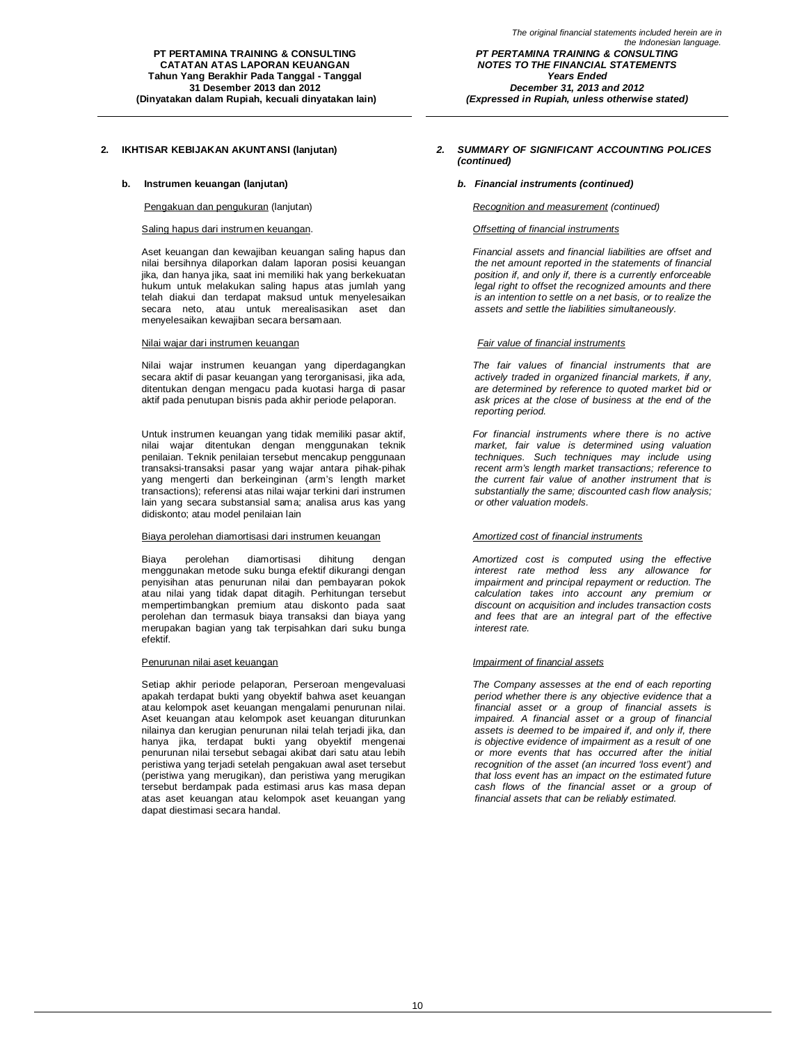### Saling hapus dari instrumen keuangan. *Offsetting of financial instruments*

Aset keuangan dan kewajiban keuangan saling hapus dan nilai bersihnya dilaporkan dalam laporan posisi keuangan jika, dan hanya jika, saat ini memiliki hak yang berkekuatan hukum untuk melakukan saling hapus atas jumlah yang telah diakui dan terdapat maksud untuk menyelesaikan secara neto, atau untuk merealisasikan aset dan menyelesaikan kewajiban secara bersamaan.

#### Nilai wajar dari instrumen keuangan *Fair value of financial instruments*

Nilai wajar instrumen keuangan yang diperdagangkan secara aktif di pasar keuangan yang terorganisasi, jika ada, ditentukan dengan mengacu pada kuotasi harga di pasar aktif pada penutupan bisnis pada akhir periode pelaporan.

Untuk instrumen keuangan yang tidak memiliki pasar aktif, nilai wajar ditentukan dengan menggunakan teknik penilaian. Teknik penilaian tersebut mencakup penggunaan transaksi-transaksi pasar yang wajar antara pihak-pihak yang mengerti dan berkeinginan (arm's length market transactions); referensi atas nilai wajar terkini dari instrumen lain yang secara substansial sama; analisa arus kas yang didiskonto; atau model penilaian lain

### Biaya perolehan diamortisasi dari instrumen keuangan *Amortized cost of financial instruments*

Biaya perolehan diamortisasi dihitung dengan menggunakan metode suku bunga efektif dikurangi dengan penyisihan atas penurunan nilai dan pembayaran pokok atau nilai yang tidak dapat ditagih. Perhitungan tersebut mempertimbangkan premium atau diskonto pada saat perolehan dan termasuk biaya transaksi dan biaya yang merupakan bagian yang tak terpisahkan dari suku bunga efektif.

Setiap akhir periode pelaporan, Perseroan mengevaluasi apakah terdapat bukti yang obyektif bahwa aset keuangan atau kelompok aset keuangan mengalami penurunan nilai. Aset keuangan atau kelompok aset keuangan diturunkan nilainya dan kerugian penurunan nilai telah terjadi jika, dan hanya jika, terdapat bukti yang obyektif mengenai penurunan nilai tersebut sebagai akibat dari satu atau lebih peristiwa yang terjadi setelah pengakuan awal aset tersebut (peristiwa yang merugikan), dan peristiwa yang merugikan tersebut berdampak pada estimasi arus kas masa depan atas aset keuangan atau kelompok aset keuangan yang dapat diestimasi secara handal.

### **2. IKHTISAR KEBIJAKAN AKUNTANSI (lanjutan)** *2. SUMMARY OF SIGNIFICANT ACCOUNTING POLICES (continued)*

*(Expressed in Rupiah, unless otherwise stated)*

#### **b. Instrumen keuangan (lanjutan)** *b. Financial instruments (continued)*

#### Pengakuan dan pengukuran (lanjutan) *Recognition and measurement (continued)*

*Financial assets and financial liabilities are offset and the net amount reported in the statements of financial position if, and only if, there is a currently enforceable legal right to offset the recognized amounts and there is an intention to settle on a net basis, or to realize the assets and settle the liabilities simultaneously.*

*The fair values of financial instruments that are actively traded in organized financial markets, if any, are determined by reference to quoted market bid or ask prices at the close of business at the end of the reporting period.*

*For financial instruments where there is no active market, fair value is determined using valuation techniques. Such techniques may include using recent arm's length market transactions; reference to the current fair value of another instrument that is substantially the same; discounted cash flow analysis; or other valuation models.*

*Amortized cost is computed using the effective interest rate method less any allowance for impairment and principal repayment or reduction. The calculation takes into account any premium or discount on acquisition and includes transaction costs and fees that are an integral part of the effective interest rate.*

### Penurunan nilai aset keuangan *Impairment of financial assets*

*The Company assesses at the end of each reporting period whether there is any objective evidence that a financial asset or a group of financial assets is impaired. A financial asset or a group of financial assets is deemed to be impaired if, and only if, there is objective evidence of impairment as a result of one or more events that has occurred after the initial recognition of the asset (an incurred 'loss event') and that loss event has an impact on the estimated future cash flows of the financial asset or a group of financial assets that can be reliably estimated.*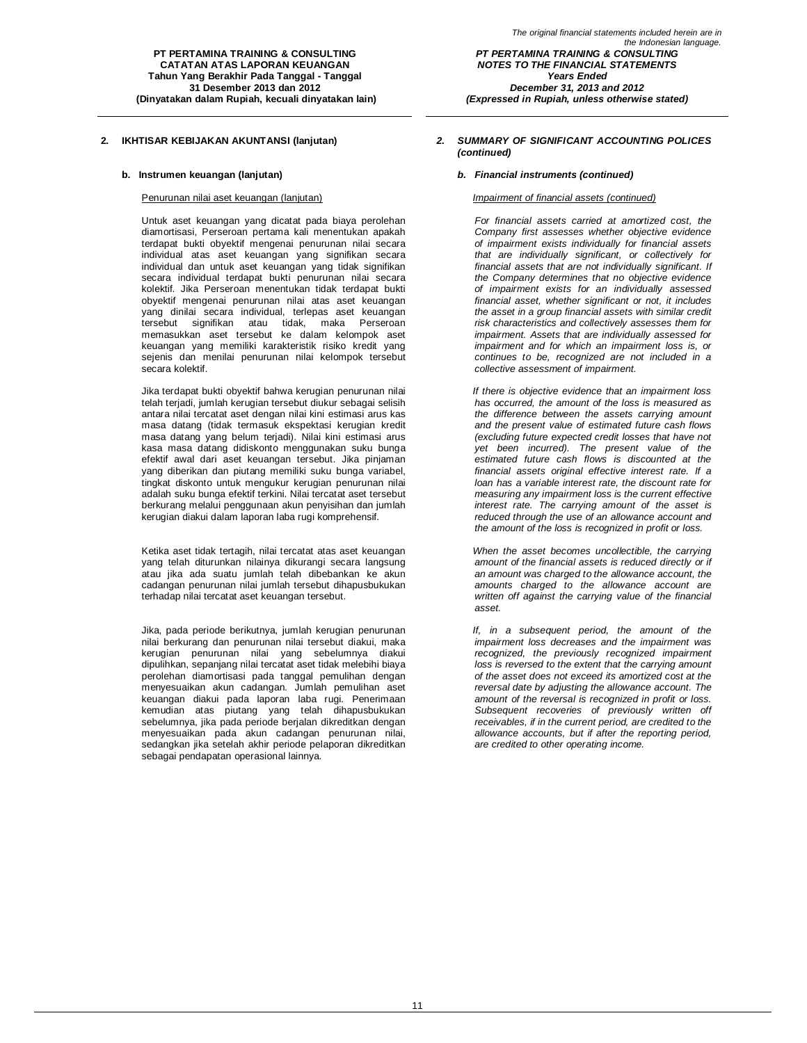**PT PERTAMINA TRAINING & CONSULTING CATATAN ATAS LAPORAN KEUANGAN Tahun Yang Berakhir Pada Tanggal - Tanggal 31 Desember 2013 dan 2012 (Dinyatakan dalam Rupiah, kecuali dinyatakan lain)**

Untuk aset keuangan yang dicatat pada biaya perolehan diamortisasi, Perseroan pertama kali menentukan apakah terdapat bukti obyektif mengenai penurunan nilai secara individual atas aset keuangan yang signifikan secara individual dan untuk aset keuangan yang tidak signifikan secara individual terdapat bukti penurunan nilai secara kolektif. Jika Perseroan menentukan tidak terdapat bukti obyektif mengenai penurunan nilai atas aset keuangan yang dinilai secara individual, terlepas aset keuangan tersebut signifikan atau tidak, maka Perseroan memasukkan aset tersebut ke dalam kelompok aset keuangan yang memiliki karakteristik risiko kredit yang sejenis dan menilai penurunan nilai kelompok tersebut secara kolektif.

Jika terdapat bukti obyektif bahwa kerugian penurunan nilai telah terjadi, jumlah kerugian tersebut diukur sebagai selisih antara nilai tercatat aset dengan nilai kini estimasi arus kas masa datang (tidak termasuk ekspektasi kerugian kredit masa datang yang belum terjadi). Nilai kini estimasi arus kasa masa datang didiskonto menggunakan suku bunga efektif awal dari aset keuangan tersebut. Jika pinjaman yang diberikan dan piutang memiliki suku bunga variabel, tingkat diskonto untuk mengukur kerugian penurunan nilai adalah suku bunga efektif terkini. Nilai tercatat aset tersebut berkurang melalui penggunaan akun penyisihan dan jumlah kerugian diakui dalam laporan laba rugi komprehensif.

Ketika aset tidak tertagih, nilai tercatat atas aset keuangan yang telah diturunkan nilainya dikurangi secara langsung atau jika ada suatu jumlah telah dibebankan ke akun cadangan penurunan nilai jumlah tersebut dihapusbukukan terhadap nilai tercatat aset keuangan tersebut.

Jika, pada periode berikutnya, jumlah kerugian penurunan nilai berkurang dan penurunan nilai tersebut diakui, maka kerugian penurunan nilai yang sebelumnya diakui dipulihkan, sepanjang nilai tercatat aset tidak melebihi biaya perolehan diamortisasi pada tanggal pemulihan dengan menyesuaikan akun cadangan. Jumlah pemulihan aset keuangan diakui pada laporan laba rugi. Penerimaan kemudian atas piutang yang telah dihapusbukukan sebelumnya, jika pada periode berjalan dikreditkan dengan menyesuaikan pada akun cadangan penurunan nilai, sedangkan jika setelah akhir periode pelaporan dikreditkan sebagai pendapatan operasional lainnya.

### **2. IKHTISAR KEBIJAKAN AKUNTANSI (lanjutan)** *2. SUMMARY OF SIGNIFICANT ACCOUNTING POLICES (continued)*

### **b. Instrumen keuangan (lanjutan)** *b. Financial instruments (continued)*

#### Penurunan nilai aset keuangan (lanjutan) *Impairment of financial assets (continued)*

*For financial assets carried at amortized cost, the Company first assesses whether objective evidence of impairment exists individually for financial assets that are individually significant, or collectively for financial assets that are not individually significant. If the Company determines that no objective evidence of impairment exists for an individually assessed financial asset, whether significant or not, it includes the asset in a group financial assets with similar credit risk characteristics and collectively assesses them for impairment. Assets that are individually assessed for impairment and for which an impairment loss is, or continues to be, recognized are not included in a collective assessment of impairment.*

*If there is objective evidence that an impairment loss has occurred, the amount of the loss is measured as the difference between the assets carrying amount and the present value of estimated future cash flows (excluding future expected credit losses that have not yet been incurred). The present value of the estimated future cash flows is discounted at the financial assets original effective interest rate. If a loan has a variable interest rate, the discount rate for measuring any impairment loss is the current effective interest rate. The carrying amount of the asset is reduced through the use of an allowance account and the amount of the loss is recognized in profit or loss.*

*When the asset becomes uncollectible, the carrying amount of the financial assets is reduced directly or if an amount was charged to the allowance account, the amounts charged to the allowance account are written off against the carrying value of the financial asset.*

*If, in a subsequent period, the amount of the impairment loss decreases and the impairment was recognized, the previously recognized impairment loss is reversed to the extent that the carrying amount of the asset does not exceed its amortized cost at the reversal date by adjusting the allowance account. The amount of the reversal is recognized in profit or loss. Subsequent recoveries of previously written off receivables, if in the current period, are credited to the allowance accounts, but if after the reporting period, are credited to other operating income.*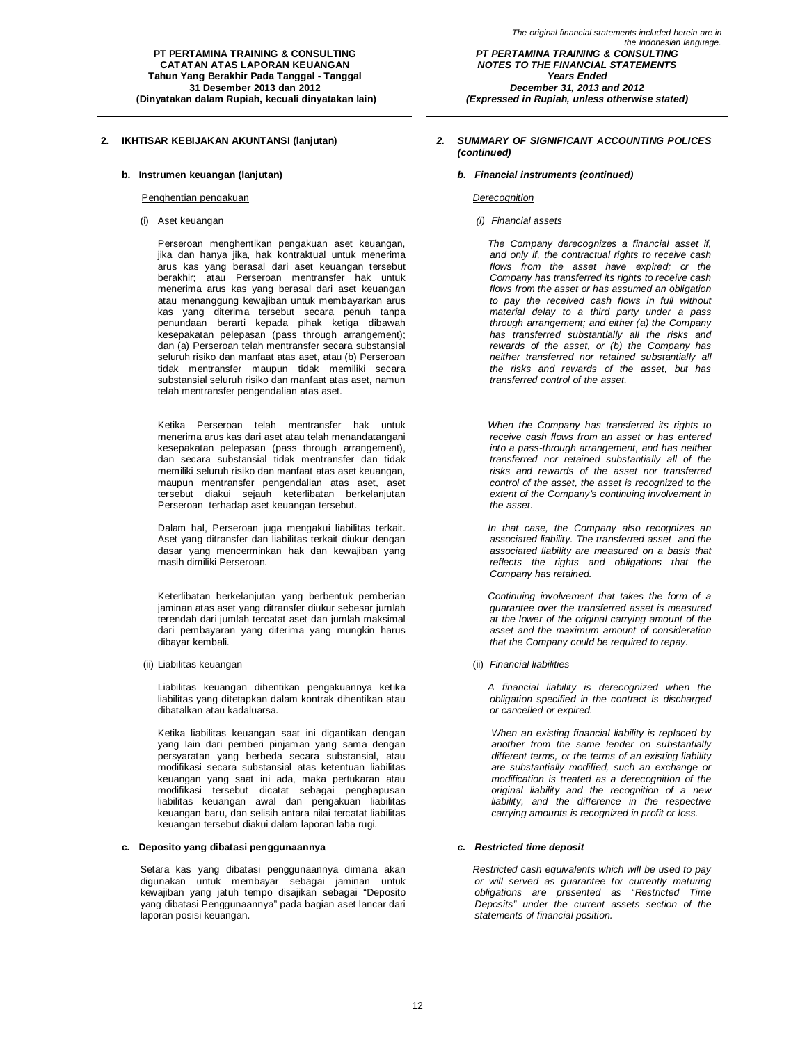#### Penghentian pengakuan *Derecognition*

Perseroan menghentikan pengakuan aset keuangan, jika dan hanya jika, hak kontraktual untuk menerima arus kas yang berasal dari aset keuangan tersebut berakhir; atau Perseroan mentransfer hak untuk menerima arus kas yang berasal dari aset keuangan atau menanggung kewajiban untuk membayarkan arus kas yang diterima tersebut secara penuh tanpa penundaan berarti kepada pihak ketiga dibawah kesepakatan pelepasan (pass through arrangement); dan (a) Perseroan telah mentransfer secara substansial seluruh risiko dan manfaat atas aset, atau (b) Perseroan tidak mentransfer maupun tidak memiliki secara substansial seluruh risiko dan manfaat atas aset, namun telah mentransfer pengendalian atas aset.

Ketika Perseroan telah mentransfer hak untuk menerima arus kas dari aset atau telah menandatangani kesepakatan pelepasan (pass through arrangement), dan secara substansial tidak mentransfer dan tidak memiliki seluruh risiko dan manfaat atas aset keuangan, maupun mentransfer pengendalian atas aset, aset tersebut diakui sejauh keterlibatan berkelanjutan Perseroan terhadap aset keuangan tersebut.

Dalam hal, Perseroan juga mengakui liabilitas terkait. Aset yang ditransfer dan liabilitas terkait diukur dengan dasar yang mencerminkan hak dan kewajiban yang masih dimiliki Perseroan.

Keterlibatan berkelanjutan yang berbentuk pemberian jaminan atas aset yang ditransfer diukur sebesar jumlah terendah dari jumlah tercatat aset dan jumlah maksimal dari pembayaran yang diterima yang mungkin harus dibayar kembali.

(ii) Liabilitas keuangan (ii) *Financial liabilities*

Liabilitas keuangan dihentikan pengakuannya ketika liabilitas yang ditetapkan dalam kontrak dihentikan atau dibatalkan atau kadaluarsa.

Ketika liabilitas keuangan saat ini digantikan dengan yang lain dari pemberi pinjaman yang sama dengan persyaratan yang berbeda secara substansial, atau modifikasi secara substansial atas ketentuan liabilitas keuangan yang saat ini ada, maka pertukaran atau modifikasi tersebut dicatat sebagai penghapusan liabilitas keuangan awal dan pengakuan liabilitas keuangan baru, dan selisih antara nilai tercatat liabilitas keuangan tersebut diakui dalam laporan laba rugi.

### **c. Deposito yang dibatasi penggunaannya** *c. Restricted time deposit*

Setara kas yang dibatasi penggunaannya dimana akan digunakan untuk membayar sebagai jaminan untuk kewajiban yang jatuh tempo disajikan sebagai "Deposito yang dibatasi Penggunaannya" pada bagian aset lancar dari laporan posisi keuangan.

### **2. IKHTISAR KEBIJAKAN AKUNTANSI (lanjutan)** *2. SUMMARY OF SIGNIFICANT ACCOUNTING POLICES (continued)*

### **b. Instrumen keuangan (lanjutan)** *b. Financial instruments (continued)*

(i) Aset keuangan *(i) Financial assets*

*The Company derecognizes a financial asset if, and only if, the contractual rights to receive cash flows from the asset have expired; or the Company has transferred its rights to receive cash flows from the asset or has assumed an obligation to pay the received cash flows in full without material delay to a third party under a pass through arrangement; and either (a) the Company has transferred substantially all the risks and rewards of the asset, or (b) the Company has neither transferred nor retained substantially all the risks and rewards of the asset, but has transferred control of the asset.*

*When the Company has transferred its rights to receive cash flows from an asset or has entered into a pass-through arrangement, and has neither transferred nor retained substantially all of the risks and rewards of the asset nor transferred control of the asset, the asset is recognized to the extent of the Company's continuing involvement in the asset.*

*In that case, the Company also recognizes an associated liability. The transferred asset and the associated liability are measured on a basis that reflects the rights and obligations that the Company has retained.*

*Continuing involvement that takes the form of a guarantee over the transferred asset is measured at the lower of the original carrying amount of the asset and the maximum amount of consideration that the Company could be required to repay.*

*A financial liability is derecognized when the obligation specified in the contract is discharged or cancelled or expired.*

*When an existing financial liability is replaced by another from the same lender on substantially different terms, or the terms of an existing liability are substantially modified, such an exchange or modification is treated as a derecognition of the original liability and the recognition of a new liability, and the difference in the respective carrying amounts is recognized in profit or loss.*

*Restricted cash equivalents which will be used to pay or will served as guarantee for currently maturing obligations are presented as "Restricted Time Deposits" under the current assets section of the statements of financial position.*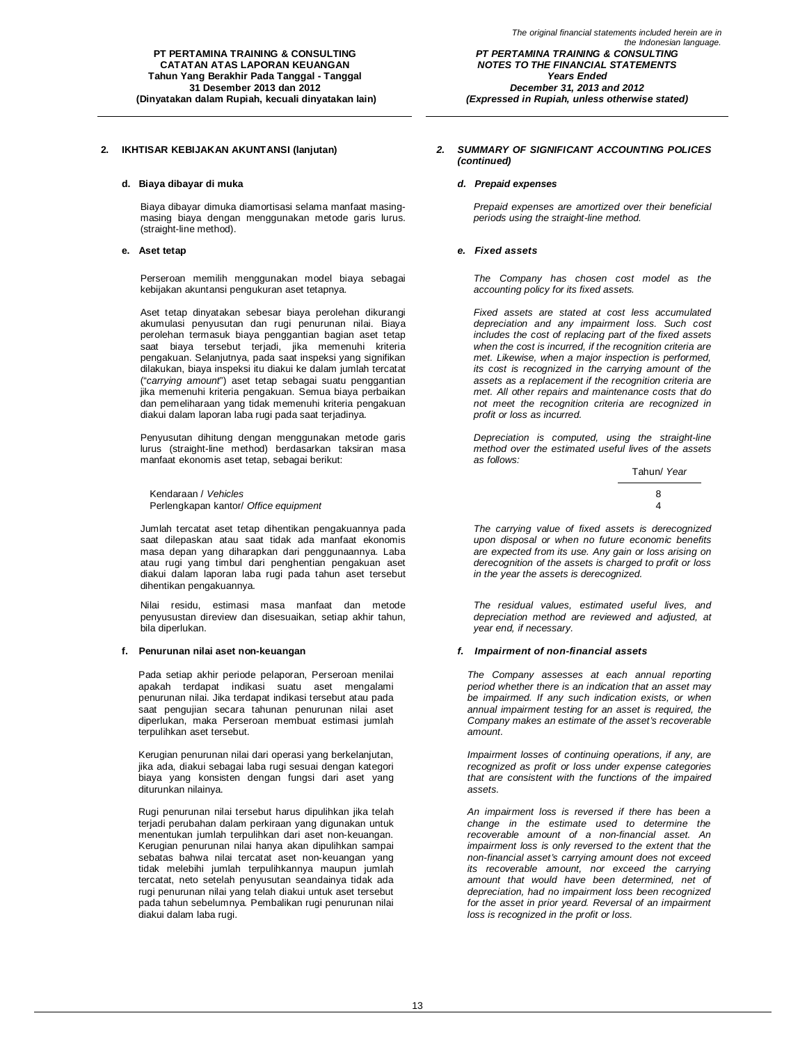#### **d. Biaya dibayar di muka** *d. Prepaid expenses*

Biaya dibayar dimuka diamortisasi selama manfaat masingmasing biaya dengan menggunakan metode garis lurus. (straight-line method).

Perseroan memilih menggunakan model biaya sebagai kebijakan akuntansi pengukuran aset tetapnya.

Aset tetap dinyatakan sebesar biaya perolehan dikurangi akumulasi penyusutan dan rugi penurunan nilai. Biaya perolehan termasuk biaya penggantian bagian aset tetap saat biaya tersebut terjadi, jika memenuhi kriteria pengakuan. Selanjutnya, pada saat inspeksi yang signifikan dilakukan, biaya inspeksi itu diakui ke dalam jumlah tercatat ("*carrying amount*") aset tetap sebagai suatu penggantian jika memenuhi kriteria pengakuan. Semua biaya perbaikan dan pemeliharaan yang tidak memenuhi kriteria pengakuan diakui dalam laporan laba rugi pada saat terjadinya.

Penyusutan dihitung dengan menggunakan metode garis lurus (straight-line method) berdasarkan taksiran masa manfaat ekonomis aset tetap, sebagai berikut:

Kendaraan / *Vehicles* 8 Perlengkapan kantor/ *Office equipment* 4

Jumlah tercatat aset tetap dihentikan pengakuannya pada saat dilepaskan atau saat tidak ada manfaat ekonomis masa depan yang diharapkan dari penggunaannya. Laba atau rugi yang timbul dari penghentian pengakuan aset diakui dalam laporan laba rugi pada tahun aset tersebut dihentikan pengakuannya.

Nilai residu, estimasi masa manfaat dan metode penyusustan direview dan disesuaikan, setiap akhir tahun, bila diperlukan.

Pada setiap akhir periode pelaporan, Perseroan menilai apakah terdapat indikasi suatu aset mengalami penurunan nilai. Jika terdapat indikasi tersebut atau pada saat pengujian secara tahunan penurunan nilai aset diperlukan, maka Perseroan membuat estimasi jumlah terpulihkan aset tersebut.

Kerugian penurunan nilai dari operasi yang berkelanjutan, jika ada, diakui sebagai laba rugi sesuai dengan kategori biaya yang konsisten dengan fungsi dari aset yang diturunkan nilainya.

Rugi penurunan nilai tersebut harus dipulihkan jika telah terjadi perubahan dalam perkiraan yang digunakan untuk menentukan jumlah terpulihkan dari aset non-keuangan. Kerugian penurunan nilai hanya akan dipulihkan sampai sebatas bahwa nilai tercatat aset non-keuangan yang tidak melebihi jumlah terpulihkannya maupun jumlah tercatat, neto setelah penyusutan seandainya tidak ada rugi penurunan nilai yang telah diakui untuk aset tersebut pada tahun sebelumnya. Pembalikan rugi penurunan nilai diakui dalam laba rugi.

### **2. IKHTISAR KEBIJAKAN AKUNTANSI (lanjutan)** *2. SUMMARY OF SIGNIFICANT ACCOUNTING POLICES (continued)*

*Prepaid expenses are amortized over their beneficial periods using the straight-line method.*

### **e. Aset tetap** *e. Fixed assets*

*The Company has chosen cost model as the accounting policy for its fixed assets.*

*Fixed assets are stated at cost less accumulated depreciation and any impairment loss. Such cost includes the cost of replacing part of the fixed assets when the cost is incurred, if the recognition criteria are met. Likewise, when a major inspection is performed, its cost is recognized in the carrying amount of the assets as a replacement if the recognition criteria are met. All other repairs and maintenance costs that do not meet the recognition criteria are recognized in profit or loss as incurred.*

*Depreciation is computed, using the straight-line method over the estimated useful lives of the assets as follows:*



*The carrying value of fixed assets is derecognized upon disposal or when no future economic benefits are expected from its use. Any gain or loss arising on derecognition of the assets is charged to profit or loss in the year the assets is derecognized.*

*The residual values, estimated useful lives, and depreciation method are reviewed and adjusted, at year end, if necessary.*

### **f. Penurunan nilai aset non-keuangan** *f. Impairment of non-financial assets*

*The Company assesses at each annual reporting period whether there is an indication that an asset may be impairmed. If any such indication exists, or when annual impairment testing for an asset is required, the Company makes an estimate of the asset's recoverable amount.*

*Impairment losses of continuing operations, if any, are recognized as profit or loss under expense categories that are consistent with the functions of the impaired assets.*

*An impairment loss is reversed if there has been a change in the estimate used to determine the recoverable amount of a non-financial asset. An impairment loss is only reversed to the extent that the non-financial asset's carrying amount does not exceed its recoverable amount, nor exceed the carrying amount that would have been determined, net of depreciation, had no impairment loss been recognized for the asset in prior yeard. Reversal of an impairment loss is recognized in the profit or loss.*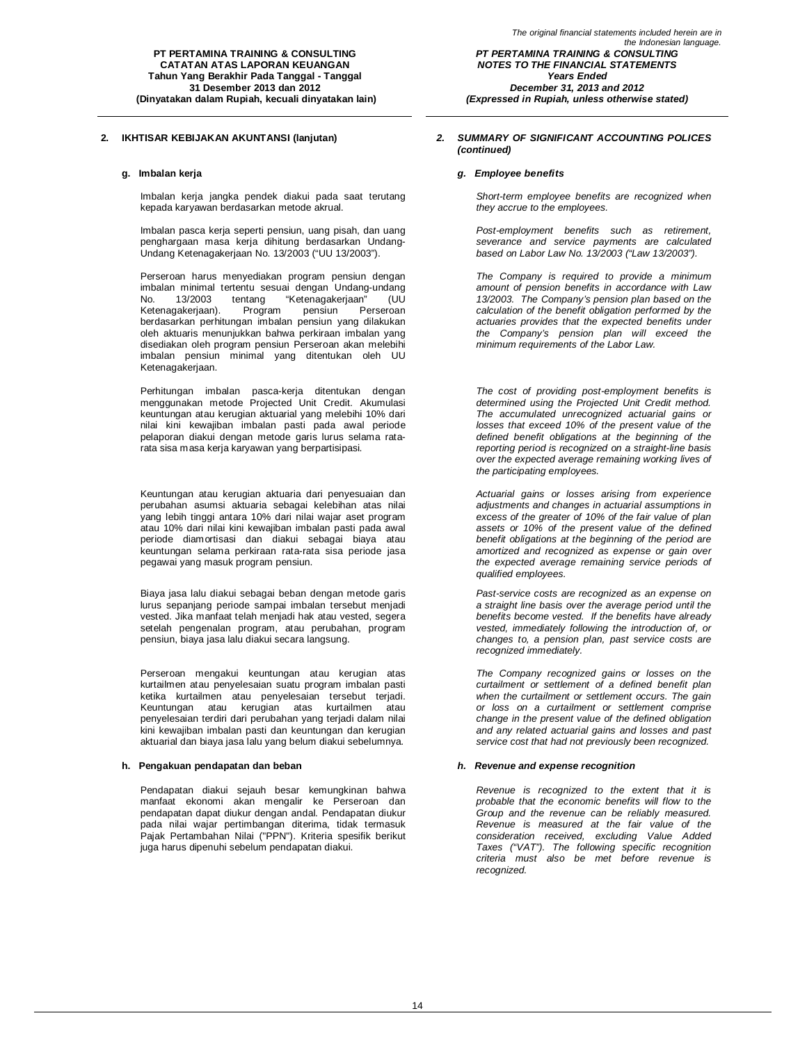Imbalan kerja jangka pendek diakui pada saat terutang kepada karyawan berdasarkan metode akrual.

Imbalan pasca kerja seperti pensiun, uang pisah, dan uang penghargaan masa kerja dihitung berdasarkan Undang-Undang Ketenagakerjaan No. 13/2003 ("UU 13/2003").

Perseroan harus menyediakan program pensiun dengan imbalan minimal tertentu sesuai dengan Undang-undang No. 13/2003 tentang "Ketenagakerjaan" (UU<br>Ketenagakerjaan). Program pensiun Perseroan Ketenagakerjaan). berdasarkan perhitungan imbalan pensiun yang dilakukan oleh aktuaris menunjukkan bahwa perkiraan imbalan yang disediakan oleh program pensiun Perseroan akan melebihi imbalan pensiun minimal yang ditentukan oleh UU Ketenagakerjaan.

Perhitungan imbalan pasca-kerja ditentukan dengan menggunakan metode Projected Unit Credit. Akumulasi keuntungan atau kerugian aktuarial yang melebihi 10% dari nilai kini kewajiban imbalan pasti pada awal periode pelaporan diakui dengan metode garis lurus selama ratarata sisa masa kerja karyawan yang berpartisipasi.

Keuntungan atau kerugian aktuaria dari penyesuaian dan perubahan asumsi aktuaria sebagai kelebihan atas nilai yang lebih tinggi antara 10% dari nilai wajar aset program atau 10% dari nilai kini kewajiban imbalan pasti pada awal periode diamortisasi dan diakui sebagai biaya atau keuntungan selama perkiraan rata-rata sisa periode jasa pegawai yang masuk program pensiun.

Biaya jasa lalu diakui sebagai beban dengan metode garis lurus sepanjang periode sampai imbalan tersebut menjadi vested. Jika manfaat telah menjadi hak atau vested, segera setelah pengenalan program, atau perubahan, program pensiun, biaya jasa lalu diakui secara langsung.

Perseroan mengakui keuntungan atau kerugian atas kurtailmen atau penyelesaian suatu program imbalan pasti ketika kurtailmen atau penyelesaian tersebut terjadi. Keuntungan atau kerugian atas kurtailmen atau penyelesaian terdiri dari perubahan yang terjadi dalam nilai kini kewajiban imbalan pasti dan keuntungan dan kerugian aktuarial dan biaya jasa lalu yang belum diakui sebelumnya.

Pendapatan diakui sejauh besar kemungkinan bahwa manfaat ekonomi akan mengalir ke Perseroan dan pendapatan dapat diukur dengan andal. Pendapatan diukur pada nilai wajar pertimbangan diterima, tidak termasuk Pajak Pertambahan Nilai ("PPN"). Kriteria spesifik berikut juga harus dipenuhi sebelum pendapatan diakui.

### **2. IKHTISAR KEBIJAKAN AKUNTANSI (lanjutan)** *2. SUMMARY OF SIGNIFICANT ACCOUNTING POLICES (continued)*

*(Expressed in Rupiah, unless otherwise stated)*

### **g. Imbalan kerja** *g. Employee benefits*

*Short-term employee benefits are recognized when they accrue to the employees.*

*Post-employment benefits such as retirement, severance and service payments are calculated based on Labor Law No. 13/2003 ("Law 13/2003").*

*The Company is required to provide a minimum amount of pension benefits in accordance with Law 13/2003. The Company's pension plan based on the calculation of the benefit obligation performed by the actuaries provides that the expected benefits under the Company's pension plan will exceed the minimum requirements of the Labor Law.*

*The cost of providing post-employment benefits is determined using the Projected Unit Credit method. The accumulated unrecognized actuarial gains or losses that exceed 10% of the present value of the defined benefit obligations at the beginning of the reporting period is recognized on a straight-line basis over the expected average remaining working lives of the participating employees.*

*Actuarial gains or losses arising from experience adjustments and changes in actuarial assumptions in excess of the greater of 10% of the fair value of plan assets or 10% of the present value of the defined benefit obligations at the beginning of the period are amortized and recognized as expense or gain over the expected average remaining service periods of qualified employees.*

*Past-service costs are recognized as an expense on a straight line basis over the average period until the benefits become vested. If the benefits have already vested, immediately following the introduction of, or changes to, a pension plan, past service costs are recognized immediately.*

*The Company recognized gains or losses on the curtailment or settlement of a defined benefit plan when the curtailment or settlement occurs. The gain or loss on a curtailment or settlement comprise change in the present value of the defined obligation and any related actuarial gains and losses and past service cost that had not previously been recognized.*

### **h. Pengakuan pendapatan dan beban** *h. Revenue and expense recognition*

*Revenue is recognized to the extent that it is probable that the economic benefits will flow to the Group and the revenue can be reliably measured. Revenue is measured at the fair value of the consideration received, excluding Value Added Taxes ("VAT"). The following specific recognition criteria must also be met before revenue is recognized.*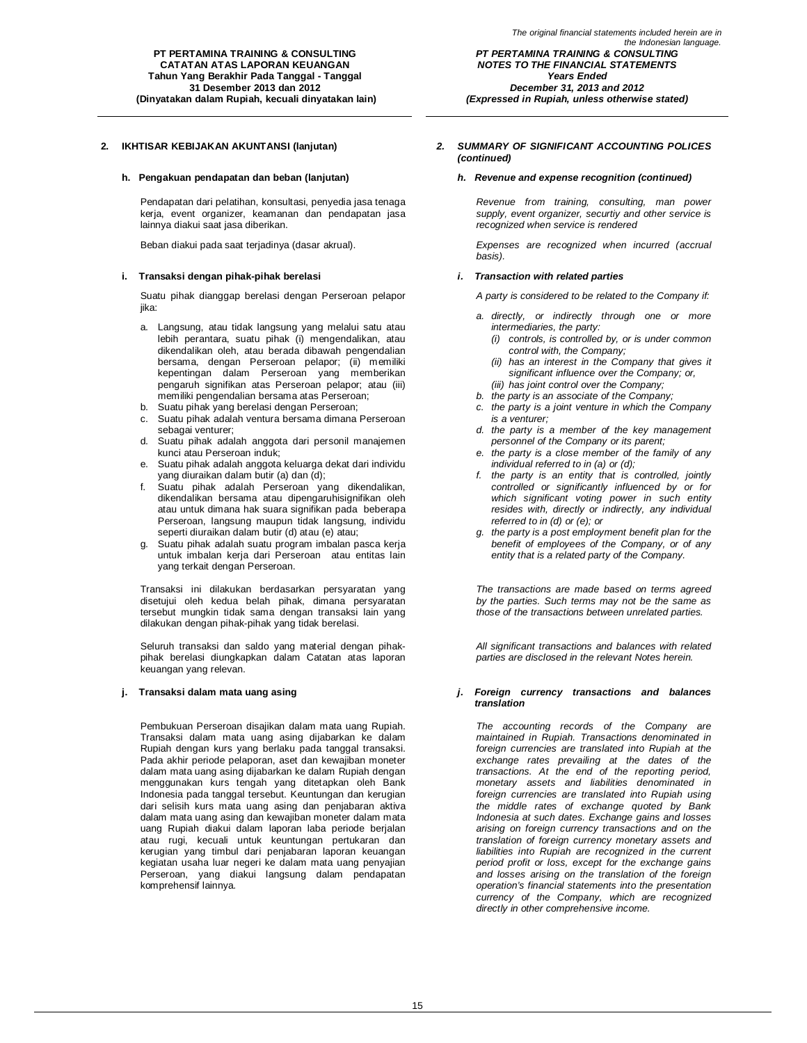#### **h. Pengakuan pendapatan dan beban (lanjutan)** *h. Revenue and expense recognition (continued)*

Pendapatan dari pelatihan, konsultasi, penyedia jasa tenaga kerja, event organizer, keamanan dan pendapatan jasa lainnya diakui saat jasa diberikan.

### **i. Transaksi dengan pihak-pihak berelasi** *i. Transaction with related parties*

Suatu pihak dianggap berelasi dengan Perseroan pelapor iika:

- a. Langsung, atau tidak langsung yang melalui satu atau lebih perantara, suatu pihak (i) mengendalikan, atau dikendalikan oleh, atau berada dibawah pengendalian bersama, dengan Perseroan pelapor; (ii) memiliki kepentingan dalam Perseroan yang memberikan pengaruh signifikan atas Perseroan pelapor; atau (iii) memiliki pengendalian bersama atas Perseroan;
- b. Suatu pihak yang berelasi dengan Perseroan;
- c. Suatu pihak adalah ventura bersama dimana Perseroan sebagai venturer;
- d. Suatu pihak adalah anggota dari personil manajemen kunci atau Perseroan induk;
- e. Suatu pihak adalah anggota keluarga dekat dari individu yang diuraikan dalam butir (a) dan (d);
- f. Suatu pihak adalah Perseroan yang dikendalikan, dikendalikan bersama atau dipengaruhisignifikan oleh atau untuk dimana hak suara signifikan pada beberapa Perseroan, langsung maupun tidak langsung, individu seperti diuraikan dalam butir (d) atau (e) atau;
- g. Suatu pihak adalah suatu program imbalan pasca kerja untuk imbalan kerja dari Perseroan atau entitas lain yang terkait dengan Perseroan.

Transaksi ini dilakukan berdasarkan persyaratan yang disetujui oleh kedua belah pihak, dimana persyaratan tersebut mungkin tidak sama dengan transaksi lain yang dilakukan dengan pihak-pihak yang tidak berelasi.

Seluruh transaksi dan saldo yang material dengan pihakpihak berelasi diungkapkan dalam Catatan atas laporan keuangan yang relevan.

Pembukuan Perseroan disajikan dalam mata uang Rupiah. Transaksi dalam mata uang asing dijabarkan ke dalam Rupiah dengan kurs yang berlaku pada tanggal transaksi. Pada akhir periode pelaporan, aset dan kewajiban moneter dalam mata uang asing dijabarkan ke dalam Rupiah dengan menggunakan kurs tengah yang ditetapkan oleh Bank Indonesia pada tanggal tersebut. Keuntungan dan kerugian dari selisih kurs mata uang asing dan penjabaran aktiva dalam mata uang asing dan kewajiban moneter dalam mata uang Rupiah diakui dalam laporan laba periode berjalan atau rugi, kecuali untuk keuntungan pertukaran dan kerugian yang timbul dari penjabaran laporan keuangan kegiatan usaha luar negeri ke dalam mata uang penyajian Perseroan, yang diakui langsung dalam pendapatan komprehensif lainnya.

*December 31, 2013 and 2012 (Expressed in Rupiah, unless otherwise stated)*

### **2. IKHTISAR KEBIJAKAN AKUNTANSI (lanjutan)** *2. SUMMARY OF SIGNIFICANT ACCOUNTING POLICES (continued)*

*Revenue from training, consulting, man power supply, event organizer, securtiy and other service is recognized when service is rendered*

Beban diakui pada saat terjadinya (dasar akrual). *Expenses are recognized when incurred (accrual basis).*

*A party is considered to be related to the Company if:*

- *a. directly, or indirectly through one or more intermediaries, the party:*
	- *(i) controls, is controlled by, or is under common control with, the Company;*
	- *(ii) has an interest in the Company that gives it significant influence over the Company; or,*
- *(iii) has joint control over the Company;*
- *b. the party is an associate of the Company;*
- *c. the party is a joint venture in which the Company is a venturer;*
- *d. the party is a member of the key management personnel of the Company or its parent;*
- *e. the party is a close member of the family of any individual referred to in (a) or (d);*
- *f. the party is an entity that is controlled, jointly controlled or significantly influenced by or for which significant voting power in such entity resides with, directly or indirectly, any individual referred to in (d) or (e); or*
- *g. the party is a post employment benefit plan for the benefit of employees of the Company, or of any entity that is a related party of the Company.*

*The transactions are made based on terms agreed by the parties. Such terms may not be the same as those of the transactions between unrelated parties.*

*All significant transactions and balances with related parties are disclosed in the relevant Notes herein.*

### **j. Transaksi dalam mata uang asing** *j. Foreign currency transactions and balances translation*

*The accounting records of the Company are maintained in Rupiah. Transactions denominated in foreign currencies are translated into Rupiah at the exchange rates prevailing at the dates of the transactions. At the end of the reporting period, monetary assets and liabilities denominated in foreign currencies are translated into Rupiah using the middle rates of exchange quoted by Bank Indonesia at such dates. Exchange gains and losses arising on foreign currency transactions and on the translation of foreign currency monetary assets and liabilities into Rupiah are recognized in the current period profit or loss, except for the exchange gains and losses arising on the translation of the foreign operation's financial statements into the presentation currency of the Company, which are recognized directly in other comprehensive income.*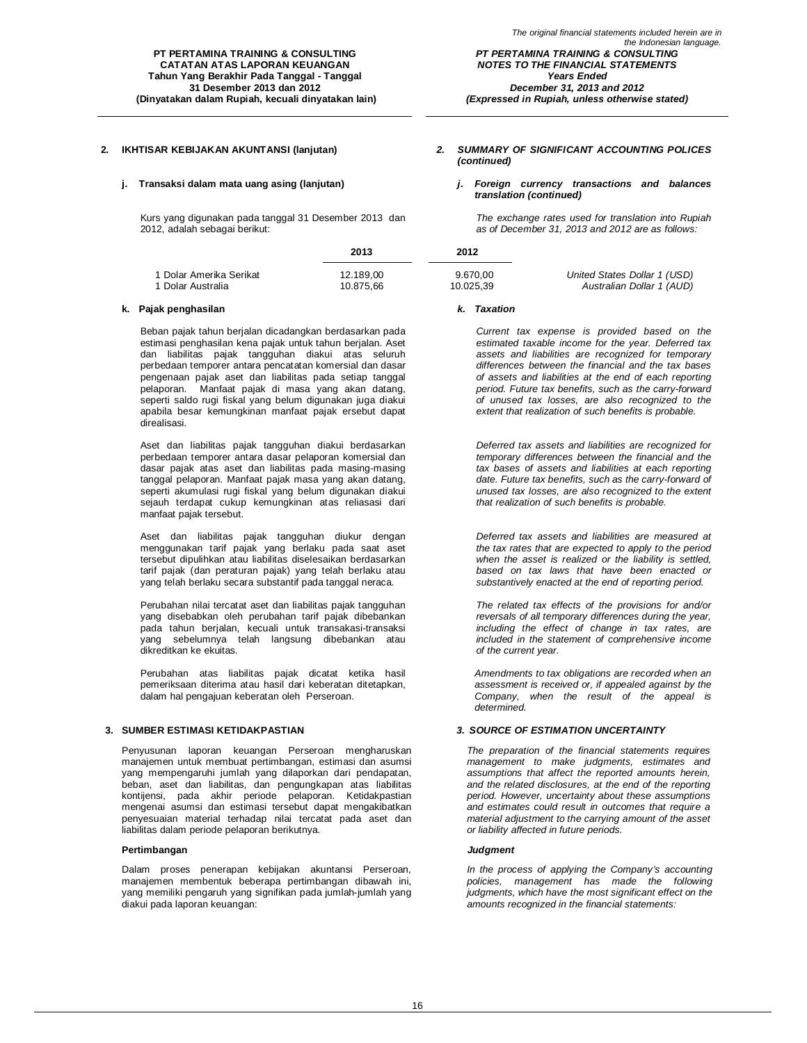Kurs yang digunakan pada tanggal 31 Desember 2013 dan 2012, adalah sebagai berikut:

|                       | ZU 13     | ZUIZ      |  |
|-----------------------|-----------|-----------|--|
| Dolar Amerika Serikat | 12.189.00 | 9.670.00  |  |
| Dolar Australia       | 10.875.66 | 10.025.39 |  |

#### **k. Pajak penghasilan** *k. Taxation*

Beban pajak tahun berjalan dicadangkan berdasarkan pada estimasi penghasilan kena pajak untuk tahun berjalan. Aset dan liabilitas pajak tangguhan diakui atas seluruh perbedaan temporer antara pencatatan komersial dan dasar pengenaan pajak aset dan liabilitas pada setiap tanggal pelaporan. Manfaat pajak di masa yang akan datang, seperti saldo rugi fiskal yang belum digunakan juga diakui apabila besar kemungkinan manfaat pajak ersebut dapat direalisasi.

Aset dan liabilitas pajak tangguhan diakui berdasarkan perbedaan temporer antara dasar pelaporan komersial dan dasar pajak atas aset dan liabilitas pada masing-masing tanggal pelaporan. Manfaat pajak masa yang akan datang, seperti akumulasi rugi fiskal yang belum digunakan diakui sejauh terdapat cukup kemungkinan atas reliasasi dari manfaat pajak tersebut.

Aset dan liabilitas pajak tangguhan diukur dengan menggunakan tarif pajak yang berlaku pada saat aset tersebut dipulihkan atau liabilitas diselesaikan berdasarkan tarif pajak (dan peraturan pajak) yang telah berlaku atau yang telah berlaku secara substantif pada tanggal neraca.

Perubahan nilai tercatat aset dan liabilitas pajak tangguhan yang disebabkan oleh perubahan tarif pajak dibebankan pada tahun berjalan, kecuali untuk transakasi-transaksi yang sebelumnya telah langsung dibebankan atau dikreditkan ke ekuitas.

Perubahan atas liabilitas pajak dicatat ketika hasil pemeriksaan diterima atau hasil dari keberatan ditetapkan, dalam hal pengajuan keberatan oleh Perseroan.

Penyusunan laporan keuangan Perseroan mengharuskan manajemen untuk membuat pertimbangan, estimasi dan asumsi yang mempengaruhi jumlah yang dilaporkan dari pendapatan, beban, aset dan liabilitas, dan pengungkapan atas liabilitas kontijensi, pada akhir periode pelaporan. Ketidakpastian mengenai asumsi dan estimasi tersebut dapat mengakibatkan penyesuaian material terhadap nilai tercatat pada aset dan liabilitas dalam periode pelaporan berikutnya.

#### **Pertimbangan** *Judgment*

Dalam proses penerapan kebijakan akuntansi Perseroan, manajemen membentuk beberapa pertimbangan dibawah ini, yang memiliki pengaruh yang signifikan pada jumlah-jumlah yang diakui pada laporan keuangan:

### **2. IKHTISAR KEBIJAKAN AKUNTANSI (lanjutan)** *2. SUMMARY OF SIGNIFICANT ACCOUNTING POLICES (continued)*

*(Expressed in Rupiah, unless otherwise stated)*

**j. Transaksi dalam mata uang asing (lanjutan)** *j. Foreign currency transactions and balances translation (continued)*

> *The exchange rates used for translation into Rupiah as of December 31, 2013 and 2012 are as follows:*

|                         | 2013      | 2012      |                              |
|-------------------------|-----------|-----------|------------------------------|
| 1 Dolar Amerika Serikat | 12.189.00 | 9.670.00  | United States Dollar 1 (USD) |
| 1 Dolar Australia       | 10.875.66 | 10.025.39 | Australian Dollar 1 (AUD)    |

*Current tax expense is provided based on the estimated taxable income for the year. Deferred tax assets and liabilities are recognized for temporary differences between the financial and the tax bases of assets and liabilities at the end of each reporting period. Future tax benefits, such as the carry-forward of unused tax losses, are also recognized to the extent that realization of such benefits is probable.*

*Deferred tax assets and liabilities are recognized for temporary differences between the financial and the tax bases of assets and liabilities at each reporting date. Future tax benefits, such as the carry-forward of unused tax losses, are also recognized to the extent that realization of such benefits is probable.*

*Deferred tax assets and liabilities are measured at the tax rates that are expected to apply to the period when the asset is realized or the liability is settled, based on tax laws that have been enacted or substantively enacted at the end of reporting period.* 

*The related tax effects of the provisions for and/or reversals of all temporary differences during the year, including the effect of change in tax rates, are included in the statement of comprehensive income of the current year.*

*Amendments to tax obligations are recorded when an assessment is received or, if appealed against by the Company, when the result of the appeal is determined.*

### **3. SUMBER ESTIMASI KETIDAKPASTIAN** *3. SOURCE OF ESTIMATION UNCERTAINTY*

*The preparation of the financial statements requires management to make judgments, estimates and assumptions that affect the reported amounts herein, and the related disclosures, at the end of the reporting period. However, uncertainty about these assumptions and estimates could result in outcomes that require a material adjustment to the carrying amount of the asset or liability affected in future periods.* 

*In the process of applying the Company's accounting policies, management has made the following judgments, which have the most significant effect on the amounts recognized in the financial statements:*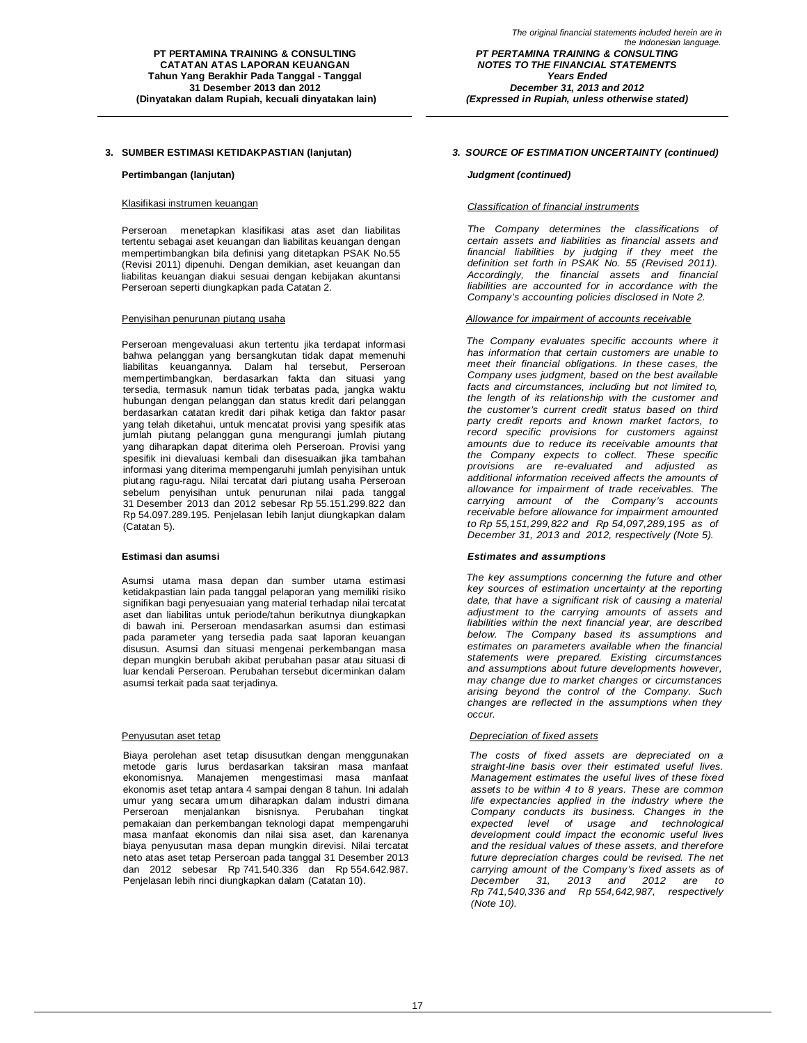### **3. SUMBER ESTIMASI KETIDAKPASTIAN (lanjutan)** *3. SOURCE OF ESTIMATION UNCERTAINTY (continued)*

#### **Pertimbangan (lanjutan)** *Judgment (continued)*

Perseroan menetapkan klasifikasi atas aset dan liabilitas tertentu sebagai aset keuangan dan liabilitas keuangan dengan mempertimbangkan bila definisi yang ditetapkan PSAK No.55 (Revisi 2011) dipenuhi. Dengan demikian, aset keuangan dan liabilitas keuangan diakui sesuai dengan kebijakan akuntansi Perseroan seperti diungkapkan pada Catatan 2.

Perseroan mengevaluasi akun tertentu jika terdapat informasi bahwa pelanggan yang bersangkutan tidak dapat memenuhi liabilitas keuangannya. Dalam hal tersebut, Perseroan mempertimbangkan, berdasarkan fakta dan situasi yang tersedia, termasuk namun tidak terbatas pada, jangka waktu hubungan dengan pelanggan dan status kredit dari pelanggan berdasarkan catatan kredit dari pihak ketiga dan faktor pasar yang telah diketahui, untuk mencatat provisi yang spesifik atas jumlah piutang pelanggan guna mengurangi jumlah piutang yang diharapkan dapat diterima oleh Perseroan. Provisi yang spesifik ini dievaluasi kembali dan disesuaikan jika tambahan informasi yang diterima mempengaruhi jumlah penyisihan untuk piutang ragu-ragu. Nilai tercatat dari piutang usaha Perseroan sebelum penyisihan untuk penurunan nilai pada tanggal 31 Desember 2013 dan 2012 sebesar Rp 55.151.299.822 dan Rp 54.097.289.195. Penjelasan lebih lanjut diungkapkan dalam (Catatan 5).

Asumsi utama masa depan dan sumber utama estimasi ketidakpastian lain pada tanggal pelaporan yang memiliki risiko signifikan bagi penyesuaian yang material terhadap nilai tercatat aset dan liabilitas untuk periode/tahun berikutnya diungkapkan di bawah ini. Perseroan mendasarkan asumsi dan estimasi pada parameter yang tersedia pada saat laporan keuangan disusun. Asumsi dan situasi mengenai perkembangan masa depan mungkin berubah akibat perubahan pasar atau situasi di luar kendali Perseroan. Perubahan tersebut dicerminkan dalam asumsi terkait pada saat terjadinya.

Biaya perolehan aset tetap disusutkan dengan menggunakan metode garis lurus berdasarkan taksiran masa manfaat ekonomisnya. Manajemen mengestimasi masa manfaat ekonomis aset tetap antara 4 sampai dengan 8 tahun. Ini adalah umur yang secara umum diharapkan dalam industri dimana Perseroan menjalankan bisnisnya. Perubahan tingkat pemakaian dan perkembangan teknologi dapat mempengaruhi masa manfaat ekonomis dan nilai sisa aset, dan karenanya biaya penyusutan masa depan mungkin direvisi. Nilai tercatat neto atas aset tetap Perseroan pada tanggal 31 Desember 2013 dan 2012 sebesar Rp 741.540.336 dan Rp 554.642.987. Penjelasan lebih rinci diungkapkan dalam (Catatan 10).

*(Expressed in Rupiah, unless otherwise stated)*

### Klasifikasi instrumen keuangan *Classification of financial instruments*

*The Company determines the classifications of certain assets and liabilities as financial assets and financial liabilities by judging if they meet the definition set forth in PSAK No. 55 (Revised 2011). Accordingly, the financial assets and financial liabilities are accounted for in accordance with the Company's accounting policies disclosed in Note 2.*

#### Penyisihan penurunan piutang usaha *Allowance for impairment of accounts receivable*

*The Company evaluates specific accounts where it has information that certain customers are unable to meet their financial obligations. In these cases, the Company uses judgment, based on the best available facts and circumstances, including but not limited to, the length of its relationship with the customer and the customer's current credit status based on third party credit reports and known market factors, to record specific provisions for customers against amounts due to reduce its receivable amounts that the Company expects to collect. These specific provisions are re-evaluated and adjusted as additional information received affects the amounts of allowance for impairment of trade receivables. The carrying amount of the Company's accounts receivable before allowance for impairment amounted to Rp 55,151,299,822 and Rp 54,097,289,195 as of December 31, 2013 and 2012, respectively (Note 5).*

### **Estimasi dan asumsi** *Estimates and assumptions*

*The key assumptions concerning the future and other key sources of estimation uncertainty at the reporting date, that have a significant risk of causing a material adjustment to the carrying amounts of assets and liabilities within the next financial year, are described below. The Company based its assumptions and estimates on parameters available when the financial statements were prepared. Existing circumstances and assumptions about future developments however, may change due to market changes or circumstances arising beyond the control of the Company. Such changes are reflected in the assumptions when they occur.*

#### Penyusutan aset tetap *Depreciation of fixed assets*

*The costs of fixed assets are depreciated on a straight-line basis over their estimated useful lives. Management estimates the useful lives of these fixed assets to be within 4 to 8 years. These are common life expectancies applied in the industry where the Company conducts its business. Changes in the expected level of usage and technological development could impact the economic useful lives and the residual values of these assets, and therefore future depreciation charges could be revised. The net carrying amount of the Company's fixed assets as of December 31, 2013 and 2012 are to Rp 741,540,336 and Rp 554,642,987, respectively (Note 10).*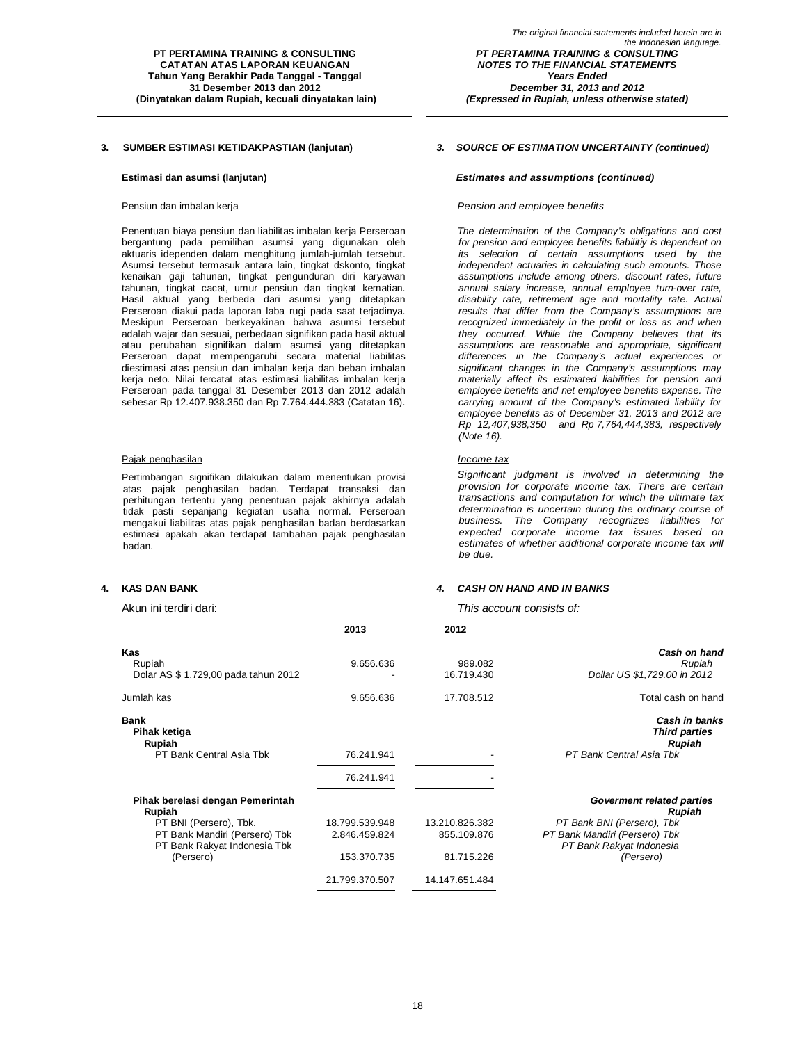Penentuan biaya pensiun dan liabilitas imbalan kerja Perseroan bergantung pada pemilihan asumsi yang digunakan oleh aktuaris idependen dalam menghitung jumlah-jumlah tersebut. Asumsi tersebut termasuk antara lain, tingkat dskonto, tingkat kenaikan gaji tahunan, tingkat pengunduran diri karyawan tahunan, tingkat cacat, umur pensiun dan tingkat kematian. Hasil aktual yang berbeda dari asumsi yang ditetapkan Perseroan diakui pada laporan laba rugi pada saat terjadinya. Meskipun Perseroan berkeyakinan bahwa asumsi tersebut adalah wajar dan sesuai, perbedaan signifikan pada hasil aktual atau perubahan signifikan dalam asumsi yang ditetapkan Perseroan dapat mempengaruhi secara material liabilitas diestimasi atas pensiun dan imbalan kerja dan beban imbalan kerja neto. Nilai tercatat atas estimasi liabilitas imbalan kerja Perseroan pada tanggal 31 Desember 2013 dan 2012 adalah sebesar Rp 12.407.938.350 dan Rp 7.764.444.383 (Catatan 16).

### Pajak penghasilan *Income tax*

Pertimbangan signifikan dilakukan dalam menentukan provisi atas pajak penghasilan badan. Terdapat transaksi dan perhitungan tertentu yang penentuan pajak akhirnya adalah tidak pasti sepanjang kegiatan usaha normal. Perseroan mengakui liabilitas atas pajak penghasilan badan berdasarkan estimasi apakah akan terdapat tambahan pajak penghasilan badan.

### **3. SUMBER ESTIMASI KETIDAKPASTIAN (lanjutan)** *3. SOURCE OF ESTIMATION UNCERTAINTY (continued)*

*(Expressed in Rupiah, unless otherwise stated)*

### **Estimasi dan asumsi (lanjutan)** *Estimates and assumptions (continued)*

#### Pensiun dan imbalan kerja *Pension and employee benefits*

*The determination of the Company's obligations and cost for pension and employee benefits liabilitiy is dependent on its selection of certain assumptions used by the independent actuaries in calculating such amounts. Those assumptions include among others, discount rates, future annual salary increase, annual employee turn-over rate, disability rate, retirement age and mortality rate. Actual results that differ from the Company's assumptions are recognized immediately in the profit or loss as and when they occurred. While the Company believes that its assumptions are reasonable and appropriate, significant differences in the Company's actual experiences or significant changes in the Company's assumptions may materially affect its estimated liabilities for pension and employee benefits and net employee benefits expense. The carrying amount of the Company's estimated liability for employee benefits as of December 31, 2013 and 2012 are Rp 12,407,938,350 and Rp 7,764,444,383, respectively (Note 16).*

*Significant judgment is involved in determining the provision for corporate income tax. There are certain transactions and computation for which the ultimate tax determination is uncertain during the ordinary course of business. The Company recognizes liabilities for expected corporate income tax issues based on estimates of whether additional corporate income tax will be due.*

### **4. KAS DAN BANK** *4. CASH ON HAND AND IN BANKS*

Akun ini terdiri dari: *This account consists of:*

|                                            | 2013           | 2012           |                                                               |
|--------------------------------------------|----------------|----------------|---------------------------------------------------------------|
| Kas                                        |                |                | Cash on hand                                                  |
| Rupiah                                     | 9.656.636      | 989.082        | Rupiah                                                        |
| Dolar AS \$ 1.729,00 pada tahun 2012       |                | 16.719.430     | Dollar US \$1,729.00 in 2012                                  |
| Jumlah kas                                 | 9.656.636      | 17.708.512     | Total cash on hand                                            |
| <b>Bank</b><br>Pihak ketiga<br>Rupiah      |                |                | <b>Cash in banks</b><br><b>Third parties</b><br><b>Rupiah</b> |
| PT Bank Central Asia Tbk                   | 76.241.941     |                | PT Bank Central Asia Tbk                                      |
|                                            | 76.241.941     |                |                                                               |
| Pihak berelasi dengan Pemerintah<br>Rupiah |                |                | Goverment related parties<br>Rupiah                           |
| PT BNI (Persero), Tbk.                     | 18.799.539.948 | 13.210.826.382 | PT Bank BNI (Persero), Tbk                                    |
| PT Bank Mandiri (Persero) Tbk              | 2.846.459.824  | 855.109.876    | PT Bank Mandiri (Persero) Tbk                                 |
| PT Bank Rakyat Indonesia Tbk               |                |                | PT Bank Rakyat Indonesia                                      |
| (Persero)                                  | 153.370.735    | 81.715.226     | (Persero)                                                     |
|                                            | 21.799.370.507 | 14.147.651.484 |                                                               |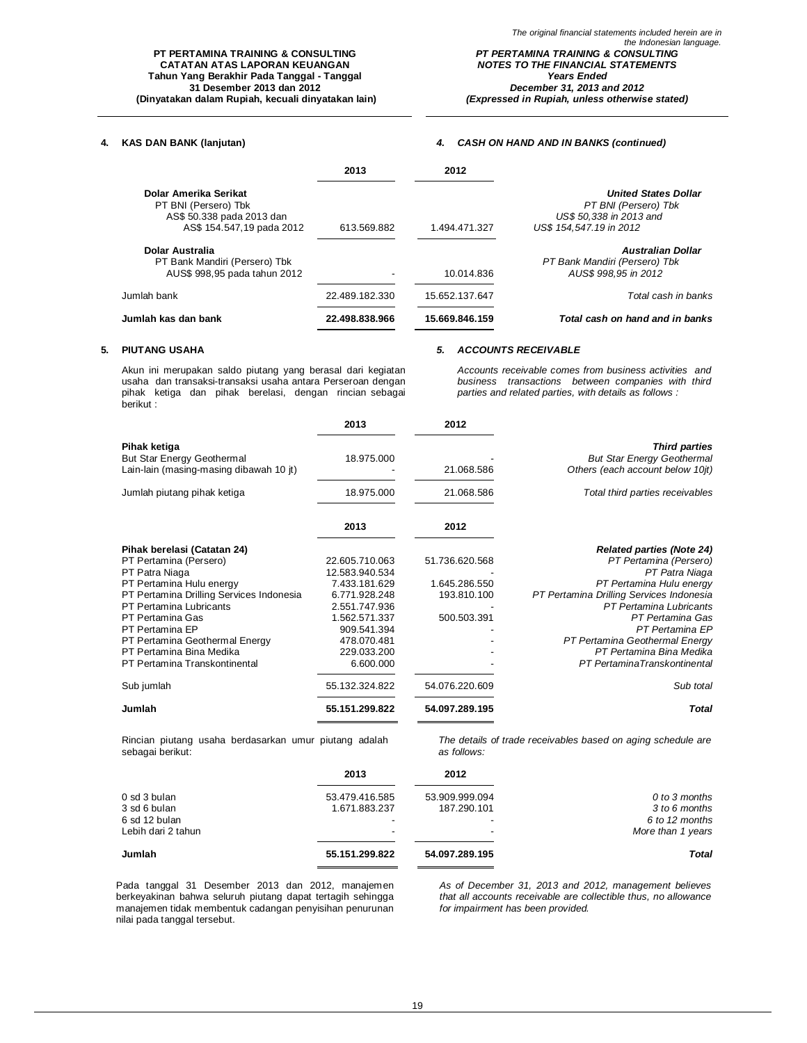### **PT PERTAMINA TRAINING & CONSULTING CATATAN ATAS LAPORAN KEUANGAN Tahun Yang Berakhir Pada Tanggal - Tanggal 31 Desember 2013 dan 2012 (Dinyatakan dalam Rupiah, kecuali dinyatakan lain)**

### *PT PERTAMINA TRAINING & CONSULTING NOTES TO THE FINANCIAL STATEMENTS Years Ended December 31, 2013 and 2012*

*(Expressed in Rupiah, unless otherwise stated)*

### **4. KAS DAN BANK (lanjutan)** *4. CASH ON HAND AND IN BANKS (continued)*

|                                                                                                         | 2013                     | 2012           |                                                                                                           |
|---------------------------------------------------------------------------------------------------------|--------------------------|----------------|-----------------------------------------------------------------------------------------------------------|
| Dolar Amerika Serikat<br>PT BNI (Persero) Tbk<br>AS\$ 50.338 pada 2013 dan<br>AS\$ 154.547,19 pada 2012 | 613.569.882              | 1.494.471.327  | <b>United States Dollar</b><br>PT BNI (Persero) Tbk<br>US\$ 50,338 in 2013 and<br>US\$ 154,547,19 in 2012 |
| Dolar Australia<br>PT Bank Mandiri (Persero) Tbk<br>AUS\$ 998,95 pada tahun 2012                        | $\overline{\phantom{a}}$ | 10.014.836     | Australian Dollar<br>PT Bank Mandiri (Persero) Tbk<br>AUS\$ 998.95 in 2012                                |
| Jumlah bank                                                                                             | 22.489.182.330           | 15.652.137.647 | Total cash in banks                                                                                       |
| Jumlah kas dan bank                                                                                     | 22.498.838.966           | 15.669.846.159 | Total cash on hand and in banks                                                                           |

#### **5. PIUTANG USAHA** *5. ACCOUNTS RECEIVABLE*

Akun ini merupakan saldo piutang yang berasal dari kegiatan usaha dan transaksi-transaksi usaha antara Perseroan dengan pihak ketiga dan pihak berelasi, dengan rincian sebagai berikut :

*Accounts receivable comes from business activities and business transactions between companies with third parties and related parties, with details as follows :*

|                                            | 2013           | 2012           |                                                           |
|--------------------------------------------|----------------|----------------|-----------------------------------------------------------|
| Pihak ketiga<br>But Star Energy Geothermal | 18.975.000     |                | <b>Third parties</b><br><b>But Star Energy Geothermal</b> |
| Lain-lain (masing-masing dibawah 10 jt)    |                | 21.068.586     | Others (each account below 10jt)                          |
| Jumlah piutang pihak ketiga                | 18.975.000     | 21.068.586     | Total third parties receivables                           |
|                                            | 2013           | 2012           |                                                           |
| Pihak berelasi (Catatan 24)                |                |                | <b>Related parties (Note 24)</b>                          |
| PT Pertamina (Persero)                     | 22.605.710.063 | 51.736.620.568 | PT Pertamina (Persero)                                    |
| PT Patra Niaga                             | 12.583.940.534 |                | PT Patra Niaga                                            |
| PT Pertamina Hulu energy                   | 7.433.181.629  | 1.645.286.550  | PT Pertamina Hulu energy                                  |
| PT Pertamina Drilling Services Indonesia   | 6.771.928.248  | 193.810.100    | PT Pertamina Drilling Services Indonesia                  |
| PT Pertamina Lubricants                    | 2.551.747.936  |                | PT Pertamina Lubricants                                   |
| PT Pertamina Gas                           | 1.562.571.337  | 500.503.391    | PT Pertamina Gas                                          |
| PT Pertamina EP                            | 909.541.394    |                | PT Pertamina EP                                           |
| PT Pertamina Geothermal Energy             | 478.070.481    |                | PT Pertamina Geothermal Energy                            |
| PT Pertamina Bina Medika                   | 229.033.200    |                | PT Pertamina Bina Medika                                  |
| PT Pertamina Transkontinental              | 6.600.000      |                | PT PertaminaTranskontinental                              |
| Sub jumlah                                 | 55.132.324.822 | 54.076.220.609 | Sub total                                                 |
| Jumlah                                     | 55.151.299.822 | 54.097.289.195 | <b>Total</b>                                              |
|                                            |                |                |                                                           |

Rincian piutang usaha berdasarkan umur piutang adalah sebagai berikut:

*The details of trade receivables based on aging schedule are as follows:*

|                                     | 2013           | 2012           |                                     |
|-------------------------------------|----------------|----------------|-------------------------------------|
| 0 sd 3 bulan                        | 53.479.416.585 | 53.909.999.094 | 0 to 3 months                       |
| 3 sd 6 bulan                        | 1.671.883.237  | 187.290.101    | 3 to 6 months                       |
| 6 sd 12 bulan<br>Lebih dari 2 tahun |                |                | 6 to 12 months<br>More than 1 years |
| Jumlah                              | 55.151.299.822 | 54.097.289.195 | <b>Total</b>                        |

Pada tanggal 31 Desember 2013 dan 2012, manajemen berkeyakinan bahwa seluruh piutang dapat tertagih sehingga manajemen tidak membentuk cadangan penyisihan penurunan nilai pada tanggal tersebut.

*As of December 31, 2013 and 2012, management believes that all accounts receivable are collectible thus, no allowance for impairment has been provided.*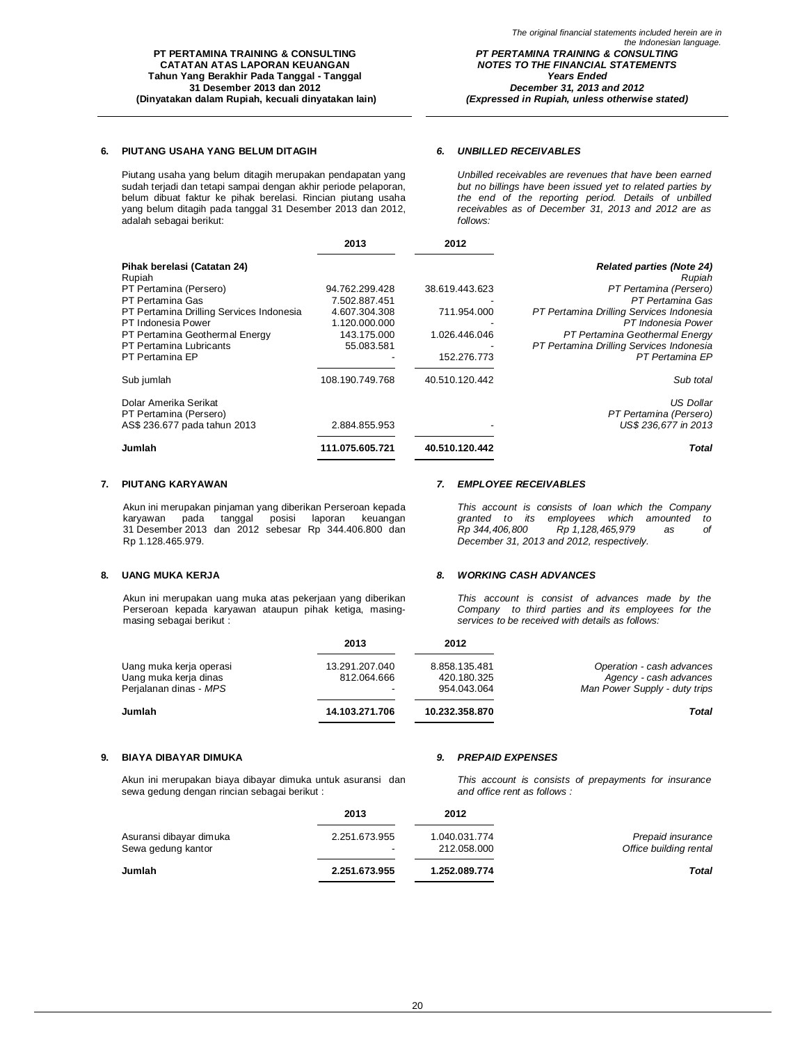### **6. PIUTANG USAHA YANG BELUM DITAGIH** *6. UNBILLED RECEIVABLES*

Piutang usaha yang belum ditagih merupakan pendapatan yang sudah terjadi dan tetapi sampai dengan akhir periode pelaporan, belum dibuat faktur ke pihak berelasi. Rincian piutang usaha yang belum ditagih pada tanggal 31 Desember 2013 dan 2012, adalah sebagai berikut:

*Unbilled receivables are revenues that have been earned but no billings have been issued yet to related parties by the end of the reporting period. Details of unbilled receivables as of December 31, 2013 and 2012 are as follows:*

|                                                 | 2013            | 2012           |                                            |
|-------------------------------------------------|-----------------|----------------|--------------------------------------------|
| Pihak berelasi (Catatan 24)<br>Rupiah           |                 |                | <b>Related parties (Note 24)</b><br>Rupiah |
| PT Pertamina (Persero)                          | 94.762.299.428  | 38.619.443.623 | PT Pertamina (Persero)                     |
| PT Pertamina Gas                                | 7.502.887.451   |                | PT Pertamina Gas                           |
| PT Pertamina Drilling Services Indonesia        | 4.607.304.308   | 711.954.000    | PT Pertamina Drilling Services Indonesia   |
| PT Indonesia Power                              | 1.120.000.000   |                | PT Indonesia Power                         |
| PT Pertamina Geothermal Energy                  | 143.175.000     | 1.026.446.046  | PT Pertamina Geothermal Energy             |
| PT Pertamina Lubricants                         | 55.083.581      |                | PT Pertamina Drilling Services Indonesia   |
| PT Pertamina EP                                 |                 | 152.276.773    | PT Pertamina EP                            |
| Sub jumlah                                      | 108.190.749.768 | 40.510.120.442 | Sub total                                  |
| Dolar Amerika Serikat<br>PT Pertamina (Persero) |                 |                | <b>US Dollar</b><br>PT Pertamina (Persero) |
| AS\$ 236.677 pada tahun 2013                    | 2.884.855.953   |                | US\$ 236,677 in 2013                       |
| Jumlah                                          | 111.075.605.721 | 40.510.120.442 | Total                                      |

### **7. PIUTANG KARYAWAN** *7. EMPLOYEE RECEIVABLES*

Akun ini merupakan pinjaman yang diberikan Perseroan kepada karyawan pada tanggal posisi laporan keuangan 31 Desember 2013 dan 2012 sebesar Rp 344.406.800 dan Rp 1.128.465.979.

### **8. UANG MUKA KERJA** *8. WORKING CASH ADVANCES*

Akun ini merupakan uang muka atas pekerjaan yang diberikan Perseroan kepada karyawan ataupun pihak ketiga, masingmasing sebagai berikut :

## *This account is consist of advances made by the Company to third parties and its employees for the services to be received with details as follows:* **2013 2012**

| Jumlah                  | 14.103.271.706           | 10.232.358.870 | Total                         |
|-------------------------|--------------------------|----------------|-------------------------------|
| Perjalanan dinas - MPS  | $\overline{\phantom{0}}$ | 954.043.064    | Man Power Supply - duty trips |
| Uang muka kerja dinas   | 812.064.666              | 420.180.325    | Agency - cash advances        |
| Uang muka kerja operasi | 13.291.207.040           | 8.858.135.481  | Operation - cash advances     |

#### **9. BIAYA DIBAYAR DIMUKA** *9. PREPAID EXPENSES*

Akun ini merupakan biaya dibayar dimuka untuk asuransi dan sewa gedung dengan rincian sebagai berikut :

*This account is consists of prepayments for insurance and office rent as follows :*

*This account is consists of loan which the Company granted to its employees which amounted to* 

*December 31, 2013 and 2012, respectively.*

*Rp 344,406,800 Rp 1,128,465,979 as of* 

|                                               | 2013                                      | 2012                         |                                             |
|-----------------------------------------------|-------------------------------------------|------------------------------|---------------------------------------------|
| Asuransi dibayar dimuka<br>Sewa gedung kantor | 2.251.673.955<br>$\overline{\phantom{a}}$ | 1.040.031.774<br>212.058.000 | Prepaid insurance<br>Office building rental |
| Jumlah                                        | 2.251.673.955                             | 1.252.089.774                | <b>Total</b>                                |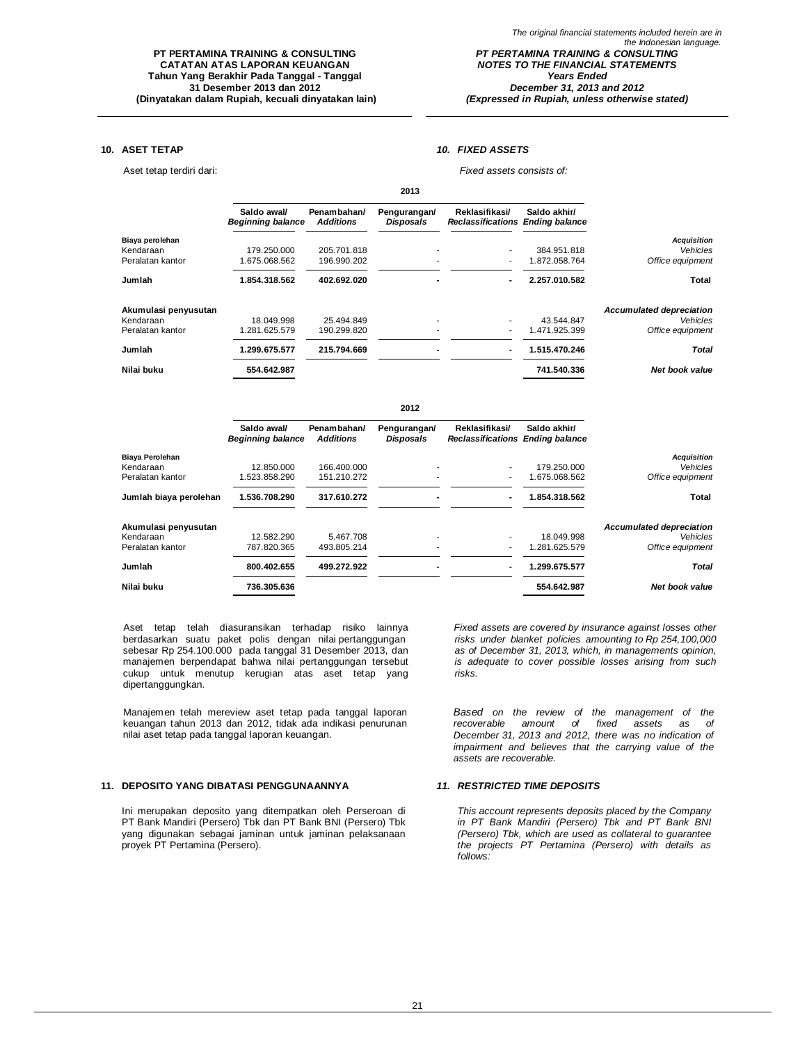### **10. ASET TETAP** *10. FIXED ASSETS*

Aset tetap terdiri dari: *Fixed assets consists of:*

|                      |                                         |                                 | 2013                             |                                                           |               |                                 |
|----------------------|-----------------------------------------|---------------------------------|----------------------------------|-----------------------------------------------------------|---------------|---------------------------------|
|                      | Saldo awal/<br><b>Beginning balance</b> | Penambahan/<br><b>Additions</b> | Pengurangan/<br><b>Disposals</b> | Reklasifikasi/<br><b>Reclassifications Ending balance</b> | Saldo akhir/  |                                 |
| Biaya perolehan      |                                         |                                 |                                  |                                                           |               | <b>Acquisition</b>              |
| Kendaraan            | 179.250.000                             | 205.701.818                     |                                  | ۰.                                                        | 384.951.818   | Vehicles                        |
| Peralatan kantor     | 1.675.068.562                           | 196.990.202                     |                                  | ٠                                                         | 1.872.058.764 | Office equipment                |
| Jumlah               | 1.854.318.562                           | 402.692.020                     |                                  | $\blacksquare$                                            | 2.257.010.582 | <b>Total</b>                    |
| Akumulasi penyusutan |                                         |                                 |                                  |                                                           |               | <b>Accumulated depreciation</b> |
| Kendaraan            | 18.049.998                              | 25.494.849                      |                                  |                                                           | 43.544.847    | Vehicles                        |
| Peralatan kantor     | 1.281.625.579                           | 190.299.820                     |                                  | ۰                                                         | 1.471.925.399 | Office equipment                |
| Jumlah               | 1.299.675.577                           | 215.794.669                     |                                  | $\blacksquare$                                            | 1.515.470.246 | Total                           |
| Nilai buku           | 554.642.987                             |                                 |                                  |                                                           | 741.540.336   | <b>Net book value</b>           |

## **2012 Saldo awal/ Penambahan/ Pengurangan/ Reklasifikasi/ Saldo akhir/** *Beginning balance Additions Disposals Reclassifications Ending balance* **Biaya Perolehan** *Acquisition* Kendaraan 12.850.000 166.400.000 *- -* 179.250.000 *Vehicles*  Peralatan kantor 1.523.858.290 151.210.272 - - 1.675.068.562 *Office equipment* **Jumlah biaya perolehan 1.536.708.290 317.610.272 - - 1.854.318.562 Total Akumulasi penyusutan** *Accumulated depreciation* Kendaraan 12.582.290 5.467.708 - - 18.049.998 *Vehicles*  Peralatan kantor 787.820.365 493.805.214 - - 1.281.625.579 *Office equipment* **Jumlah 800.402.655 499.272.922 - - 1.299.675.577** *Total* **Nilai buku 736.305.636 554.642.987** *Net book value*

Aset tetap telah diasuransikan terhadap risiko lainnya berdasarkan suatu paket polis dengan nilai pertanggungan sebesar Rp 254.100.000 pada tanggal 31 Desember 2013, dan manajemen berpendapat bahwa nilai pertanggungan tersebut cukup untuk menutup kerugian atas aset tetap yang dipertanggungkan.

Manajemen telah mereview aset tetap pada tanggal laporan keuangan tahun 2013 dan 2012, tidak ada indikasi penurunan nilai aset tetap pada tanggal laporan keuangan.

#### **11. DEPOSITO YANG DIBATASI PENGGUNAANNYA** *11. RESTRICTED TIME DEPOSITS*

Ini merupakan deposito yang ditempatkan oleh Perseroan di PT Bank Mandiri (Persero) Tbk dan PT Bank BNI (Persero) Tbk yang digunakan sebagai jaminan untuk jaminan pelaksanaan proyek PT Pertamina (Persero).

*Fixed assets are covered by insurance against losses other risks under blanket policies amounting to Rp 254,100,000 as of December 31, 2013, which, in managements opinion, is adequate to cover possible losses arising from such risks.*

*Based on the review of the management of the fixed assets as of December 31, 2013 and 2012, there was no indication of impairment and believes that the carrying value of the assets are recoverable.*

*This account represents deposits placed by the Company in PT Bank Mandiri (Persero) Tbk and PT Bank BNI (Persero) Tbk, which are used as collateral to guarantee the projects PT Pertamina (Persero) with details as follows:*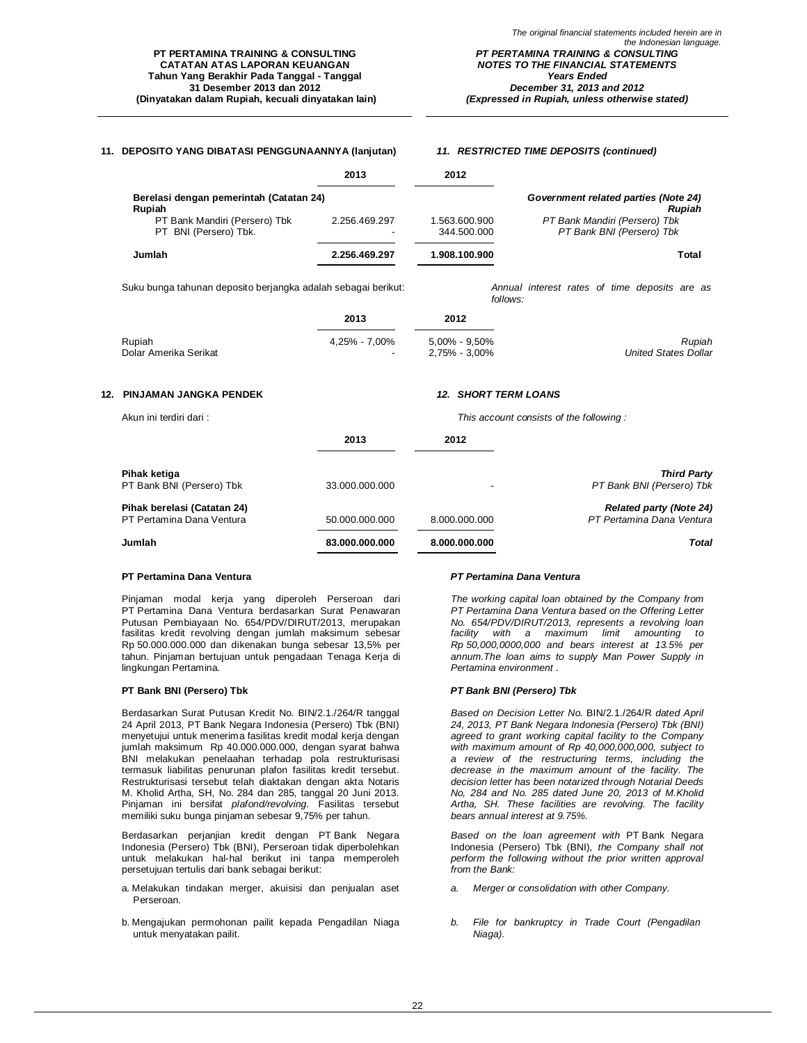### **11. DEPOSITO YANG DIBATASI PENGGUNAANNYA (lanjutan)** *11. RESTRICTED TIME DEPOSITS (continued)*

|                                                        | 2013               | 2012                         |                                                            |
|--------------------------------------------------------|--------------------|------------------------------|------------------------------------------------------------|
| Berelasi dengan pemerintah (Catatan 24)<br>Rupiah      |                    |                              | Government related parties (Note 24)<br><b>Rupiah</b>      |
| PT Bank Mandiri (Persero) Tbk<br>PT BNI (Persero) Tbk. | 2.256.469.297<br>۰ | 1.563.600.900<br>344.500.000 | PT Bank Mandiri (Persero) Tbk<br>PT Bank BNI (Persero) Tbk |
| Jumlah                                                 | 2.256.469.297      | 1.908.100.900                | Total                                                      |

Suku bunga tahunan deposito berjangka adalah sebagai berikut: *Annual interest rates of time deposits are as* 

*follows:*

| Rupiah<br><b>United States Dollar</b> |
|---------------------------------------|
|                                       |

#### **12. PINJAMAN JANGKA PENDEK** *12. SHORT TERM LOANS*

| Akun ini terdiri dari:                                   |                |               | This account consists of the following:                     |
|----------------------------------------------------------|----------------|---------------|-------------------------------------------------------------|
|                                                          | 2013           | 2012          |                                                             |
| Pihak ketiga<br>PT Bank BNI (Persero) Tbk                | 33.000.000.000 |               | <b>Third Party</b><br>PT Bank BNI (Persero) Tbk             |
| Pihak berelasi (Catatan 24)<br>PT Pertamina Dana Ventura | 50.000.000.000 | 8.000.000.000 | <b>Related party (Note 24)</b><br>PT Pertamina Dana Ventura |
| Jumlah                                                   | 83.000.000.000 | 8.000.000.000 | <b>Total</b>                                                |

#### **PT Pertamina Dana Ventura** *PT Pertamina Dana Ventura*

Pinjaman modal kerja yang diperoleh Perseroan dari PT Pertamina Dana Ventura berdasarkan Surat Penawaran Putusan Pembiayaan No. 654/PDV/DIRUT/2013, merupakan fasilitas kredit revolving dengan jumlah maksimum sebesar Rp 50.000.000.000 dan dikenakan bunga sebesar 13,5% per tahun. Pinjaman bertujuan untuk pengadaan Tenaga Kerja di lingkungan Pertamina.

### **PT Bank BNI (Persero) Tbk** *PT Bank BNI (Persero) Tbk*

Berdasarkan Surat Putusan Kredit No. BIN/2.1./264/R tanggal 24 April 2013, PT Bank Negara Indonesia (Persero) Tbk (BNI) menyetujui untuk menerima fasilitas kredit modal kerja dengan jumlah maksimum Rp 40.000.000.000, dengan syarat bahwa BNI melakukan penelaahan terhadap pola restrukturisasi termasuk liabilitas penurunan plafon fasilitas kredit tersebut. Restrukturisasi tersebut telah diaktakan dengan akta Notaris M. Kholid Artha, SH, No. 284 dan 285, tanggal 20 Juni 2013. Pinjaman ini bersifat *plafond/revolving*. Fasilitas tersebut memiliki suku bunga pinjaman sebesar 9,75% per tahun.

Berdasarkan perjanjian kredit dengan PT Bank Negara Indonesia (Persero) Tbk (BNI), Perseroan tidak diperbolehkan untuk melakukan hal-hal berikut ini tanpa memperoleh persetujuan tertulis dari bank sebagai berikut:

- a. Melakukan tindakan merger, akuisisi dan penjualan aset Perseroan.
- b. Mengajukan permohonan pailit kepada Pengadilan Niaga untuk menyatakan pailit.

*The working capital loan obtained by the Company from PT Pertamina Dana Ventura based on the Offering Letter No. 654/PDV/DIRUT/2013, represents a revolving loan facility with a maximum limit amounting to Rp 50,000,0000,000 and bears interest at 13.5% per annum.The loan aims to supply Man Power Supply in Pertamina environment .*

*Based on Decision Letter No.* BIN/2.1./264/R *dated April 24, 2013, PT Bank Negara Indonesia (Persero) Tbk (BNI) agreed to grant working capital facility to the Company with maximum amount of Rp 40,000,000,000, subject to a review of the restructuring terms, including the decrease in the maximum amount of the facility. The decision letter has been notarized through Notarial Deeds No, 284 and No. 285 dated June 20, 2013 of M.Kholid Artha, SH. These facilities are revolving. The facility bears annual interest at 9.75%.*

*Based on the loan agreement with* PT Bank Negara Indonesia (Persero) Tbk (BNI)*, the Company shall not perform the following without the prior written approval from the Bank:*

- *a. Merger or consolidation with other Company.*
- *b. File for bankruptcy in Trade Court (Pengadilan Niaga).*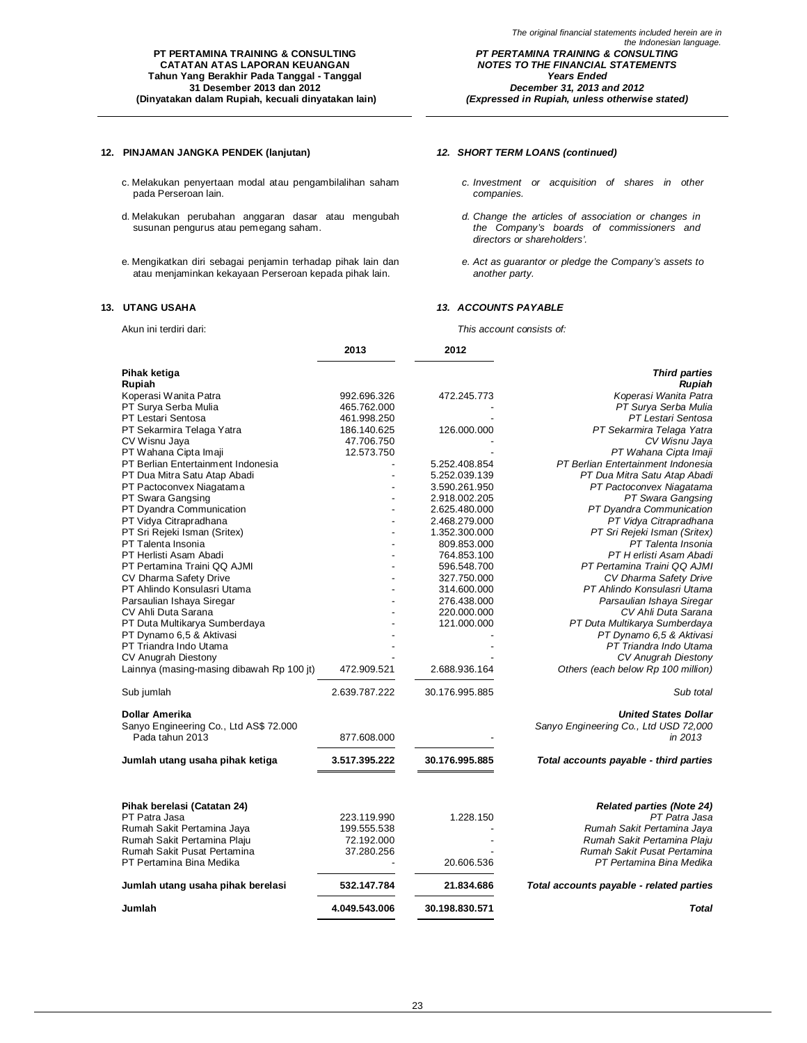### **12. PINJAMAN JANGKA PENDEK (lanjutan)** *12. SHORT TERM LOANS (continued)*

- c. Melakukan penyertaan modal atau pengambilalihan saham pada Perseroan lain.
- d. Melakukan perubahan anggaran dasar atau mengubah susunan pengurus atau pemegang saham.
- e. Mengikatkan diri sebagai penjamin terhadap pihak lain dan atau menjaminkan kekayaan Perseroan kepada pihak lain.

- *c. Investment or acquisition of shares in other companies.*
- *d. Change the articles of association or changes in the Company's boards of commissioners and directors or shareholders'.*
- *e. Act as guarantor or pledge the Company's assets to another party.*

### **13. UTANG USAHA** *13. ACCOUNTS PAYABLE*

Akun ini terdiri dari: *This account consists of:*

|                                           | 2013          | 2012           |                                          |
|-------------------------------------------|---------------|----------------|------------------------------------------|
| Pihak ketiga                              |               |                | <b>Third parties</b>                     |
| Rupiah                                    |               |                | Rupiah                                   |
| Koperasi Wanita Patra                     | 992.696.326   | 472.245.773    | Koperasi Wanita Patra                    |
| PT Surya Serba Mulia                      | 465.762.000   |                | PT Surva Serba Mulia                     |
| PT Lestari Sentosa                        | 461.998.250   |                | PT Lestari Sentosa                       |
| PT Sekarmira Telaga Yatra                 | 186.140.625   | 126.000.000    | PT Sekarmira Telaga Yatra                |
| CV Wisnu Jaya                             | 47.706.750    |                | CV Wisnu Jaya                            |
| PT Wahana Cipta Imaji                     | 12.573.750    |                | PT Wahana Cipta Imaji                    |
| PT Berlian Entertainment Indonesia        |               | 5.252.408.854  | PT Berlian Entertainment Indonesia       |
| PT Dua Mitra Satu Atap Abadi              |               | 5.252.039.139  | PT Dua Mitra Satu Atap Abadi             |
| PT Pactoconvex Niagatama                  |               | 3.590.261.950  | PT Pactoconvex Niagatama                 |
| PT Swara Gangsing                         |               | 2.918.002.205  | PT Swara Gangsing                        |
| PT Dyandra Communication                  |               | 2.625.480.000  | PT Dyandra Communication                 |
| PT Vidya Citrapradhana                    |               | 2.468.279.000  | PT Vidya Citrapradhana                   |
| PT Sri Rejeki Isman (Sritex)              |               | 1.352.300.000  | PT Sri Rejeki Isman (Sritex)             |
| PT Talenta Insonia                        |               | 809.853.000    | PT Talenta Insonia                       |
| PT Herlisti Asam Abadi                    |               | 764.853.100    | PT H erlisti Asam Abadi                  |
| PT Pertamina Traini QQ AJMI               |               | 596.548.700    | PT Pertamina Traini QQ AJMI              |
| CV Dharma Safety Drive                    |               | 327.750.000    | CV Dharma Safety Drive                   |
| PT Ahlindo Konsulasri Utama               |               | 314.600.000    | PT Ahlindo Konsulasri Utama              |
| Parsaulian Ishaya Siregar                 |               | 276.438.000    | Parsaulian Ishaya Siregar                |
| CV Ahli Duta Sarana                       |               | 220.000.000    | CV Ahli Duta Sarana                      |
| PT Duta Multikarya Sumberdaya             |               | 121.000.000    | PT Duta Multikarya Sumberdaya            |
| PT Dynamo 6,5 & Aktivasi                  |               |                | PT Dynamo 6.5 & Aktivasi                 |
| PT Triandra Indo Utama                    |               |                | PT Triandra Indo Utama                   |
| <b>CV Anugrah Diestony</b>                |               |                | <b>CV Anugrah Diestony</b>               |
| Lainnya (masing-masing dibawah Rp 100 it) | 472.909.521   | 2.688.936.164  | Others (each below Rp 100 million)       |
|                                           |               |                |                                          |
| Sub jumlah                                | 2.639.787.222 | 30.176.995.885 | Sub total                                |
| Dollar Amerika                            |               |                | <b>United States Dollar</b>              |
| Sanyo Engineering Co., Ltd AS\$ 72.000    |               |                | Sanyo Engineering Co., Ltd USD 72,000    |
| Pada tahun 2013                           | 877.608.000   |                | in 2013                                  |
|                                           |               |                |                                          |
| Jumlah utang usaha pihak ketiga           | 3.517.395.222 | 30.176.995.885 | Total accounts payable - third parties   |
|                                           |               |                |                                          |
| Pihak berelasi (Catatan 24)               |               |                | <b>Related parties (Note 24)</b>         |
| PT Patra Jasa                             | 223.119.990   | 1.228.150      | PT Patra Jasa                            |
| Rumah Sakit Pertamina Jaya                | 199.555.538   |                | Rumah Sakit Pertamina Jaya               |
| Rumah Sakit Pertamina Plaiu               | 72.192.000    |                | Rumah Sakit Pertamina Plaiu              |
| Rumah Sakit Pusat Pertamina               | 37.280.256    |                | Rumah Sakit Pusat Pertamina              |
| PT Pertamina Bina Medika                  |               | 20.606.536     | PT Pertamina Bina Medika                 |
| Jumlah utang usaha pihak berelasi         | 532.147.784   | 21.834.686     | Total accounts payable - related parties |
| Jumlah                                    | 4.049.543.006 | 30.198.830.571 | Total                                    |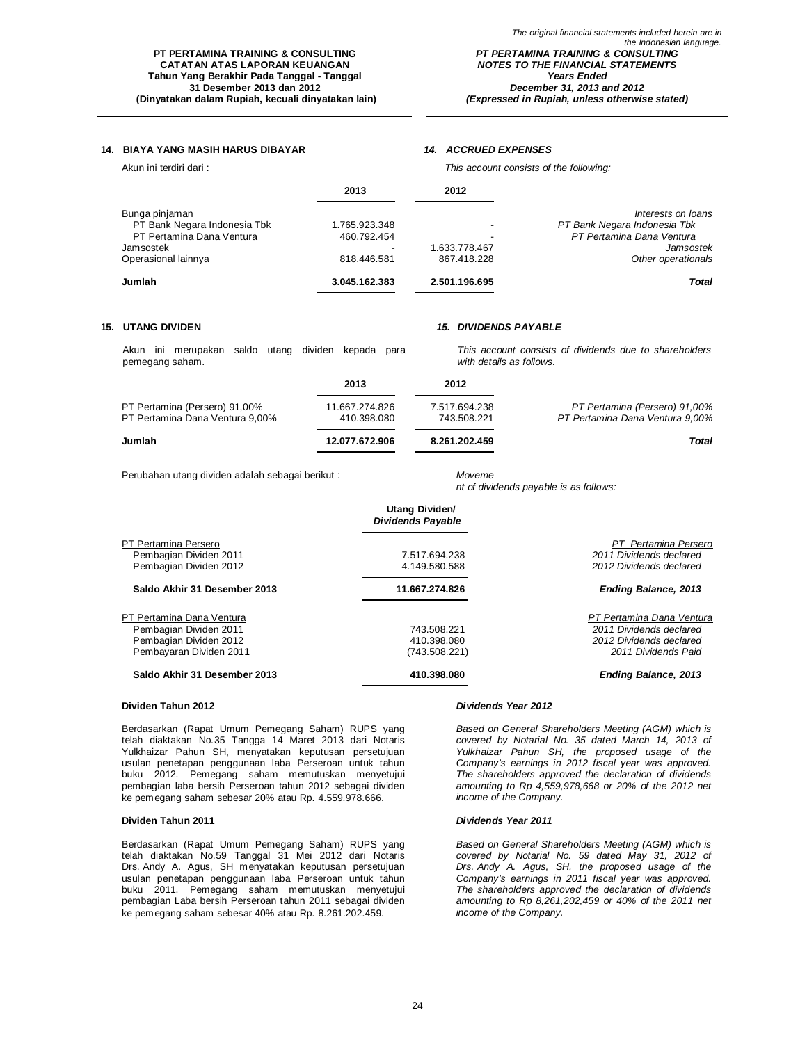*(Expressed in Rupiah, unless otherwise stated)*

### **14. BIAYA YANG MASIH HARUS DIBAYAR** *14. ACCRUED EXPENSES*

Akun ini terdiri dari : *This account consists of the following:*

|                              | 2013          | 2012                     |                              |
|------------------------------|---------------|--------------------------|------------------------------|
| Bunga pinjaman               |               |                          | Interests on loans           |
| PT Bank Negara Indonesia Tbk | 1.765.923.348 | $\overline{\phantom{a}}$ | PT Bank Negara Indonesia Tbk |
| PT Pertamina Dana Ventura    | 460.792.454   |                          | PT Pertamina Dana Ventura    |
| Jamsostek                    |               | 1.633.778.467            | Jamsostek                    |
| Operasional lainnya          | 818.446.581   | 867.418.228              | Other operationals           |
| Jumlah                       | 3.045.162.383 | 2.501.196.695            | Total                        |

Akun ini merupakan saldo utang dividen kepada para pemegang saham.

### **15. UTANG DIVIDEN** *15. DIVIDENDS PAYABLE*

*This account consists of dividends due to shareholders with details as follows.*

|                                                                  | 2013                          | 2012                         |                                                                  |
|------------------------------------------------------------------|-------------------------------|------------------------------|------------------------------------------------------------------|
| PT Pertamina (Persero) 91,00%<br>PT Pertamina Dana Ventura 9.00% | 11.667.274.826<br>410.398.080 | 7.517.694.238<br>743.508.221 | PT Pertamina (Persero) 91,00%<br>PT Pertamina Dana Ventura 9.00% |
| Jumlah                                                           | 12.077.672.906                | 8.261.202.459                | Total                                                            |

Perubahan utang dividen adalah sebagai berikut : *Moveme*

*nt of dividends payable is as follows:*

|                              | Utang Dividen/<br><b>Dividends Payable</b> |                             |
|------------------------------|--------------------------------------------|-----------------------------|
| PT Pertamina Persero         |                                            | PT Pertamina Persero        |
| Pembagian Dividen 2011       | 7.517.694.238                              | 2011 Dividends declared     |
| Pembagian Dividen 2012       | 4.149.580.588                              | 2012 Dividends declared     |
| Saldo Akhir 31 Desember 2013 | 11.667.274.826                             | <b>Ending Balance, 2013</b> |
| PT Pertamina Dana Ventura    |                                            | PT Pertamina Dana Ventura   |
| Pembagian Dividen 2011       | 743.508.221                                | 2011 Dividends declared     |
| Pembagian Dividen 2012       | 410.398.080                                | 2012 Dividends declared     |
| Pembayaran Dividen 2011      | (743.508.221)                              | 2011 Dividends Paid         |
| Saldo Akhir 31 Desember 2013 | 410.398.080                                | <b>Ending Balance, 2013</b> |

### **Dividen Tahun 2012** *Dividends Year 2012*

Berdasarkan (Rapat Umum Pemegang Saham) RUPS yang telah diaktakan No.35 Tangga 14 Maret 2013 dari Notaris Yulkhaizar Pahun SH, menyatakan keputusan persetujuan usulan penetapan penggunaan laba Perseroan untuk tahun buku 2012. Pemegang saham memutuskan menyetujui pembagian laba bersih Perseroan tahun 2012 sebagai dividen ke pemegang saham sebesar 20% atau Rp. 4.559.978.666.

#### **Dividen Tahun 2011** *Dividends Year 2011*

Berdasarkan (Rapat Umum Pemegang Saham) RUPS yang telah diaktakan No.59 Tanggal 31 Mei 2012 dari Notaris Drs. Andy A. Agus, SH menyatakan keputusan persetujuan usulan penetapan penggunaan laba Perseroan untuk tahun buku 2011. Pemegang saham memutuskan menyetujui pembagian Laba bersih Perseroan tahun 2011 sebagai dividen ke pemegang saham sebesar 40% atau Rp. 8.261.202.459.

*Based on General Shareholders Meeting (AGM) which is covered by Notarial No. 35 dated March 14, 2013 of Yulkhaizar Pahun SH, the proposed usage of the Company's earnings in 2012 fiscal year was approved. The shareholders approved the declaration of dividends amounting to Rp 4,559,978,668 or 20% of the 2012 net income of the Company.*

*Based on General Shareholders Meeting (AGM) which is covered by Notarial No. 59 dated May 31, 2012 of Drs. Andy A. Agus, SH, the proposed usage of the Company's earnings in 2011 fiscal year was approved. The shareholders approved the declaration of dividends amounting to Rp 8,261,202,459 or 40% of the 2011 net income of the Company.*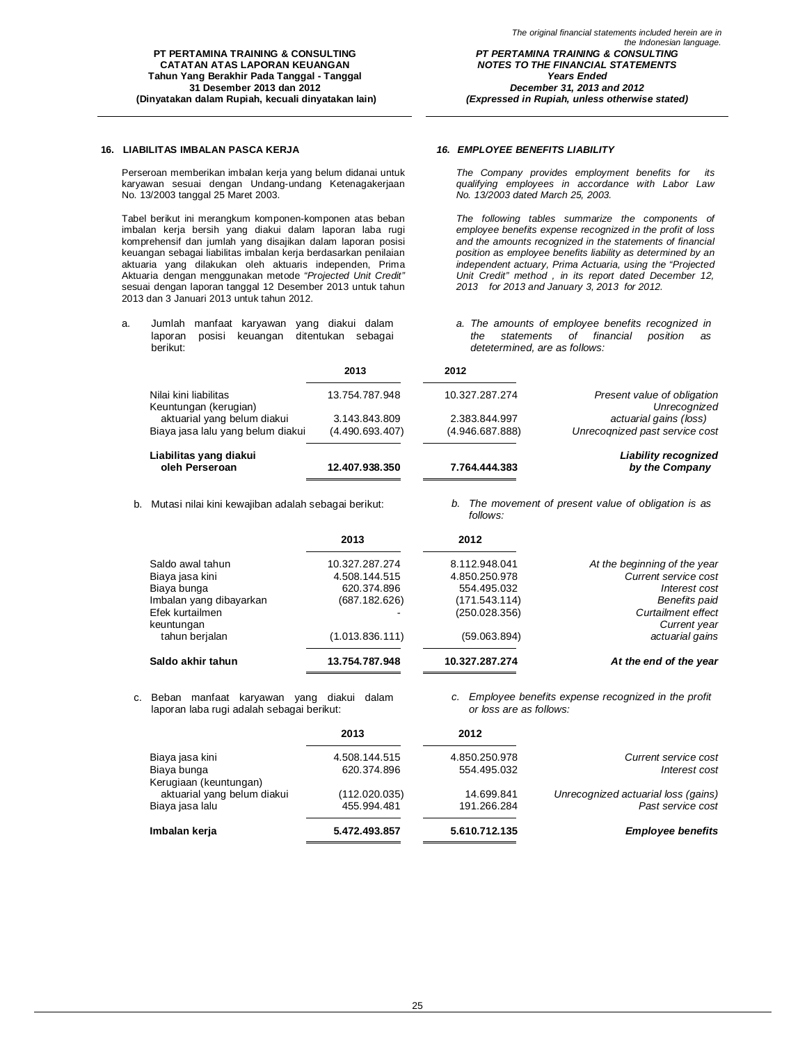### **16. LIABILITAS IMBALAN PASCA KERJA** *16. EMPLOYEE BENEFITS LIABILITY*

Perseroan memberikan imbalan kerja yang belum didanai untuk karyawan sesuai dengan Undang-undang Ketenagakerjaan No. 13/2003 tanggal 25 Maret 2003.

Tabel berikut ini merangkum komponen-komponen atas beban imbalan kerja bersih yang diakui dalam laporan laba rugi komprehensif dan jumlah yang disajikan dalam laporan posisi keuangan sebagai liabilitas imbalan kerja berdasarkan penilaian aktuaria yang dilakukan oleh aktuaris independen, Prima Aktuaria dengan menggunakan metode *"Projected Unit Credit"* sesuai dengan laporan tanggal 12 Desember 2013 untuk tahun 2013 dan 3 Januari 2013 untuk tahun 2012.

a. Jumlah manfaat karyawan yang diakui dalam laporan posisi keuangan ditentukan sebagai berikut:

*The Company provides employment benefits for its qualifying employees in accordance with Labor Law No. 13/2003 dated March 25, 2003.*

*The following tables summarize the components of employee benefits expense recognized in the profit of loss and the amounts recognized in the statements of financial position as employee benefits liability as determined by an independent actuary, Prima Actuaria, using the "Projected Unit Credit" method , in its report dated December 12, 2013 for 2013 and January 3, 2013 for 2012.*

*a. The amounts of employee benefits recognized in the statements of financial position as detetermined, are as follows:*

|                                                                  | 2013                             | 2012                             |                                                          |
|------------------------------------------------------------------|----------------------------------|----------------------------------|----------------------------------------------------------|
| Nilai kini liabilitas<br>Keuntungan (kerugian)                   | 13.754.787.948                   | 10.327.287.274                   | Present value of obligation<br>Unrecognized              |
| aktuarial yang belum diakui<br>Biaya jasa lalu yang belum diakui | 3.143.843.809<br>(4.490.693.407) | 2.383.844.997<br>(4.946.687.888) | actuarial gains (loss)<br>Unrecognized past service cost |
| Liabilitas yang diakui<br>oleh Perseroan                         | 12.407.938.350                   | 7.764.444.383                    | <b>Liability recognized</b><br>by the Company            |

b. Mutasi nilai kini kewajiban adalah sebagai berikut: *b. The movement of present value of obligation is as follows:*

|                               | 2013            | 2012           |                                           |
|-------------------------------|-----------------|----------------|-------------------------------------------|
| Saldo awal tahun              | 10.327.287.274  | 8.112.948.041  | At the beginning of the year              |
| Biaya jasa kini               | 4.508.144.515   | 4.850.250.978  | Current service cost                      |
| Biaya bunga                   | 620.374.896     | 554.495.032    | Interest cost                             |
| Imbalan yang dibayarkan       | (687.182.626)   | (171.543.114)  | <b>Benefits paid</b>                      |
| Efek kurtailmen<br>keuntungan |                 | (250.028.356)  | <b>Curtailment effect</b><br>Current year |
| tahun berjalan                | (1.013.836.111) | (59.063.894)   | actuarial gains                           |
| Saldo akhir tahun             | 13.754.787.948  | 10.327.287.274 | At the end of the year                    |

c. Beban manfaat karyawan yang diakui dalam laporan laba rugi adalah sebagai berikut:

*c. Employee benefits expense recognized in the profit or loss are as follows:*

|                             | 2013          | 2012          |                                     |
|-----------------------------|---------------|---------------|-------------------------------------|
| Biaya jasa kini             | 4.508.144.515 | 4.850.250.978 | Current service cost                |
| Biaya bunga                 | 620.374.896   | 554.495.032   | Interest cost                       |
| Kerugiaan (keuntungan)      |               |               |                                     |
| aktuarial yang belum diakui | (112.020.035) | 14.699.841    | Unrecognized actuarial loss (gains) |
| Biaya jasa lalu             | 455.994.481   | 191.266.284   | Past service cost                   |
| Imbalan kerja               | 5.472.493.857 | 5.610.712.135 | <b>Employee benefits</b>            |
|                             |               |               |                                     |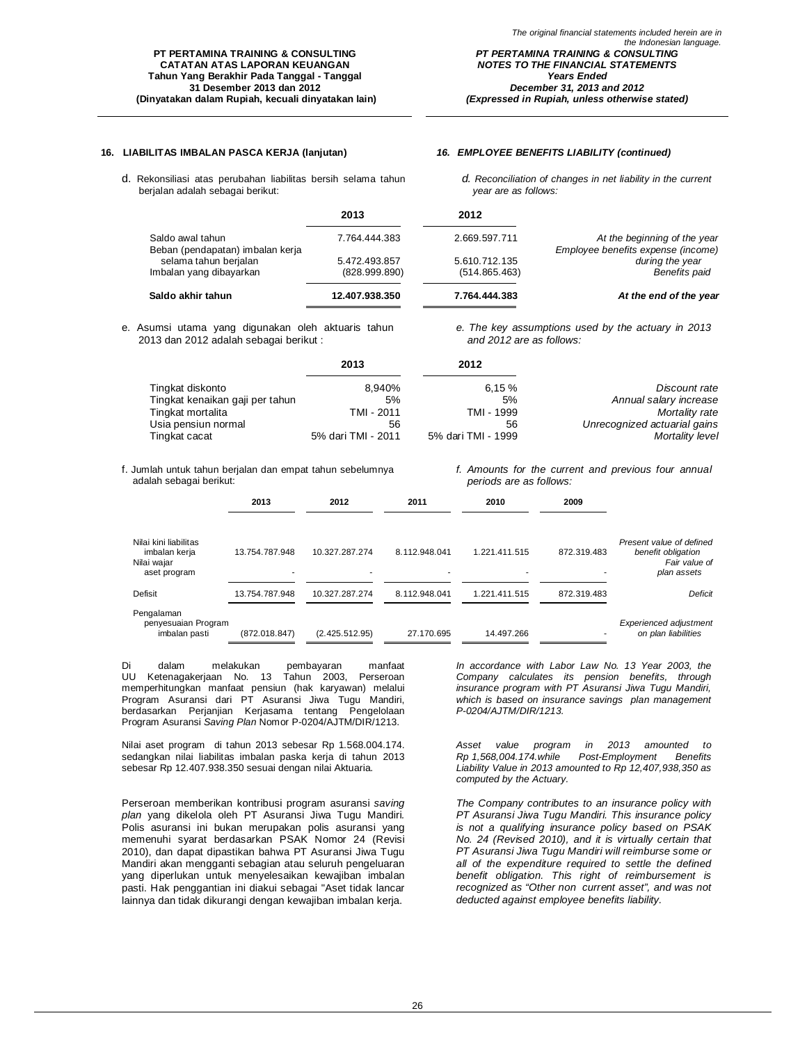d. Rekonsiliasi atas perubahan liabilitas bersih selama tahun

### **16. LIABILITAS IMBALAN PASCA KERJA (lanjutan)** *16. EMPLOYEE BENEFITS LIABILITY (continued)*

berjalan adalah sebagai berikut:

*d. Reconciliation of changes in net liability in the current year are as follows:*

|                                                      | 2013                           | 2012                           |                                                                    |
|------------------------------------------------------|--------------------------------|--------------------------------|--------------------------------------------------------------------|
| Saldo awal tahun<br>Beban (pendapatan) imbalan kerja | 7.764.444.383                  | 2.669.597.711                  | At the beginning of the year<br>Employee benefits expense (income) |
| selama tahun berjalan<br>Imbalan yang dibayarkan     | 5.472.493.857<br>(828.999.890) | 5.610.712.135<br>(514.865.463) | during the year<br><b>Benefits paid</b>                            |
| Saldo akhir tahun                                    | 12.407.938.350                 | 7.764.444.383                  | At the end of the year                                             |

e. Asumsi utama yang digunakan oleh aktuaris tahun 2013 dan 2012 adalah sebagai berikut :

*e. The key assumptions used by the actuary in 2013 and 2012 are as follows:*

|                                 | 2013               | 2012               |                              |
|---------------------------------|--------------------|--------------------|------------------------------|
| Tingkat diskonto                | 8.940%             | 6.15%              | Discount rate                |
| Tingkat kenaikan gaji per tahun | 5%                 | 5%                 | Annual salary increase       |
| Tingkat mortalita               | TMI - 2011         | TMI - 1999         | Mortality rate               |
| Usia pensiun normal             | 56                 | 56                 | Unrecognized actuarial gains |
| Tingkat cacat                   | 5% dari TMI - 2011 | 5% dari TMI - 1999 | Mortality level              |

f. Jumlah untuk tahun berjalan dan empat tahun sebelumnya adalah sebagai berikut:

*f. Amounts for the current and previous four annual periods are as follows:*

|                                                                       | 2013                | 2012           | 2011          | 2010          | 2009        |                                                                                |
|-----------------------------------------------------------------------|---------------------|----------------|---------------|---------------|-------------|--------------------------------------------------------------------------------|
| Nilai kini liabilitas<br>imbalan kerja<br>Nilai wajar<br>aset program | 13.754.787.948<br>۰ | 10.327.287.274 | 8.112.948.041 | 1.221.411.515 | 872.319.483 | Present value of defined<br>benefit obligation<br>Fair value of<br>plan assets |
| Defisit                                                               | 13.754.787.948      | 10.327.287.274 | 8.112.948.041 | 1.221.411.515 | 872.319.483 | Deficit                                                                        |
| Pengalaman<br>penyesuaian Program<br>imbalan pasti                    | (872.018.847)       | (2.425.512.95) | 27.170.695    | 14.497.266    |             | <b>Experienced adjustment</b><br>on plan liabilities                           |

Di dalam melakukan pembayaran manfaat UU Ketenagakerjaan No. 13 Tahun 2003, Perseroan memperhitungkan manfaat pensiun (hak karyawan) melalui Program Asuransi dari PT Asuransi Jiwa Tugu Mandiri, berdasarkan Perjanjian Kerjasama tentang Pengelolaan Program Asuransi *Saving Plan* Nomor P-0204/AJTM/DIR/1213.

Nilai aset program di tahun 2013 sebesar Rp 1.568.004.174. sedangkan nilai liabilitas imbalan paska kerja di tahun 2013 sebesar Rp 12.407.938.350 sesuai dengan nilai Aktuaria.

Perseroan memberikan kontribusi program asuransi *saving plan* yang dikelola oleh PT Asuransi Jiwa Tugu Mandiri*.*  Polis asuransi ini bukan merupakan polis asuransi yang memenuhi syarat berdasarkan PSAK Nomor 24 (Revisi 2010), dan dapat dipastikan bahwa PT Asuransi Jiwa Tugu Mandiri akan mengganti sebagian atau seluruh pengeluaran yang diperlukan untuk menyelesaikan kewajiban imbalan pasti. Hak penggantian ini diakui sebagai "Aset tidak lancar lainnya dan tidak dikurangi dengan kewajiban imbalan kerja.

*In accordance with Labor Law No. 13 Year 2003, the Company calculates its pension benefits, through insurance program with PT Asuransi Jiwa Tugu Mandiri, which is based on insurance savings plan management P-0204/AJTM/DIR/1213.*

*Asset value program in 2013 amounted to Rp 1,568,004.174.while Post-Employment Benefits Liability Value in 2013 amounted to Rp 12,407,938,350 as computed by the Actuary.*

*The Company contributes to an insurance policy with PT Asuransi Jiwa Tugu Mandiri. This insurance policy is not a qualifying insurance policy based on PSAK No. 24 (Revised 2010), and it is virtually certain that PT Asuransi Jiwa Tugu Mandiri will reimburse some or all of the expenditure required to settle the defined benefit obligation. This right of reimbursement is recognized as "Other non current asset", and was not deducted against employee benefits liability.*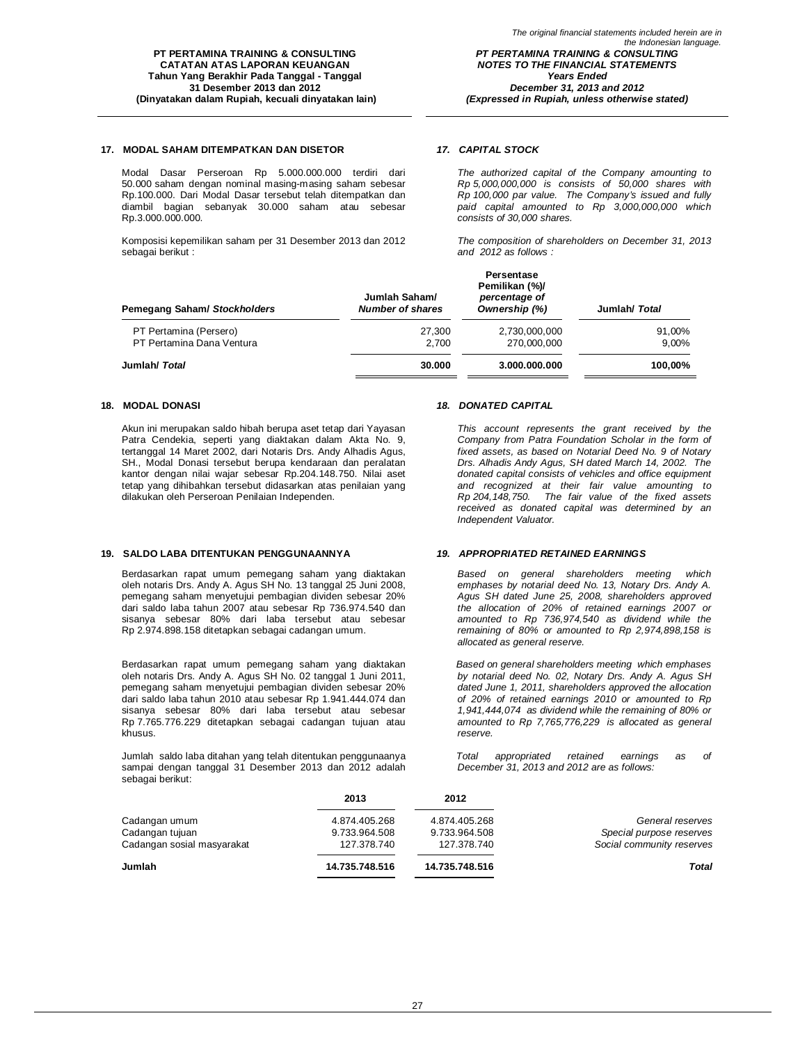### **17. MODAL SAHAM DITEMPATKAN DAN DISETOR** *17. CAPITAL STOCK*

Modal Dasar Perseroan Rp 5.000.000.000 terdiri dari 50.000 saham dengan nominal masing-masing saham sebesar Rp.100.000. Dari Modal Dasar tersebut telah ditempatkan dan diambil bagian sebanyak 30.000 saham atau sebesar Rp.3.000.000.000.

Komposisi kepemilikan saham per 31 Desember 2013 dan 2012 sebagai berikut :

*The authorized capital of the Company amounting to Rp 5,000,000,000 is consists of 50,000 shares with Rp 100,000 par value. The Company's issued and fully paid capital amounted to Rp 3,000,000,000 which consists of 30,000 shares.*

*The composition of shareholders on December 31, 2013 and 2012 as follows :*

| <b>Pemegang Saham/ Stockholders</b> | Jumlah Saham/<br><b>Number of shares</b> | ге зеназе<br>Pemilikan (%)/<br>percentage of<br>Ownership (%) | Jumlah/ Total |
|-------------------------------------|------------------------------------------|---------------------------------------------------------------|---------------|
| PT Pertamina (Persero)              | 27.300                                   | 2,730,000,000                                                 | 91,00%        |
| PT Pertamina Dana Ventura           | 2.700                                    | 270.000.000                                                   | 9.00%         |
| Jumlah/ Total                       | 30.000                                   | 3.000.000.000                                                 | 100,00%       |

Akun ini merupakan saldo hibah berupa aset tetap dari Yayasan Patra Cendekia, seperti yang diaktakan dalam Akta No. 9, tertanggal 14 Maret 2002, dari Notaris Drs. Andy Alhadis Agus, SH., Modal Donasi tersebut berupa kendaraan dan peralatan kantor dengan nilai wajar sebesar Rp.204.148.750. Nilai aset tetap yang dihibahkan tersebut didasarkan atas penilaian yang dilakukan oleh Perseroan Penilaian Independen.

### **19. SALDO LABA DITENTUKAN PENGGUNAANNYA** *19. APPROPRIATED RETAINED EARNINGS*

Berdasarkan rapat umum pemegang saham yang diaktakan oleh notaris Drs. Andy A. Agus SH No. 13 tanggal 25 Juni 2008, pemegang saham menyetujui pembagian dividen sebesar 20% dari saldo laba tahun 2007 atau sebesar Rp 736.974.540 dan sisanya sebesar 80% dari laba tersebut atau sebesar Rp 2.974.898.158 ditetapkan sebagai cadangan umum.

Berdasarkan rapat umum pemegang saham yang diaktakan oleh notaris Drs. Andy A. Agus SH No. 02 tanggal 1 Juni 2011, pemegang saham menyetujui pembagian dividen sebesar 20% dari saldo laba tahun 2010 atau sebesar Rp 1.941.444.074 dan sisanya sebesar 80% dari laba tersebut atau sebesar Rp 7.765.776.229 ditetapkan sebagai cadangan tujuan atau khusus.

Jumlah saldo laba ditahan yang telah ditentukan penggunaanya sampai dengan tanggal 31 Desember 2013 dan 2012 adalah sebagai berikut:

#### **18. MODAL DONASI** *18. DONATED CAPITAL*

**Persentase**

*This account represents the grant received by the Company from Patra Foundation Scholar in the form of fixed assets, as based on Notarial Deed No. 9 of Notary Drs. Alhadis Andy Agus, SH dated March 14, 2002. The donated capital consists of vehicles and office equipment and recognized at their fair value amounting to Rp 204,148,750. The fair value of the fixed assets received as donated capital was determined by an Independent Valuator.*

*Based on general shareholders meeting which emphases by notarial deed No. 13, Notary Drs. Andy A. Agus SH dated June 25, 2008, shareholders approved the allocation of 20% of retained earnings 2007 or amounted to Rp 736,974,540 as dividend while the remaining of 80% or amounted to Rp 2,974,898,158 is allocated as general reserve.*

*Based on general shareholders meeting which emphases by notarial deed No. 02, Notary Drs. Andy A. Agus SH dated June 1, 2011, shareholders approved the allocation of 20% of retained earnings 2010 or amounted to Rp 1,941,444,074 as dividend while the remaining of 80% or amounted to Rp 7,765,776,229 is allocated as general reserve.*

*Total appropriated retained earnings as of December 31, 2013 and 2012 are as follows:*

|                            | 2013           | 2012           |                           |
|----------------------------|----------------|----------------|---------------------------|
| Cadangan umum              | 4.874.405.268  | 4.874.405.268  | General reserves          |
| Cadangan tujuan            | 9.733.964.508  | 9.733.964.508  | Special purpose reserves  |
| Cadangan sosial masyarakat | 127.378.740    | 127.378.740    | Social community reserves |
| Jumlah                     | 14.735.748.516 | 14.735.748.516 | <b>Total</b>              |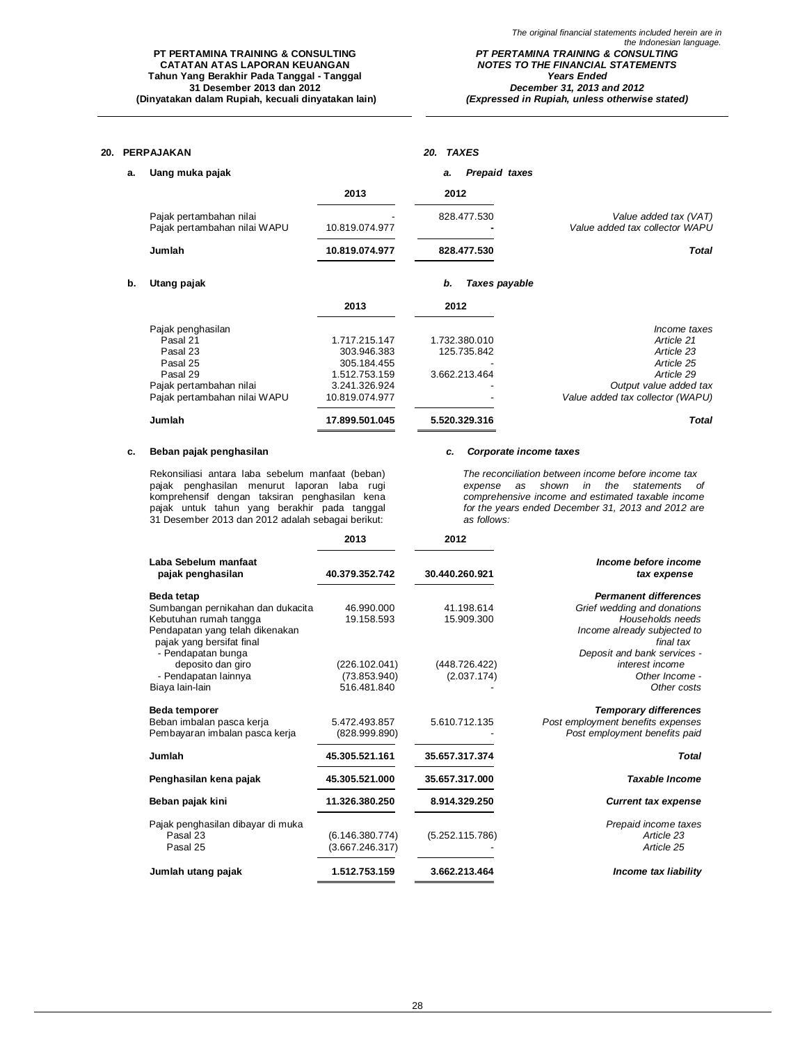### **PT PERTAMINA TRAINING & CONSULTING CATATAN ATAS LAPORAN KEUANGAN Tahun Yang Berakhir Pada Tanggal - Tanggal 31 Desember 2013 dan 2012 (Dinyatakan dalam Rupiah, kecuali dinyatakan lain)**

*(Expressed in Rupiah, unless otherwise stated)*

| 20. |    | <b>PERPAJAKAN</b>                                                                                                            |                                                                                                 | 20. TAXES                                     |                                                                                                                                    |
|-----|----|------------------------------------------------------------------------------------------------------------------------------|-------------------------------------------------------------------------------------------------|-----------------------------------------------|------------------------------------------------------------------------------------------------------------------------------------|
|     | a. | Uang muka pajak                                                                                                              |                                                                                                 | Prepaid taxes<br>а.                           |                                                                                                                                    |
|     |    |                                                                                                                              | 2013                                                                                            | 2012                                          |                                                                                                                                    |
|     |    | Pajak pertambahan nilai<br>Pajak pertambahan nilai WAPU                                                                      | 10.819.074.977                                                                                  | 828.477.530                                   | Value added tax (VAT)<br>Value added tax collector WAPU                                                                            |
|     |    | Jumlah                                                                                                                       | 10.819.074.977                                                                                  | 828.477.530                                   | <b>Total</b>                                                                                                                       |
|     | b. | Utang pajak                                                                                                                  |                                                                                                 | b.<br>Taxes payable                           |                                                                                                                                    |
|     |    |                                                                                                                              | 2013                                                                                            | 2012                                          |                                                                                                                                    |
|     |    | Pajak penghasilan<br>Pasal 21<br>Pasal 23<br>Pasal 25<br>Pasal 29<br>Pajak pertambahan nilai<br>Pajak pertambahan nilai WAPU | 1.717.215.147<br>303.946.383<br>305.184.455<br>1.512.753.159<br>3.241.326.924<br>10.819.074.977 | 1.732.380.010<br>125.735.842<br>3.662.213.464 | Income taxes<br>Article 21<br>Article 23<br>Article 25<br>Article 29<br>Output value added tax<br>Value added tax collector (WAPU) |
|     |    | Jumlah                                                                                                                       | 17.899.501.045                                                                                  | 5.520.329.316                                 | <b>Total</b>                                                                                                                       |

### **c. Beban pajak penghasilan** *c. Corporate income taxes*

Rekonsiliasi antara laba sebelum manfaat (beban) pajak penghasilan menurut laporan laba rugi komprehensif dengan taksiran penghasilan kena pajak untuk tahun yang berakhir pada tanggal 31 Desember 2013 dan 2012 adalah sebagai berikut:

*The reconciliation between income before income tax expense as shown in the statements of comprehensive income and estimated taxable income for the years ended December 31, 2013 and 2012 are as follows:*

|                                                              | 2013            | 2012            |                                          |
|--------------------------------------------------------------|-----------------|-----------------|------------------------------------------|
| Laba Sebelum manfaat<br>pajak penghasilan                    | 40.379.352.742  | 30.440.260.921  | Income before income<br>tax expense      |
| <b>Beda tetap</b>                                            |                 |                 | <b>Permanent differences</b>             |
| Sumbangan pernikahan dan dukacita                            | 46.990.000      | 41.198.614      | Grief wedding and donations              |
| Kebutuhan rumah tangga                                       | 19.158.593      | 15.909.300      | Households needs                         |
| Pendapatan yang telah dikenakan<br>pajak yang bersifat final |                 |                 | Income already subjected to<br>final tax |
| - Pendapatan bunga                                           |                 |                 | Deposit and bank services -              |
| deposito dan giro                                            | (226.102.041)   | (448.726.422)   | interest income                          |
| - Pendapatan lainnya                                         | (73.853.940)    | (2.037.174)     | Other Income -                           |
| Biaya lain-lain                                              | 516.481.840     |                 | Other costs                              |
| Beda temporer                                                |                 |                 | <b>Temporary differences</b>             |
| Beban imbalan pasca kerja                                    | 5.472.493.857   | 5.610.712.135   | Post employment benefits expenses        |
| Pembayaran imbalan pasca kerja                               | (828.999.890)   |                 | Post employment benefits paid            |
| Jumlah                                                       | 45.305.521.161  | 35.657.317.374  | <b>Total</b>                             |
| Penghasilan kena pajak                                       | 45.305.521.000  | 35.657.317.000  | <b>Taxable Income</b>                    |
| Beban pajak kini                                             | 11.326.380.250  | 8.914.329.250   | <b>Current tax expense</b>               |
| Pajak penghasilan dibayar di muka                            |                 |                 | Prepaid income taxes                     |
| Pasal 23                                                     | (6.146.380.774) | (5.252.115.786) | Article 23                               |
| Pasal 25                                                     | (3.667.246.317) |                 | Article 25                               |
| Jumlah utang pajak                                           | 1.512.753.159   | 3.662.213.464   | Income tax liability                     |

28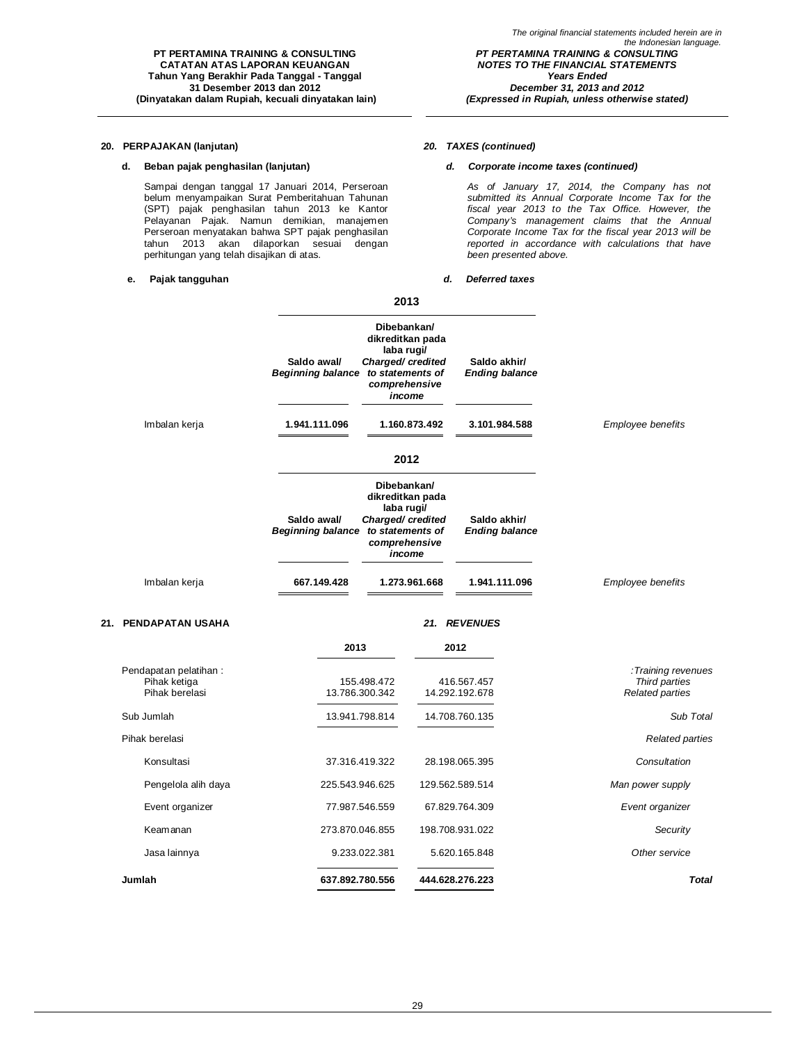### **20. PERPAJAKAN (lanjutan)** *20. TAXES (continued)*

### **d. Beban pajak penghasilan (lanjutan)** *d. Corporate income taxes (continued)*

Sampai dengan tanggal 17 Januari 2014, Perseroan belum menyampaikan Surat Pemberitahuan Tahunan (SPT) pajak penghasilan tahun 2013 ke Kantor Pelayanan Pajak. Namun demikian, manajemen Perseroan menyatakan bahwa SPT pajak penghasilan tahun 2013 akan dilaporkan sesuai dengan perhitungan yang telah disajikan di atas.

**PT PERTAMINA TRAINING & CONSULTING CATATAN ATAS LAPORAN KEUANGAN Tahun Yang Berakhir Pada Tanggal - Tanggal 31 Desember 2013 dan 2012 (Dinyatakan dalam Rupiah, kecuali dinyatakan lain)**

### **e. Pajak tangguhan** *d. Deferred taxes*

*As of January 17, 2014, the Company has not submitted its Annual Corporate Income Tax for the fiscal year 2013 to the Tax Office. However, the Company's management claims that the Annual Corporate Income Tax for the fiscal year 2013 will be reported in accordance with calculations that have been presented above.*

|                      |                                         | 2013                                                                                                             |                                       |                          |
|----------------------|-----------------------------------------|------------------------------------------------------------------------------------------------------------------|---------------------------------------|--------------------------|
|                      | Saldo awal/<br><b>Beginning balance</b> | Dibebankan/<br>dikreditkan pada<br>laba rugi/<br>Charged/credited<br>to statements of<br>comprehensive<br>income | Saldo akhir/<br><b>Ending balance</b> |                          |
| Imbalan kerja        | 1.941.111.096                           | 1.160.873.492                                                                                                    | 3.101.984.588                         | Employee benefits        |
|                      |                                         | 2012                                                                                                             |                                       |                          |
|                      | Saldo awal/<br><b>Beginning balance</b> | Dibebankan/<br>dikreditkan pada<br>laba rugi/<br>Charged/credited<br>to statements of<br>comprehensive<br>income | Saldo akhir/<br><b>Ending balance</b> |                          |
| Imbalan kerja        | 667.149.428                             | 1.273.961.668                                                                                                    | 1.941.111.096                         | <b>Employee benefits</b> |
| 21. PENDAPATAN USAHA |                                         |                                                                                                                  | 21. REVENUES                          |                          |
|                      | 2013                                    |                                                                                                                  | 2012                                  |                          |

| Pendapatan pelatihan:<br>Pihak ketiga<br>Pihak berelasi | 155.498.472<br>13.786.300.342 | 416.567.457<br>14.292.192.678 | :Training revenues<br>Third parties<br><b>Related parties</b> |
|---------------------------------------------------------|-------------------------------|-------------------------------|---------------------------------------------------------------|
| Sub Jumlah                                              | 13.941.798.814                | 14.708.760.135                | Sub Total                                                     |
| Pihak berelasi                                          |                               |                               | <b>Related parties</b>                                        |
| Konsultasi                                              | 37.316.419.322                | 28.198.065.395                | Consultation                                                  |
| Pengelola alih daya                                     | 225.543.946.625               | 129.562.589.514               | Man power supply                                              |
| Event organizer                                         | 77.987.546.559                | 67.829.764.309                | Event organizer                                               |
| Keamanan                                                | 273.870.046.855               | 198.708.931.022               | Security                                                      |
| Jasa lainnya                                            | 9.233.022.381                 | 5.620.165.848                 | Other service                                                 |
| Jumlah                                                  | 637.892.780.556               | 444.628.276.223               | Total                                                         |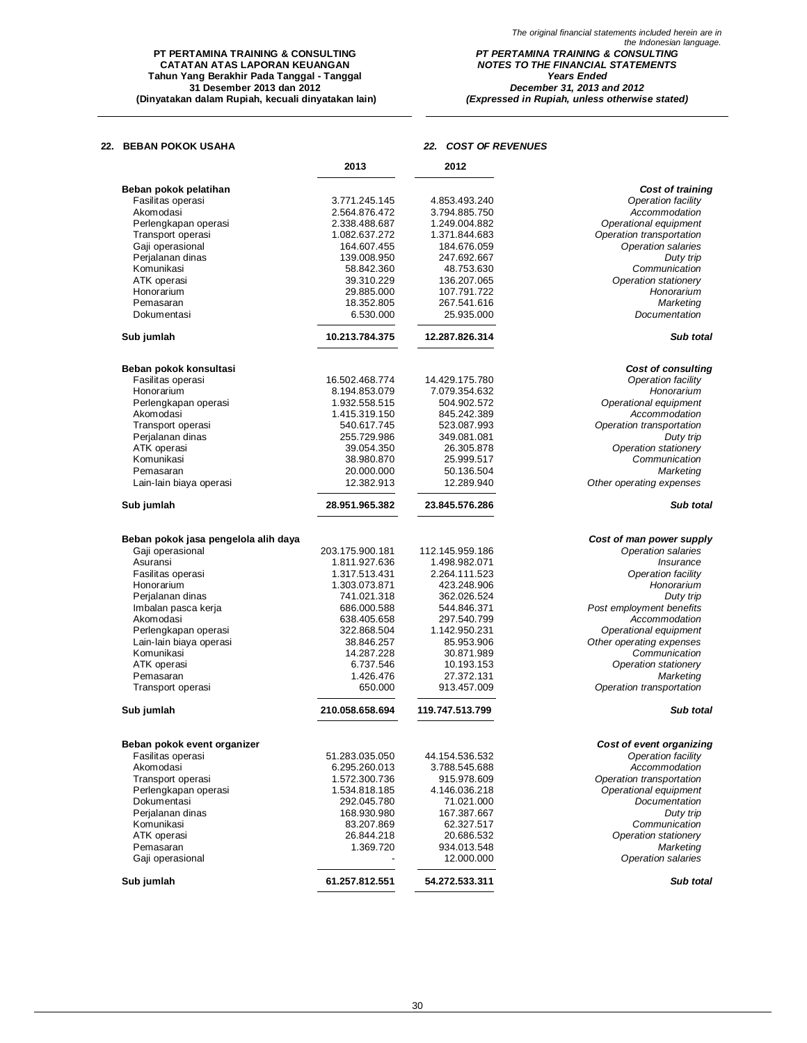### **PT PERTAMINA TRAINING & CONSULTING CATATAN ATAS LAPORAN KEUANGAN Tahun Yang Berakhir Pada Tanggal - Tanggal 31 Desember 2013 dan 2012 (Dinyatakan dalam Rupiah, kecuali dinyatakan lain)**

*The original financial statements included herein are in the Indonesian language. PT PERTAMINA TRAINING & CONSULTING NOTES TO THE FINANCIAL STATEMENTS Years Ended December 31, 2013 and 2012*

*(Expressed in Rupiah, unless otherwise stated)*

### **22. BEBAN POKOK USAHA** *22. COST OF REVENUES*

|                                            | 2013            | 2012            |                                   |
|--------------------------------------------|-----------------|-----------------|-----------------------------------|
|                                            |                 |                 | Cost of training                  |
| Beban pokok pelatihan<br>Fasilitas operasi | 3.771.245.145   | 4.853.493.240   | Operation facility                |
| Akomodasi                                  | 2.564.876.472   | 3.794.885.750   | Accommodation                     |
| Perlengkapan operasi                       | 2.338.488.687   | 1.249.004.882   | Operational equipment             |
| Transport operasi                          | 1.082.637.272   | 1.371.844.683   | Operation transportation          |
| Gaji operasional                           | 164.607.455     | 184.676.059     | <b>Operation salaries</b>         |
| Perjalanan dinas                           | 139.008.950     | 247.692.667     |                                   |
|                                            |                 |                 | Duty trip                         |
| Komunikasi                                 | 58.842.360      | 48.753.630      | Communication                     |
| ATK operasi                                | 39.310.229      | 136.207.065     | Operation stationery              |
| Honorarium                                 | 29.885.000      | 107.791.722     | Honorarium                        |
| Pemasaran                                  | 18.352.805      | 267.541.616     | Marketing                         |
| Dokumentasi                                | 6.530.000       | 25.935.000      | Documentation                     |
| Sub jumlah                                 | 10.213.784.375  | 12.287.826.314  | Sub total                         |
| Beban pokok konsultasi                     |                 |                 | <b>Cost of consulting</b>         |
| Fasilitas operasi                          | 16.502.468.774  | 14.429.175.780  | Operation facility                |
| Honorarium                                 | 8.194.853.079   | 7.079.354.632   | Honorarium                        |
| Perlengkapan operasi                       | 1.932.558.515   | 504.902.572     | Operational equipment             |
| Akomodasi                                  | 1.415.319.150   | 845.242.389     | Accommodation                     |
| Transport operasi                          | 540.617.745     | 523.087.993     | Operation transportation          |
| Perjalanan dinas                           | 255.729.986     | 349.081.081     |                                   |
|                                            |                 | 26.305.878      | Duty trip<br>Operation stationery |
| ATK operasi                                | 39.054.350      |                 |                                   |
| Komunikasi                                 | 38.980.870      | 25.999.517      | Communication                     |
| Pemasaran                                  | 20.000.000      | 50.136.504      | Marketing                         |
| Lain-lain biaya operasi                    | 12.382.913      | 12.289.940      | Other operating expenses          |
| Sub jumlah                                 | 28.951.965.382  | 23.845.576.286  | Sub total                         |
| Beban pokok jasa pengelola alih daya       |                 |                 | Cost of man power supply          |
| Gaji operasional                           | 203.175.900.181 | 112.145.959.186 | <b>Operation salaries</b>         |
| Asuransi                                   | 1.811.927.636   | 1.498.982.071   | <i><b>Insurance</b></i>           |
| Fasilitas operasi                          | 1.317.513.431   | 2.264.111.523   | Operation facility                |
| Honorarium                                 | 1.303.073.871   | 423.248.906     | Honorarium                        |
| Perjalanan dinas                           | 741.021.318     | 362.026.524     | Duty trip                         |
| Imbalan pasca kerja                        | 686.000.588     | 544.846.371     | Post employment benefits          |
| Akomodasi                                  | 638.405.658     | 297.540.799     | Accommodation                     |
|                                            |                 |                 |                                   |
| Perlengkapan operasi                       | 322.868.504     | 1.142.950.231   | Operational equipment             |
| Lain-lain biaya operasi                    | 38.846.257      | 85.953.906      | Other operating expenses          |
| Komunikasi                                 | 14.287.228      | 30.871.989      | Communication                     |
| ATK operasi                                | 6.737.546       | 10.193.153      | Operation stationery              |
| Pemasaran                                  | 1.426.476       | 27.372.131      | Marketing                         |
| Transport operasi                          | 650.000         | 913.457.009     | Operation transportation          |
| Sub jumlah                                 | 210.058.658.694 | 119.747.513.799 | Sub total                         |
| Beban pokok event organizer                |                 |                 | Cost of event organizing          |
| Fasilitas operasi                          | 51.283.035.050  | 44.154.536.532  | Operation facility                |
| Akomodasi                                  | 6.295.260.013   | 3.788.545.688   | Accommodation                     |
| Transport operasi                          | 1.572.300.736   | 915.978.609     | Operation transportation          |
| Perlengkapan operasi                       | 1.534.818.185   | 4.146.036.218   | Operational equipment             |
| Dokumentasi                                | 292.045.780     | 71.021.000      | Documentation                     |
| Perjalanan dinas                           | 168.930.980     | 167.387.667     | Duty trip                         |
| Komunikasi                                 | 83.207.869      | 62.327.517      | Communication                     |
| ATK operasi                                | 26.844.218      | 20.686.532      | Operation stationery              |
| Pemasaran                                  | 1.369.720       | 934.013.548     | Marketing                         |
| Gaji operasional                           |                 | 12.000.000      | <b>Operation salaries</b>         |
| Sub jumlah                                 | 61.257.812.551  | 54.272.533.311  | Sub total                         |
|                                            |                 |                 |                                   |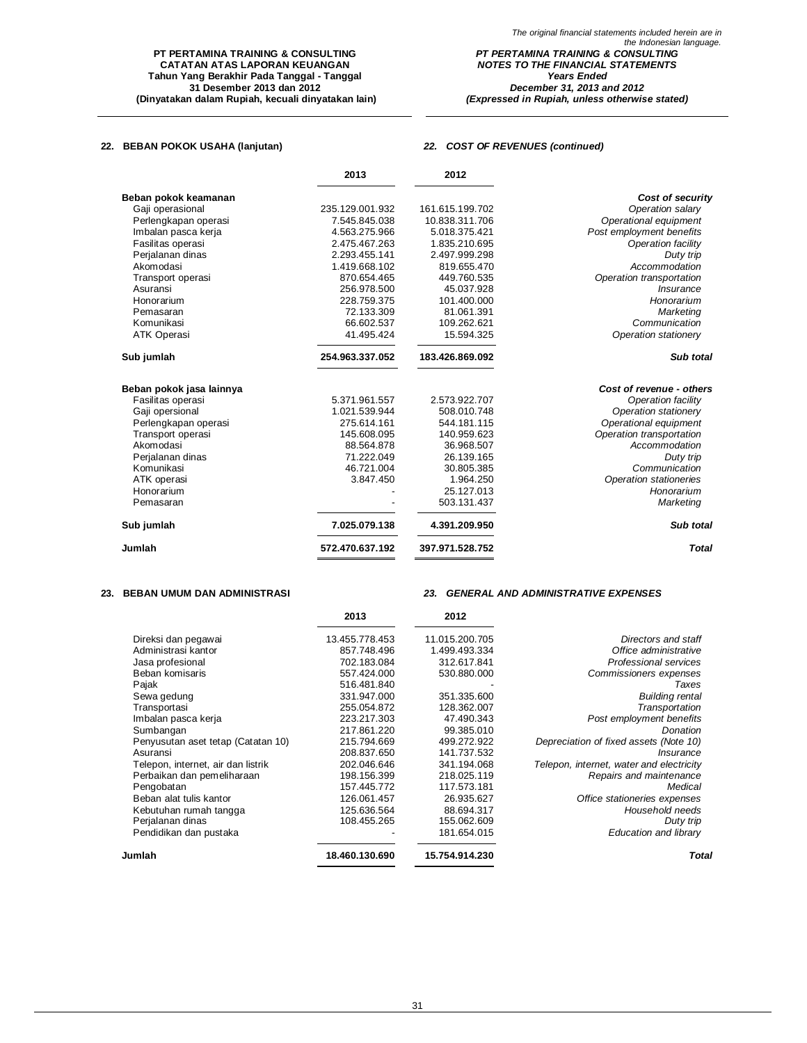### **22. BEBAN POKOK USAHA (lanjutan)** *22. COST OF REVENUES (continued)*

|                          | 2013            | 2012            |                               |
|--------------------------|-----------------|-----------------|-------------------------------|
| Beban pokok keamanan     |                 |                 | Cost of security              |
| Gaji operasional         | 235.129.001.932 | 161.615.199.702 | Operation salary              |
| Perlengkapan operasi     | 7.545.845.038   | 10.838.311.706  | Operational equipment         |
| Imbalan pasca kerja      | 4.563.275.966   | 5.018.375.421   | Post employment benefits      |
| Fasilitas operasi        | 2.475.467.263   | 1.835.210.695   | Operation facility            |
| Perjalanan dinas         | 2.293.455.141   | 2.497.999.298   | Duty trip                     |
| Akomodasi                | 1.419.668.102   | 819.655.470     | Accommodation                 |
| Transport operasi        | 870.654.465     | 449.760.535     | Operation transportation      |
| Asuransi                 | 256.978.500     | 45.037.928      | <i><b>Insurance</b></i>       |
| Honorarium               | 228.759.375     | 101.400.000     | Honorarium                    |
| Pemasaran                | 72.133.309      | 81.061.391      | Marketing                     |
| Komunikasi               | 66.602.537      | 109.262.621     | Communication                 |
| <b>ATK Operasi</b>       | 41.495.424      | 15.594.325      | Operation stationery          |
| Sub jumlah               | 254.963.337.052 | 183.426.869.092 | Sub total                     |
| Beban pokok jasa lainnya |                 |                 | Cost of revenue - others      |
| Fasilitas operasi        | 5.371.961.557   | 2.573.922.707   | Operation facility            |
| Gaji opersional          | 1.021.539.944   | 508.010.748     | Operation stationery          |
| Perlengkapan operasi     | 275.614.161     | 544.181.115     | Operational equipment         |
| Transport operasi        | 145.608.095     | 140.959.623     | Operation transportation      |
| Akomodasi                | 88.564.878      | 36.968.507      | Accommodation                 |
| Perjalanan dinas         | 71.222.049      | 26.139.165      | Duty trip                     |
| Komunikasi               | 46.721.004      | 30.805.385      | Communication                 |
| ATK operasi              | 3.847.450       | 1.964.250       | <b>Operation stationeries</b> |
| Honorarium               |                 | 25.127.013      | Honorarium                    |
| Pemasaran                |                 | 503.131.437     | Marketing                     |
| Sub jumlah               | 7.025.079.138   | 4.391.209.950   | Sub total                     |
| Jumlah                   | 572.470.637.192 | 397.971.528.752 | <b>Total</b>                  |

### **23. BEBAN UMUM DAN ADMINISTRASI** *23. GENERAL AND ADMINISTRATIVE EXPENSES*

|                                    | 2013           | 2012           |                                          |
|------------------------------------|----------------|----------------|------------------------------------------|
| Direksi dan pegawai                | 13.455.778.453 | 11.015.200.705 | Directors and staff                      |
| Administrasi kantor                | 857.748.496    | 1.499.493.334  | Office administrative                    |
| Jasa profesional                   | 702.183.084    | 312.617.841    | Professional services                    |
| Beban komisaris                    | 557.424.000    | 530.880.000    | Commissioners expenses                   |
| Pajak                              | 516.481.840    |                | Taxes                                    |
| Sewa gedung                        | 331.947.000    | 351.335.600    | <b>Building rental</b>                   |
| Transportasi                       | 255.054.872    | 128.362.007    | Transportation                           |
| Imbalan pasca kerja                | 223.217.303    | 47.490.343     | Post employment benefits                 |
| Sumbangan                          | 217.861.220    | 99.385.010     | Donation                                 |
| Penyusutan aset tetap (Catatan 10) | 215.794.669    | 499.272.922    | Depreciation of fixed assets (Note 10)   |
| Asuransi                           | 208.837.650    | 141.737.532    | <i><b>Insurance</b></i>                  |
| Telepon, internet, air dan listrik | 202.046.646    | 341.194.068    | Telepon, internet, water and electricity |
| Perbaikan dan pemeliharaan         | 198.156.399    | 218.025.119    | Repairs and maintenance                  |
| Pengobatan                         | 157.445.772    | 117.573.181    | Medical                                  |
| Beban alat tulis kantor            | 126.061.457    | 26.935.627     | Office stationeries expenses             |
| Kebutuhan rumah tangga             | 125.636.564    | 88.694.317     | Household needs                          |
| Perialanan dinas                   | 108.455.265    | 155.062.609    | Duty trip                                |
| Pendidikan dan pustaka             |                | 181.654.015    | Education and library                    |
| Jumlah                             | 18.460.130.690 | 15.754.914.230 | Total                                    |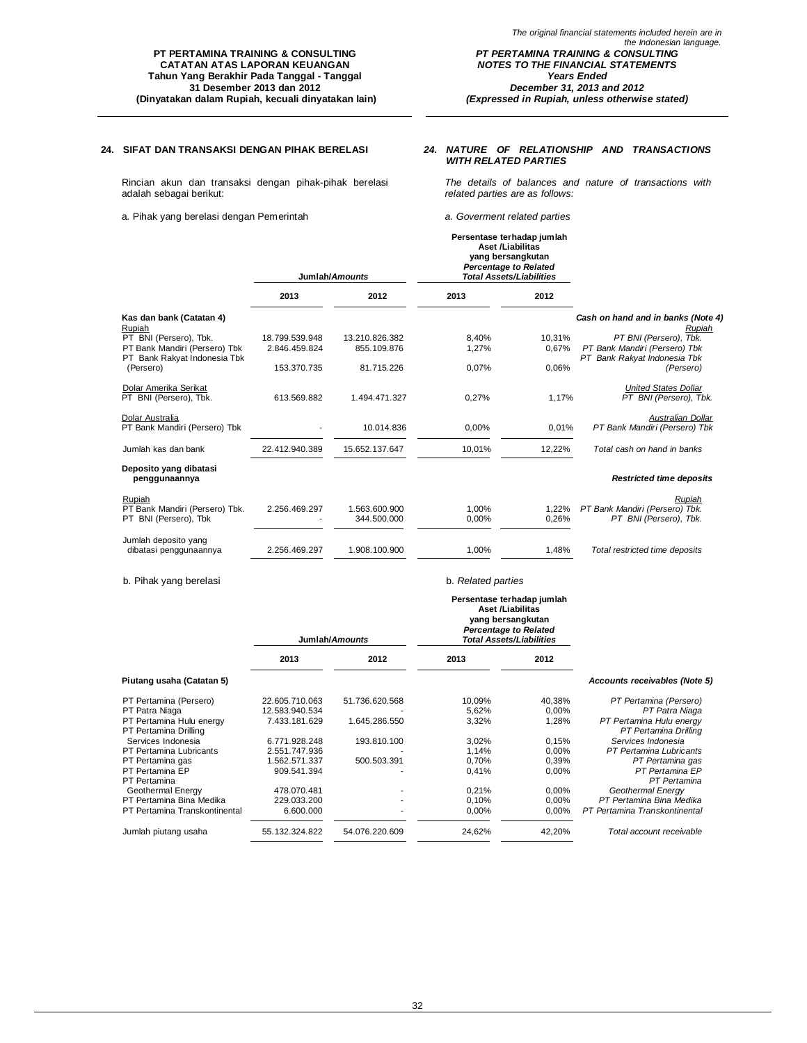**24. SIFAT DAN TRANSAKSI DENGAN PIHAK BERELASI** *24. NATURE OF RELATIONSHIP AND TRANSACTIONS WITH RELATED PARTIES*

Rincian akun dan transaksi dengan pihak-pihak berelasi adalah sebagai berikut:

a. Pihak yang berelasi dengan Pemerintah *a. Goverment related parties*

*The details of balances and nature of transactions with related parties are as follows:*

|                                                                   |                | Jumlah/Amounts               | Persentase terhadap jumlah<br><b>Aset /Liabilitas</b><br>yang bersangkutan<br><b>Percentage to Related</b><br><b>Total Assets/Liabilities</b> |                |                                                                    |
|-------------------------------------------------------------------|----------------|------------------------------|-----------------------------------------------------------------------------------------------------------------------------------------------|----------------|--------------------------------------------------------------------|
|                                                                   | 2013           | 2012                         | 2013                                                                                                                                          | 2012           |                                                                    |
| Kas dan bank (Catatan 4)<br>Rupiah                                |                |                              |                                                                                                                                               |                | Cash on hand and in banks (Note 4)<br>Rupiah                       |
| PT BNI (Persero), Tbk.                                            | 18.799.539.948 | 13.210.826.382               | 8,40%                                                                                                                                         | 10.31%         | PT BNI (Persero), Tbk.                                             |
| PT Bank Mandiri (Persero) Tbk<br>PT Bank Rakyat Indonesia Tbk     | 2.846.459.824  | 855.109.876                  | 1,27%                                                                                                                                         | 0.67%          | PT Bank Mandiri (Persero) Tbk<br>PT Bank Rakyat Indonesia Tbk      |
| (Persero)                                                         | 153.370.735    | 81.715.226                   | 0,07%                                                                                                                                         | 0.06%          | (Persero)                                                          |
| Dolar Amerika Serikat<br>PT BNI (Persero). Tbk.                   | 613.569.882    | 1.494.471.327                | 0.27%                                                                                                                                         | 1,17%          | <b>United States Dollar</b><br>PT BNI (Persero). Tbk.              |
| Dolar Australia<br>PT Bank Mandiri (Persero) Tbk                  |                | 10.014.836                   | 0,00%                                                                                                                                         | 0,01%          | Australian Dollar<br>PT Bank Mandiri (Persero) Tbk                 |
| Jumlah kas dan bank                                               | 22.412.940.389 | 15.652.137.647               | 10,01%                                                                                                                                        | 12,22%         | Total cash on hand in banks                                        |
| Deposito yang dibatasi<br>penggunaannya                           |                |                              |                                                                                                                                               |                | <b>Restricted time deposits</b>                                    |
| Rupiah<br>PT Bank Mandiri (Persero) Tbk.<br>PT BNI (Persero), Tbk | 2.256.469.297  | 1.563.600.900<br>344.500.000 | 1.00%<br>0,00%                                                                                                                                | 1,22%<br>0,26% | Rupiah<br>PT Bank Mandiri (Persero) Tbk.<br>PT BNI (Persero), Tbk. |
| Jumlah deposito yang<br>dibatasi penggunaannya                    | 2.256.469.297  | 1.908.100.900                | 1,00%                                                                                                                                         | 1.48%          | Total restricted time deposits                                     |

b. Pihak yang berelasi b. *Related parties*

|                                 |                | Jumlah/Amounts | Persentase terhadap jumlah<br>Aset /Liabilitas<br>yang bersangkutan<br><b>Percentage to Related</b><br><b>Total Assets/Liabilities</b> |        |                                 |
|---------------------------------|----------------|----------------|----------------------------------------------------------------------------------------------------------------------------------------|--------|---------------------------------|
|                                 | 2013           | 2012           | 2013                                                                                                                                   | 2012   |                                 |
| Piutang usaha (Catatan 5)       |                |                |                                                                                                                                        |        | Accounts receivables (Note 5)   |
| PT Pertamina (Persero)          | 22.605.710.063 | 51.736.620.568 | 10,09%                                                                                                                                 | 40,38% | PT Pertamina (Persero)          |
| PT Patra Niaga                  | 12.583.940.534 |                | 5,62%                                                                                                                                  | 0,00%  | PT Patra Niaga                  |
| PT Pertamina Hulu energy        | 7.433.181.629  | 1.645.286.550  | 3,32%                                                                                                                                  | 1,28%  | PT Pertamina Hulu energy        |
| PT Pertamina Drilling           |                |                |                                                                                                                                        |        | PT Pertamina Drilling           |
| Services Indonesia              | 6.771.928.248  | 193.810.100    | 3,02%                                                                                                                                  | 0,15%  | Services Indonesia              |
| <b>PT Pertamina Lubricants</b>  | 2.551.747.936  |                | 1.14%                                                                                                                                  | 0,00%  | PT Pertamina Lubricants         |
| PT Pertamina gas                | 1.562.571.337  | 500.503.391    | 0.70%                                                                                                                                  | 0,39%  | PT Pertamina gas                |
| PT Pertamina EP<br>PT Pertamina | 909.541.394    |                | 0,41%                                                                                                                                  | 0,00%  | PT Pertamina EP<br>PT Pertamina |
| Geothermal Energy               | 478.070.481    |                | 0,21%                                                                                                                                  | 0,00%  | Geothermal Energy               |
| PT Pertamina Bina Medika        | 229.033.200    |                | 0,10%                                                                                                                                  | 0,00%  | PT Pertamina Bina Medika        |
| PT Pertamina Transkontinental   | 6.600.000      |                | 0,00%                                                                                                                                  | 0,00%  | PT Pertamina Transkontinental   |
|                                 |                |                |                                                                                                                                        |        |                                 |
| Jumlah piutang usaha            | 55.132.324.822 | 54.076.220.609 | 24,62%                                                                                                                                 | 42,20% | Total account receivable        |
|                                 |                |                |                                                                                                                                        |        |                                 |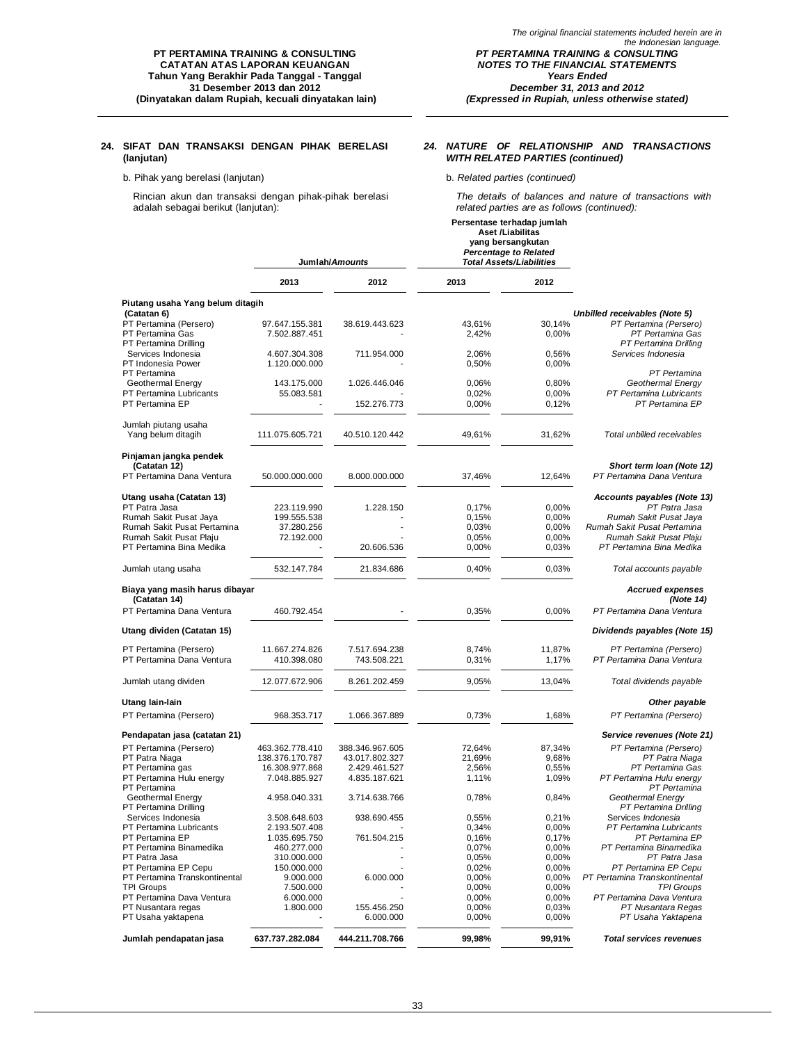### **24. SIFAT DAN TRANSAKSI DENGAN PIHAK BERELASI (lanjutan)**

### b. Pihak yang berelasi (lanjutan) b. *Related parties (continued)*

Rincian akun dan transaksi dengan pihak-pihak berelasi adalah sebagai berikut (lanjutan):

### *24. NATURE OF RELATIONSHIP AND TRANSACTIONS WITH RELATED PARTIES (continued)*

**Persentase terhadap jumlah**

*The details of balances and nature of transactions with related parties are as follows (continued):*

|                                                                     |                                    | Jumlah/Amounts                    |                  | <b>Aset /Liabilitas</b><br>yang bersangkutan<br><b>Percentage to Related</b><br><b>Total Assets/Liabilities</b> |                                                                     |
|---------------------------------------------------------------------|------------------------------------|-----------------------------------|------------------|-----------------------------------------------------------------------------------------------------------------|---------------------------------------------------------------------|
|                                                                     | 2013                               | 2012                              | 2013             | 2012                                                                                                            |                                                                     |
| Piutang usaha Yang belum ditagih<br>(Catatan 6)                     |                                    |                                   |                  |                                                                                                                 | <b>Unbilled receivables (Note 5)</b>                                |
| PT Pertamina (Persero)<br>PT Pertamina Gas<br>PT Pertamina Drilling | 97.647.155.381<br>7.502.887.451    | 38.619.443.623                    | 43.61%<br>2,42%  | 30,14%<br>0,00%                                                                                                 | PT Pertamina (Persero)<br>PT Pertamina Gas<br>PT Pertamina Drilling |
| Services Indonesia<br>PT Indonesia Power                            | 4.607.304.308<br>1.120.000.000     | 711.954.000                       | 2,06%<br>0,50%   | 0,56%<br>0,00%                                                                                                  | Services Indonesia                                                  |
| PT Pertamina<br>Geothermal Energy                                   | 143.175.000                        | 1.026.446.046                     | 0,06%            | 0,80%                                                                                                           | PT Pertamina<br>Geothermal Energy                                   |
| PT Pertamina Lubricants<br>PT Pertamina EP                          | 55.083.581                         | 152.276.773                       | 0,02%<br>0,00%   | 0,00%<br>0,12%                                                                                                  | PT Pertamina Lubricants<br>PT Pertamina EP                          |
| Jumlah piutang usaha<br>Yang belum ditagih                          | 111.075.605.721                    | 40.510.120.442                    | 49,61%           | 31,62%                                                                                                          | Total unbilled receivables                                          |
| Pinjaman jangka pendek                                              |                                    |                                   |                  |                                                                                                                 |                                                                     |
| (Catatan 12)<br>PT Pertamina Dana Ventura                           | 50.000.000.000                     | 8.000.000.000                     | 37,46%           | 12,64%                                                                                                          | Short term loan (Note 12)<br>PT Pertamina Dana Ventura              |
| Utang usaha (Catatan 13)<br>PT Patra Jasa                           | 223.119.990                        | 1.228.150                         | 0,17%            | 0,00%                                                                                                           | Accounts payables (Note 13)<br>PT Patra Jasa                        |
| Rumah Sakit Pusat Jaya                                              | 199.555.538                        |                                   | 0,15%            | 0,00%                                                                                                           | Rumah Sakit Pusat Jaya                                              |
| Rumah Sakit Pusat Pertamina                                         | 37.280.256                         |                                   | 0,03%            | 0,00%                                                                                                           | Rumah Sakit Pusat Pertamina                                         |
| Rumah Sakit Pusat Plaju<br>PT Pertamina Bina Medika                 | 72.192.000                         | 20.606.536                        | 0,05%<br>0,00%   | 0,00%<br>0,03%                                                                                                  | Rumah Sakit Pusat Plaju<br>PT Pertamina Bina Medika                 |
| Jumlah utang usaha                                                  | 532.147.784                        | 21.834.686                        | 0,40%            | 0,03%                                                                                                           | Total accounts payable                                              |
| Biaya yang masih harus dibayar<br>(Catatan 14)                      |                                    |                                   |                  |                                                                                                                 | <b>Accrued expenses</b><br>(Note 14)                                |
| PT Pertamina Dana Ventura                                           | 460.792.454                        |                                   | 0,35%            | 0,00%                                                                                                           | PT Pertamina Dana Ventura                                           |
| Utang dividen (Catatan 15)                                          |                                    |                                   |                  |                                                                                                                 | Dividends payables (Note 15)                                        |
| PT Pertamina (Persero)<br>PT Pertamina Dana Ventura                 | 11.667.274.826<br>410.398.080      | 7.517.694.238<br>743.508.221      | 8,74%<br>0,31%   | 11,87%<br>1,17%                                                                                                 | PT Pertamina (Persero)<br>PT Pertamina Dana Ventura                 |
| Jumlah utang dividen                                                | 12.077.672.906                     | 8.261.202.459                     | 9,05%            | 13,04%                                                                                                          | Total dividends payable                                             |
| Utang lain-lain                                                     |                                    |                                   |                  |                                                                                                                 | Other payable                                                       |
| PT Pertamina (Persero)                                              | 968.353.717                        | 1.066.367.889                     | 0,73%            | 1,68%                                                                                                           | PT Pertamina (Persero)                                              |
| Pendapatan jasa (catatan 21)                                        |                                    |                                   |                  |                                                                                                                 | Service revenues (Note 21)                                          |
| PT Pertamina (Persero)<br>PT Patra Niaga                            | 463.362.778.410<br>138.376.170.787 | 388.346.967.605<br>43.017.802.327 | 72,64%<br>21,69% | 87,34%<br>9,68%                                                                                                 | PT Pertamina (Persero)<br>PT Patra Niaga                            |
| PT Pertamina gas<br>PT Pertamina Hulu energy<br>PT Pertamina        | 16.308.977.868<br>7.048.885.927    | 2.429.461.527<br>4.835.187.621    | 2,56%<br>1,11%   | 0,55%<br>1,09%                                                                                                  | PT Pertamina Gas<br>PT Pertamina Hulu energy<br>PT Pertamina        |
| Geothermal Energy<br>PT Pertamina Drilling                          | 4.958.040.331                      | 3.714.638.766                     | 0,78%            | 0,84%                                                                                                           | Geothermal Energy<br>PT Pertamina Drilling                          |
| Services Indonesia                                                  | 3.508.648.603                      | 938.690.455                       | 0,55%            | 0,21%                                                                                                           | Services <i>Indonesia</i>                                           |
| PT Pertamina Lubricants                                             | 2.193.507.408                      |                                   | 0,34%            | 0,00%                                                                                                           | PT Pertamina Lubricants                                             |
| PT Pertamina EP                                                     | 1.035.695.750                      | 761.504.215                       | 0,16%            | 0,17%                                                                                                           | PT Pertamina EP                                                     |
| PT Pertamina Binamedika                                             | 460.277.000                        |                                   | 0,07%            | 0,00%                                                                                                           | PT Pertamina Binamedika                                             |
| PT Patra Jasa<br>PT Pertamina EP Cepu                               | 310.000.000<br>150.000.000         |                                   | 0,05%<br>0,02%   | 0,00%<br>0,00%                                                                                                  | PT Patra Jasa<br>PT Pertamina EP Cepu                               |
| PT Pertamina Transkontinental                                       | 9.000.000                          | 6.000.000                         | 0,00%            | 0,00%                                                                                                           | PT Pertamina Transkontinental                                       |
| <b>TPI Groups</b>                                                   | 7.500.000                          |                                   | 0,00%            | 0,00%                                                                                                           | <b>TPI Groups</b>                                                   |
| PT Pertamina Dava Ventura                                           | 6.000.000                          |                                   | 0,00%            | 0,00%                                                                                                           | PT Pertamina Dava Ventura                                           |
| PT Nusantara regas<br>PT Usaha yaktapena                            | 1.800.000                          | 155.456.250<br>6.000.000          | 0,00%<br>0,00%   | 0,03%<br>0,00%                                                                                                  | PT Nusantara Regas<br>PT Usaha Yaktapena                            |
| Jumlah pendapatan jasa                                              | 637.737.282.084                    | 444.211.708.766                   | 99,98%           | 99,91%                                                                                                          | <b>Total services revenues</b>                                      |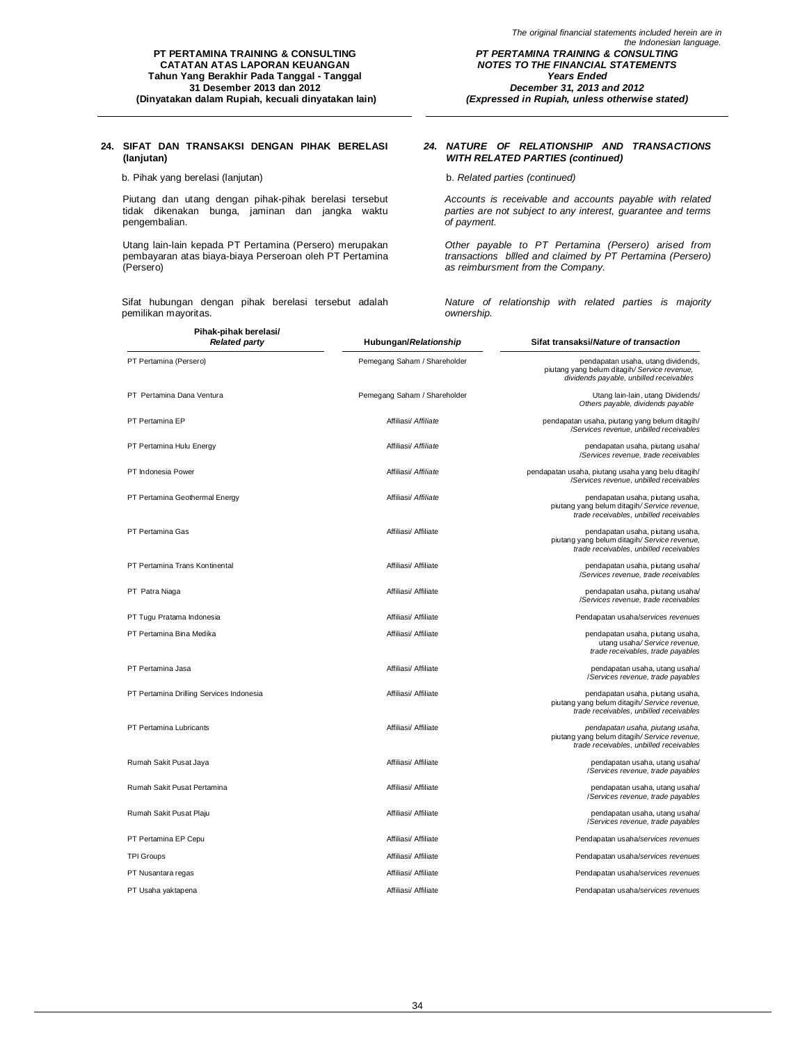### **24. SIFAT DAN TRANSAKSI DENGAN PIHAK BERELASI (lanjutan)**

b. Pihak yang berelasi (lanjutan) b. *Related parties (continued)*

Piutang dan utang dengan pihak-pihak berelasi tersebut tidak dikenakan bunga, jaminan dan jangka waktu pengembalian.

Utang lain-lain kepada PT Pertamina (Persero) merupakan pembayaran atas biaya-biaya Perseroan oleh PT Pertamina (Persero)

Sifat hubungan dengan pihak berelasi tersebut adalah pemilikan mayoritas.

### *24. NATURE OF RELATIONSHIP AND TRANSACTIONS WITH RELATED PARTIES (continued)*

*Accounts is receivable and accounts payable with related parties are not subject to any interest, guarantee and terms of payment.*

*Other payable to PT Pertamina (Persero) arised from transactions bllled and claimed by PT Pertamina (Persero) as reimbursment from the Company.*

*Nature of relationship with related parties is majority ownership.*

| Pihak-pihak berelasi/<br><b>Related party</b> | Hubungan/Relationship        | Sifat transaksi/Nature of transaction                                                                                        |
|-----------------------------------------------|------------------------------|------------------------------------------------------------------------------------------------------------------------------|
| PT Pertamina (Persero)                        | Pemegang Saham / Shareholder | pendapatan usaha, utang dividends,<br>piutang yang belum ditagih/Service revenue,<br>dividends payable, unbilled receivables |
| PT Pertamina Dana Ventura                     | Pemegang Saham / Shareholder | Utang lain-lain, utang Dividends/<br>Others payable, dividends payable                                                       |
| PT Pertamina EP                               | Affiliasi/ Affiliate         | pendapatan usaha, piutang yang belum ditagih/<br>/Services revenue, unbilled receivables                                     |
| PT Pertamina Hulu Energy                      | Affiliasi/ Affiliate         | pendapatan usaha, piutang usaha/<br>/Services revenue, trade receivables                                                     |
| PT Indonesia Power                            | Affiliasi/ Affiliate         | pendapatan usaha, piutang usaha yang belu ditagih/<br>/Services revenue, unbilled receivables                                |
| PT Pertamina Geothermal Energy                | Affiliasi/ Affiliate         | pendapatan usaha, piutang usaha,<br>piutang yang belum ditagih/Service revenue,<br>trade receivables, unbilled receivables   |
| PT Pertamina Gas                              | Affiliasi/ Affiliate         | pendapatan usaha, piutang usaha,<br>piutang yang belum ditagih/Service revenue,<br>trade receivables, unbilled receivables   |
| PT Pertamina Trans Kontinental                | Affiliasi/ Affiliate         | pendapatan usaha, piutang usaha/<br>/Services revenue, trade receivables                                                     |
| PT Patra Niaga                                | Affiliasi/ Affiliate         | pendapatan usaha, piutang usaha/<br>/Services revenue, trade receivables                                                     |
| PT Tugu Pratama Indonesia                     | Affiliasi/ Affiliate         | Pendapatan usaha/services revenues                                                                                           |
| PT Pertamina Bina Medika                      | Affiliasi/ Affiliate         | pendapatan usaha, piutang usaha,<br>utang usaha/Service revenue,<br>trade receivables, trade payables                        |
| PT Pertamina Jasa                             | Affiliasi/ Affiliate         | pendapatan usaha, utang usaha/<br>/Services revenue, trade payables                                                          |
| PT Pertamina Drilling Services Indonesia      | Affiliasi/ Affiliate         | pendapatan usaha, piutang usaha,<br>piutang yang belum ditagih/Service revenue,<br>trade receivables, unbilled receivables   |
| PT Pertamina Lubricants                       | Affiliasi/ Affiliate         | pendapatan usaha, piutang usaha,<br>piutang yang belum ditagih/Service revenue,<br>trade receivables, unbilled receivables   |
| Rumah Sakit Pusat Jaya                        | Affiliasi/ Affiliate         | pendapatan usaha, utang usaha/<br>/Services revenue, trade payables                                                          |
| Rumah Sakit Pusat Pertamina                   | Affiliasi/ Affiliate         | pendapatan usaha, utang usaha/<br>/Services revenue, trade payables                                                          |
| Rumah Sakit Pusat Plaju                       | Affiliasi/ Affiliate         | pendapatan usaha, utang usaha/<br>/Services revenue, trade payables                                                          |
| PT Pertamina EP Cepu                          | Affiliasi/ Affiliate         | Pendapatan usaha/services revenues                                                                                           |
| <b>TPI Groups</b>                             | Affiliasi/ Affiliate         | Pendapatan usaha/services revenues                                                                                           |
| PT Nusantara regas                            | Affiliasi/ Affiliate         | Pendapatan usaha/services revenues                                                                                           |
| PT Usaha yaktapena                            | Affiliasi/ Affiliate         | Pendapatan usaha/services revenues                                                                                           |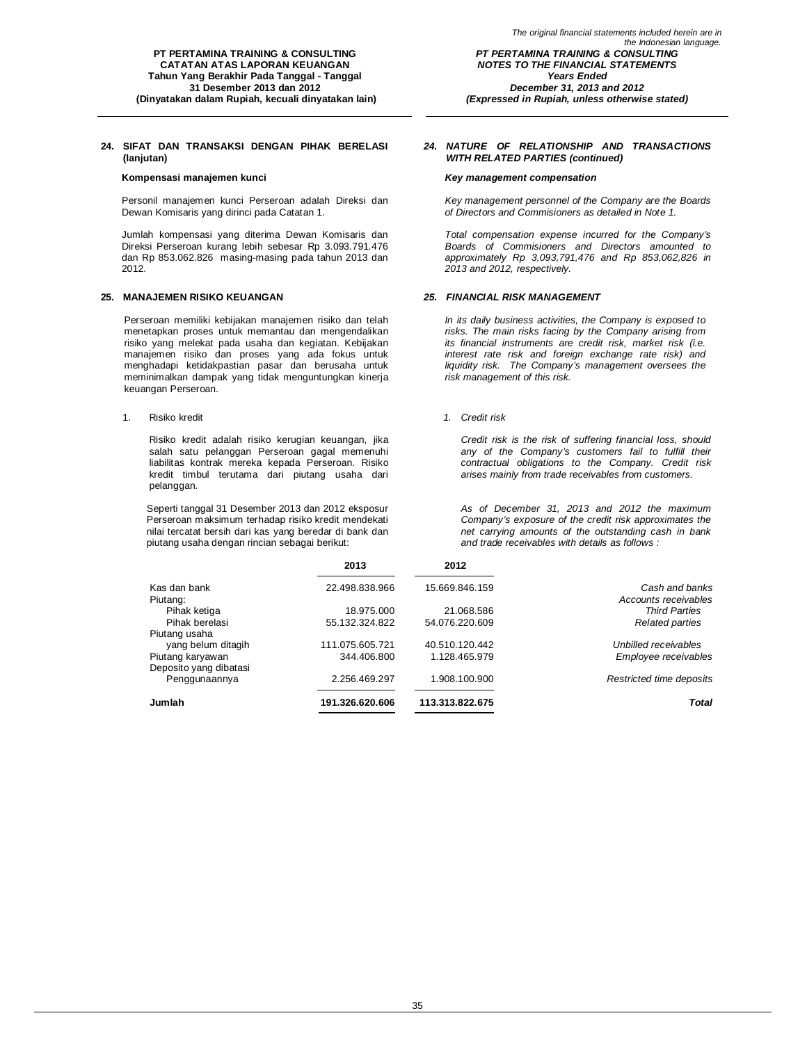### **24. SIFAT DAN TRANSAKSI DENGAN PIHAK BERELASI (lanjutan)**

Personil manajemen kunci Perseroan adalah Direksi dan Dewan Komisaris yang dirinci pada Catatan 1.

Jumlah kompensasi yang diterima Dewan Komisaris dan Direksi Perseroan kurang lebih sebesar Rp 3.093.791.476 dan Rp 853.062.826 masing-masing pada tahun 2013 dan 2012.

### **25. MANAJEMEN RISIKO KEUANGAN** *25. FINANCIAL RISK MANAGEMENT*

Perseroan memiliki kebijakan manajemen risiko dan telah menetapkan proses untuk memantau dan mengendalikan risiko yang melekat pada usaha dan kegiatan. Kebijakan manajemen risiko dan proses yang ada fokus untuk menghadapi ketidakpastian pasar dan berusaha untuk meminimalkan dampak yang tidak menguntungkan kinerja keuangan Perseroan.

1. Risiko kredit *1. Credit risk*

Risiko kredit adalah risiko kerugian keuangan, jika salah satu pelanggan Perseroan gagal memenuhi liabilitas kontrak mereka kepada Perseroan. Risiko kredit timbul terutama dari piutang usaha dari pelanggan.

Seperti tanggal 31 Desember 2013 dan 2012 eksposur Perseroan maksimum terhadap risiko kredit mendekati nilai tercatat bersih dari kas yang beredar di bank dan piutang usaha dengan rincian sebagai berikut:

### *24. NATURE OF RELATIONSHIP AND TRANSACTIONS WITH RELATED PARTIES (continued)*

### **Kompensasi manajemen kunci** *Key management compensation*

*Key management personnel of the Company are the Boards of Directors and Commisioners as detailed in Note 1.*

*Total compensation expense incurred for the Company's Boards of Commisioners and Directors amounted to approximately Rp 3,093,791,476 and Rp 853,062,826 in 2013 and 2012, respectively.*

*In its daily business activities, the Company is exposed to risks. The main risks facing by the Company arising from its financial instruments are credit risk, market risk (i.e. interest rate risk and foreign exchange rate risk) and liquidity risk. The Company's management oversees the risk management of this risk.*

*Credit risk is the risk of suffering financial loss, should any of the Company's customers fail to fulfill their contractual obligations to the Company. Credit risk arises mainly from trade receivables from customers.*

*As of December 31, 2013 and 2012 the maximum Company's exposure of the credit risk approximates the net carrying amounts of the outstanding cash in bank and trade receivables with details as follows :*

|                        | 2013            | 2012            |                          |
|------------------------|-----------------|-----------------|--------------------------|
| Kas dan bank           | 22.498.838.966  | 15.669.846.159  | Cash and banks           |
| Piutang:               |                 |                 | Accounts receivables     |
| Pihak ketiga           | 18.975.000      | 21.068.586      | <b>Third Parties</b>     |
| Pihak berelasi         | 55.132.324.822  | 54.076.220.609  | <b>Related parties</b>   |
| Piutang usaha          |                 |                 |                          |
| yang belum ditagih     | 111.075.605.721 | 40.510.120.442  | Unbilled receivables     |
| Piutang karyawan       | 344.406.800     | 1.128.465.979   | Employee receivables     |
| Deposito yang dibatasi |                 |                 |                          |
| Penggunaannya          | 2.256.469.297   | 1.908.100.900   | Restricted time deposits |
| Jumlah                 | 191.326.620.606 | 113.313.822.675 | Total                    |
|                        |                 |                 |                          |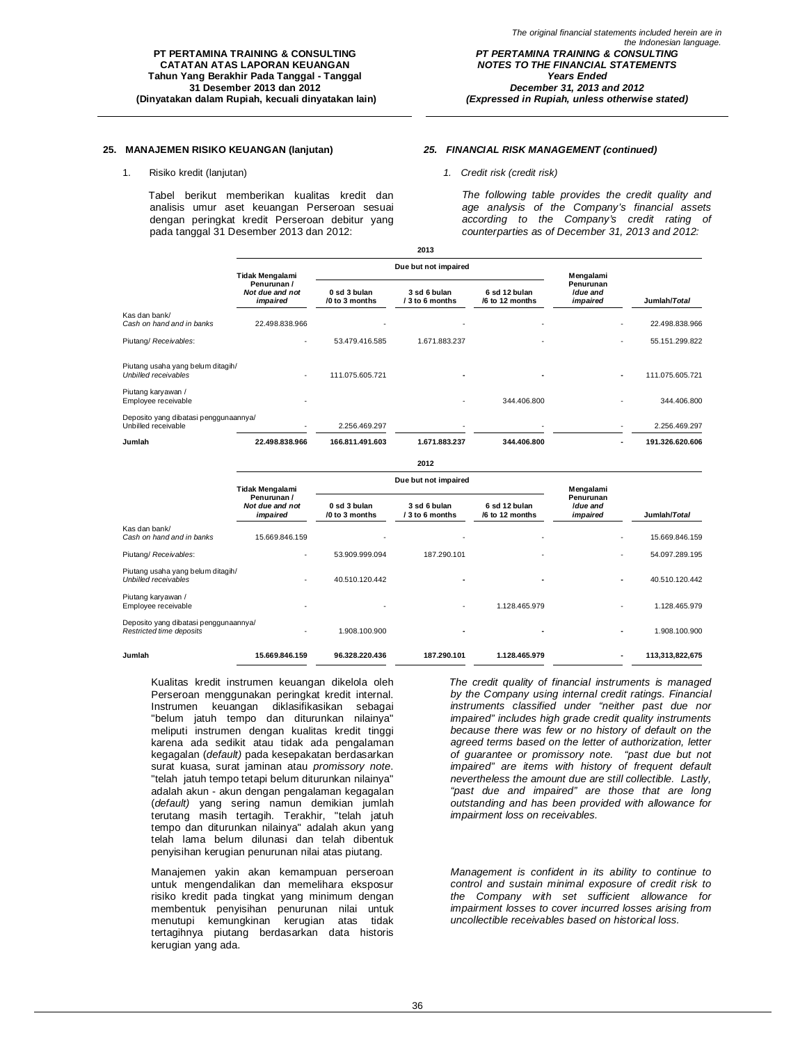### **25. MANAJEMEN RISIKO KEUANGAN (lanjutan)** *25. FINANCIAL RISK MANAGEMENT (continued)*

1. Risiko kredit (lanjutan) *1. Credit risk (credit risk)*

Tabel berikut memberikan kualitas kredit dan analisis umur aset keuangan Perseroan sesuai dengan peringkat kredit Perseroan debitur yang pada tanggal 31 Desember 2013 dan 2012:

*The following table provides the credit quality and age analysis of the Company's financial assets according to the Company's credit rating of counterparties as of December 31, 2013 and 2012:*

|                                                                  | --                                         |                                |                                 |                                  |                                   |                 |
|------------------------------------------------------------------|--------------------------------------------|--------------------------------|---------------------------------|----------------------------------|-----------------------------------|-----------------|
|                                                                  | Tidak Mengalami                            | Due but not impaired           |                                 |                                  | Mengalami                         |                 |
|                                                                  | Penurunan /<br>Not due and not<br>impaired | 0 sd 3 bulan<br>/0 to 3 months | 3 sd 6 bulan<br>/ 3 to 6 months | 6 sd 12 bulan<br>/6 to 12 months | Penurunan<br>Idue and<br>impaired | Jumlah/Total    |
| Kas dan bank/<br>Cash on hand and in banks                       | 22.498.838.966                             |                                |                                 |                                  |                                   | 22.498.838.966  |
| Piutang/ Receivables:                                            | $\overline{\phantom{a}}$                   | 53.479.416.585                 | 1.671.883.237                   |                                  |                                   | 55.151.299.822  |
| Piutang usaha yang belum ditagih/<br><b>Unbilled receivables</b> |                                            | 111.075.605.721                |                                 |                                  |                                   | 111.075.605.721 |
| Piutang karyawan /<br>Employee receivable                        |                                            |                                |                                 | 344.406.800                      |                                   | 344.406.800     |
| Deposito yang dibatasi penggunaannya/<br>Unbilled receivable     |                                            | 2.256.469.297                  |                                 |                                  |                                   | 2.256.469.297   |
| Jumlah                                                           | 22.498.838.966                             | 166.811.491.603                | 1.671.883.237                   | 344.406.800                      |                                   | 191.326.620.606 |
|                                                                  |                                            |                                |                                 |                                  |                                   |                 |

**2013**

#### **2012**

|                                                                   | <b>Tidak Mengalami</b>                     |                                | Due but not impaired            |                                  |                                                |                 |
|-------------------------------------------------------------------|--------------------------------------------|--------------------------------|---------------------------------|----------------------------------|------------------------------------------------|-----------------|
|                                                                   | Penurunan /<br>Not due and not<br>impaired | 0 sd 3 bulan<br>/0 to 3 months | 3 sd 6 bulan<br>/ 3 to 6 months | 6 sd 12 bulan<br>/6 to 12 months | Mengalami<br>Penurunan<br>Idue and<br>impaired | Jumlah/Total    |
| Kas dan bank/                                                     |                                            |                                |                                 |                                  |                                                |                 |
| Cash on hand and in banks                                         | 15.669.846.159                             |                                |                                 |                                  |                                                | 15.669.846.159  |
| Piutang/ Receivables:                                             | $\overline{\phantom{a}}$                   | 53.909.999.094                 | 187.290.101                     |                                  |                                                | 54.097.289.195  |
| Piutang usaha yang belum ditagih/<br><b>Unbilled receivables</b>  | $\overline{\phantom{a}}$                   | 40.510.120.442                 |                                 |                                  |                                                | 40.510.120.442  |
| Piutang karyawan /<br>Employee receivable                         | $\overline{\phantom{0}}$                   |                                | $\overline{\phantom{a}}$        | 1.128.465.979                    |                                                | 1.128.465.979   |
| Deposito yang dibatasi penggunaannya/<br>Restricted time deposits | $\overline{\phantom{a}}$                   | 1.908.100.900                  |                                 |                                  |                                                | 1.908.100.900   |
| Jumlah                                                            | 15.669.846.159                             | 96.328.220.436                 | 187.290.101                     | 1.128.465.979                    |                                                | 113,313,822,675 |

Kualitas kredit instrumen keuangan dikelola oleh Perseroan menggunakan peringkat kredit internal. Instrumen keuangan diklasifikasikan sebagai "belum jatuh tempo dan diturunkan nilainya" meliputi instrumen dengan kualitas kredit tinggi karena ada sedikit atau tidak ada pengalaman kegagalan (*default)* pada kesepakatan berdasarkan surat kuasa, surat jaminan atau *promissory note*. "telah jatuh tempo tetapi belum diturunkan nilainya" adalah akun - akun dengan pengalaman kegagalan (*default)* yang sering namun demikian jumlah terutang masih tertagih. Terakhir, "telah jatuh tempo dan diturunkan nilainya" adalah akun yang telah lama belum dilunasi dan telah dibentuk penyisihan kerugian penurunan nilai atas piutang.

Manajemen yakin akan kemampuan perseroan untuk mengendalikan dan memelihara eksposur risiko kredit pada tingkat yang minimum dengan membentuk penyisihan penurunan nilai untuk menutupi kemungkinan kerugian atas tidak tertagihnya piutang berdasarkan data historis kerugian yang ada.

*The credit quality of financial instruments is managed by the Company using internal credit ratings. Financial instruments classified under "neither past due nor impaired" includes high grade credit quality instruments because there was few or no history of default on the agreed terms based on the letter of authorization, letter of guarantee or promissory note. "past due but not impaired" are items with history of frequent default nevertheless the amount due are still collectible. Lastly, "past due and impaired" are those that are long outstanding and has been provided with allowance for impairment loss on receivables.*

*Management is confident in its ability to continue to control and sustain minimal exposure of credit risk to the Company with set sufficient allowance for impairment losses to cover incurred losses arising from uncollectible receivables based on historical loss.*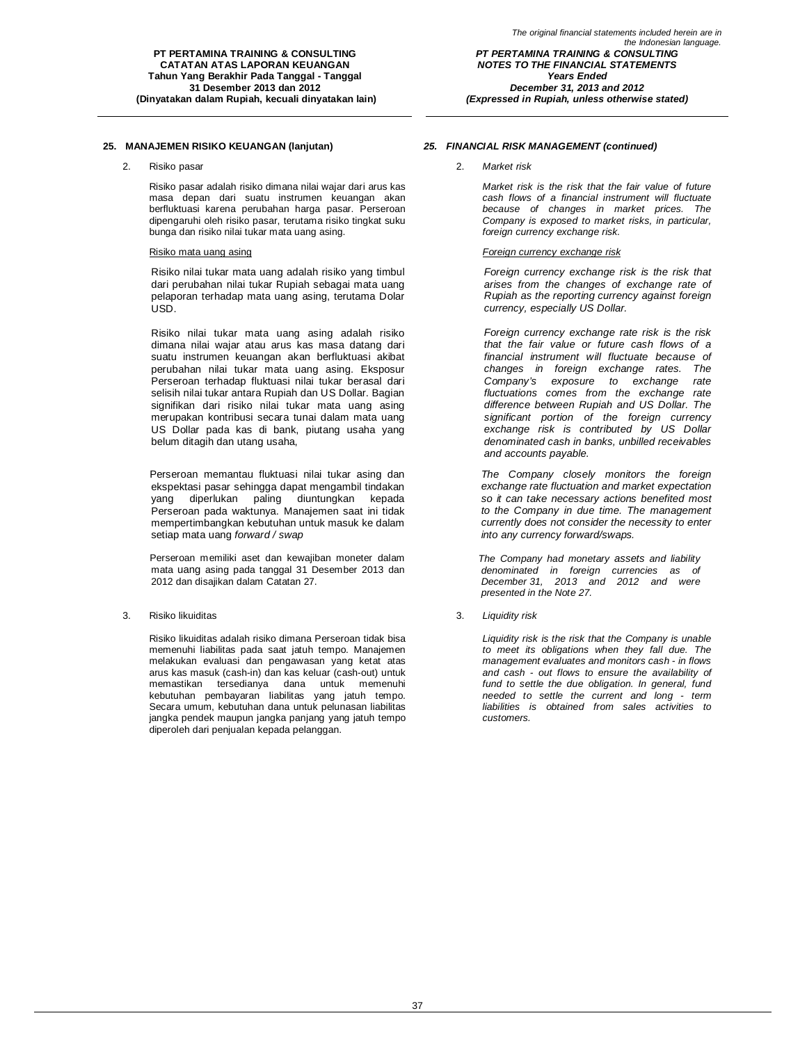### **25. MANAJEMEN RISIKO KEUANGAN (lanjutan)** *25. FINANCIAL RISK MANAGEMENT (continued)*

Risiko pasar adalah risiko dimana nilai wajar dari arus kas masa depan dari suatu instrumen keuangan akan berfluktuasi karena perubahan harga pasar. Perseroan dipengaruhi oleh risiko pasar, terutama risiko tingkat suku bunga dan risiko nilai tukar mata uang asing.

Risiko nilai tukar mata uang adalah risiko yang timbul dari perubahan nilai tukar Rupiah sebagai mata uang pelaporan terhadap mata uang asing, terutama Dolar USD.

Risiko nilai tukar mata uang asing adalah risiko dimana nilai wajar atau arus kas masa datang dari suatu instrumen keuangan akan berfluktuasi akibat perubahan nilai tukar mata uang asing. Eksposur Perseroan terhadap fluktuasi nilai tukar berasal dari selisih nilai tukar antara Rupiah dan US Dollar. Bagian signifikan dari risiko nilai tukar mata uang asing merupakan kontribusi secara tunai dalam mata uang US Dollar pada kas di bank, piutang usaha yang belum ditagih dan utang usaha,

Perseroan memantau fluktuasi nilai tukar asing dan ekspektasi pasar sehingga dapat mengambil tindakan yang diperlukan paling diuntungkan kepada Perseroan pada waktunya. Manajemen saat ini tidak mempertimbangkan kebutuhan untuk masuk ke dalam setiap mata uang *forward / swap*

Perseroan memiliki aset dan kewajiban moneter dalam mata uang asing pada tanggal 31 Desember 2013 dan 2012 dan disajikan dalam Catatan 27.

### 3. Risiko likuiditas 3. *Liquidity risk*

Risiko likuiditas adalah risiko dimana Perseroan tidak bisa memenuhi liabilitas pada saat jatuh tempo. Manajemen melakukan evaluasi dan pengawasan yang ketat atas arus kas masuk (cash-in) dan kas keluar (cash-out) untuk memastikan tersedianya dana untuk memenuhi kebutuhan pembayaran liabilitas yang jatuh tempo. Secara umum, kebutuhan dana untuk pelunasan liabilitas jangka pendek maupun jangka panjang yang jatuh tempo diperoleh dari penjualan kepada pelanggan.

2. Risiko pasar 2. *Market risk*

*Market risk is the risk that the fair value of future cash flows of a financial instrument will fluctuate because of changes in market prices. The Company is exposed to market risks, in particular, foreign currency exchange risk.*

#### Risiko mata uang asing *Foreign currency exchange risk*

*Foreign currency exchange risk is the risk that arises from the changes of exchange rate of Rupiah as the reporting currency against foreign currency, especially US Dollar.*

*Foreign currency exchange rate risk is the risk that the fair value or future cash flows of a financial instrument will fluctuate because of changes in foreign exchange rates. The Company's exposure to exchange rate fluctuations comes from the exchange rate difference between Rupiah and US Dollar. The significant portion of the foreign currency exchange risk is contributed by US Dollar denominated cash in banks, unbilled receivables and accounts payable.*

*The Company closely monitors the foreign exchange rate fluctuation and market expectation so it can take necessary actions benefited most to the Company in due time. The management currently does not consider the necessity to enter into any currency forward/swaps.*

*The Company had monetary assets and liability denominated in foreign currencies as of December 31, 2013 and 2012 and were presented in the Note 27.*

*Liquidity risk is the risk that the Company is unable to meet its obligations when they fall due. The management evaluates and monitors cash - in flows and cash - out flows to ensure the availability of fund to settle the due obligation. In general, fund needed to settle the current and long - term liabilities is obtained from sales activities to customers.*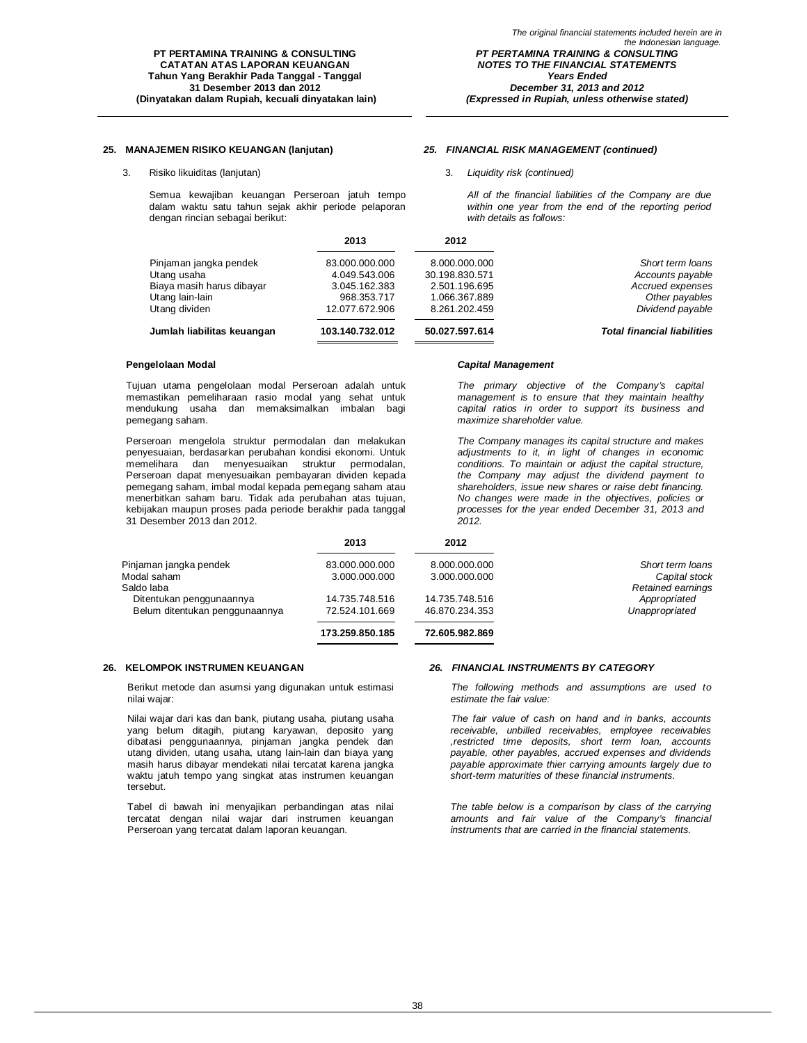### **25. MANAJEMEN RISIKO KEUANGAN (lanjutan)** *25. FINANCIAL RISK MANAGEMENT (continued)*

3. Risiko likuiditas (lanjutan) 3. *Liquidity risk (continued)*

Semua kewajiban keuangan Perseroan jatuh tempo dalam waktu satu tahun sejak akhir periode pelaporan dengan rincian sebagai berikut:

*Capital Management*

*All of the financial liabilities of the Company are due within one year from the end of the reporting period with details as follows:*

|                            | 2013            | 2012           |                                    |
|----------------------------|-----------------|----------------|------------------------------------|
| Pinjaman jangka pendek     | 83.000.000.000  | 8.000.000.000  | Short term loans                   |
| Utang usaha                | 4.049.543.006   | 30.198.830.571 | Accounts payable                   |
| Biaya masih harus dibayar  | 3.045.162.383   | 2.501.196.695  | Accrued expenses                   |
| Utang lain-lain            | 968.353.717     | 1.066.367.889  | Other payables                     |
| Utang dividen              | 12.077.672.906  | 8.261.202.459  | Dividend payable                   |
| Jumlah liabilitas keuangan | 103.140.732.012 | 50.027.597.614 | <b>Total financial liabilities</b> |

#### **Pengelolaan Modal**

Tujuan utama pengelolaan modal Perseroan adalah untuk memastikan pemeliharaan rasio modal yang sehat untuk mendukung usaha dan memaksimalkan imbalan bagi pemegang saham.

Perseroan mengelola struktur permodalan dan melakukan penyesuaian, berdasarkan perubahan kondisi ekonomi. Untuk memelihara dan menyesuaikan struktur permodalan, Perseroan dapat menyesuaikan pembayaran dividen kepada pemegang saham, imbal modal kepada pemegang saham atau menerbitkan saham baru. Tidak ada perubahan atas tujuan, kebijakan maupun proses pada periode berakhir pada tanggal 31 Desember 2013 dan 2012.

*The primary objective of the Company's capital management is to ensure that they maintain healthy capital ratios in order to support its business and maximize shareholder value.*

*The Company manages its capital structure and makes adjustments to it, in light of changes in economic conditions. To maintain or adjust the capital structure, the Company may adjust the dividend payment to shareholders, issue new shares or raise debt financing. No changes were made in the objectives, policies or processes for the year ended December 31, 2013 and 2012.*

|                                | 2013            | 2012           |                   |
|--------------------------------|-----------------|----------------|-------------------|
| Pinjaman jangka pendek         | 83.000.000.000  | 8.000.000.000  | Short term loans  |
| Modal saham                    | 3.000.000.000   | 3.000.000.000  | Capital stock     |
| Saldo laba                     |                 |                | Retained earnings |
| Ditentukan penggunaannya       | 14.735.748.516  | 14.735.748.516 | Appropriated      |
| Belum ditentukan penggunaannya | 72.524.101.669  | 46.870.234.353 | Unappropriated    |
|                                | 173.259.850.185 | 72.605.982.869 |                   |

Berikut metode dan asumsi yang digunakan untuk estimasi nilai wajar:

Nilai wajar dari kas dan bank, piutang usaha, piutang usaha yang belum ditagih, piutang karyawan, deposito yang dibatasi penggunaannya, pinjaman jangka pendek dan utang dividen, utang usaha, utang lain-lain dan biaya yang masih harus dibayar mendekati nilai tercatat karena jangka waktu jatuh tempo yang singkat atas instrumen keuangan tersebut.

Tabel di bawah ini menyajikan perbandingan atas nilai tercatat dengan nilai wajar dari instrumen keuangan Perseroan yang tercatat dalam laporan keuangan.

### **26. KELOMPOK INSTRUMEN KEUANGAN** *26. FINANCIAL INSTRUMENTS BY CATEGORY*

*The following methods and assumptions are used to estimate the fair value:*

*The fair value of cash on hand and in banks, accounts receivable, unbilled receivables, employee receivables ,restricted time deposits, short term loan, accounts payable, other payables, accrued expenses and dividends payable approximate thier carrying amounts largely due to short-term maturities of these financial instruments.*

*The table below is a comparison by class of the carrying amounts and fair value of the Company's financial instruments that are carried in the financial statements.*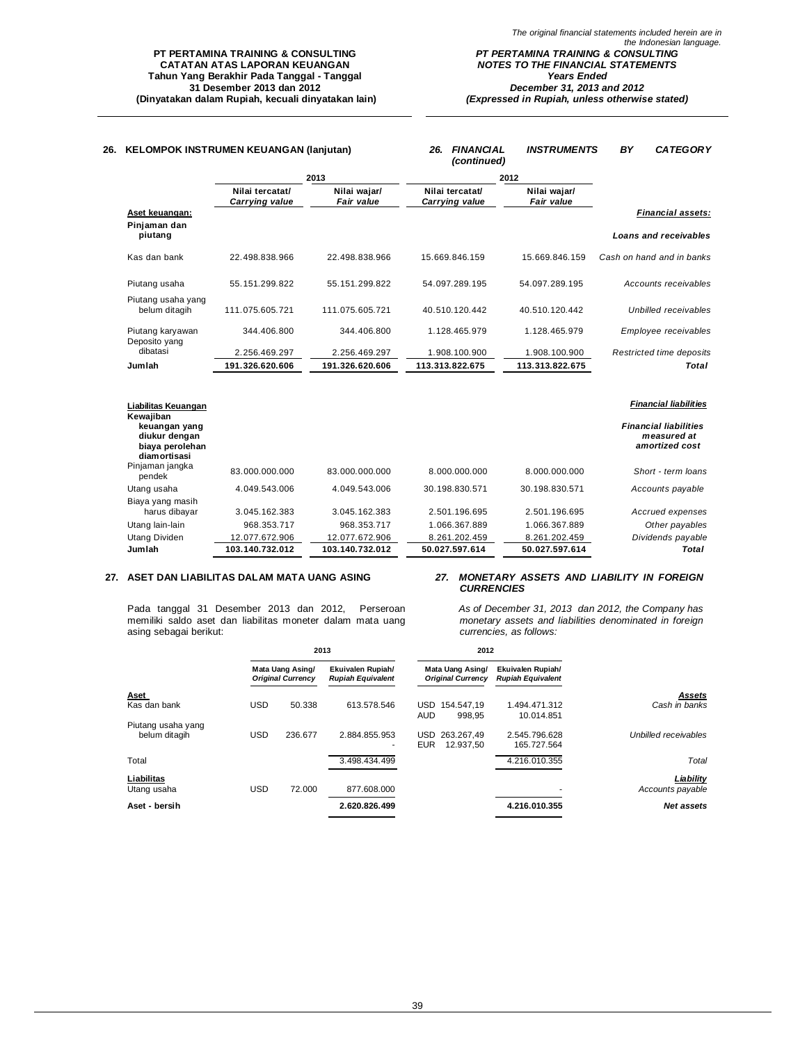| 26. | <b>KELOMPOK INSTRUMEN KEUANGAN (lanjutan)</b>                     |                                   |                                   | <b>FINANCIAL</b><br>26.<br>(continued) | <b>INSTRUMENTS</b>         | BY<br><b>CATEGORY</b>                                         |
|-----|-------------------------------------------------------------------|-----------------------------------|-----------------------------------|----------------------------------------|----------------------------|---------------------------------------------------------------|
|     |                                                                   |                                   | 2013                              |                                        | 2012                       |                                                               |
|     |                                                                   | Nilai tercatat/<br>Carrying value | Nilai wajar/<br><b>Fair value</b> | Nilai tercatat/<br>Carrying value      | Nilai wajar/<br>Fair value |                                                               |
|     | Aset keuangan:                                                    |                                   |                                   |                                        |                            | <b>Financial assets:</b>                                      |
|     | Pinjaman dan<br>piutang                                           |                                   |                                   |                                        |                            | <b>Loans and receivables</b>                                  |
|     | Kas dan bank                                                      | 22.498.838.966                    | 22.498.838.966                    | 15.669.846.159                         | 15.669.846.159             | Cash on hand and in banks                                     |
|     | Piutang usaha                                                     | 55.151.299.822                    | 55.151.299.822                    | 54.097.289.195                         | 54.097.289.195             | Accounts receivables                                          |
|     | Piutang usaha yang<br>belum ditagih                               | 111.075.605.721                   | 111.075.605.721                   | 40.510.120.442                         | 40.510.120.442             | <b>Unbilled receivables</b>                                   |
|     | Piutang karyawan<br>Deposito yang                                 | 344.406.800                       | 344.406.800                       | 1.128.465.979                          | 1.128.465.979              | Employee receivables                                          |
|     | dibatasi                                                          | 2.256.469.297                     | 2.256.469.297                     | 1.908.100.900                          | 1.908.100.900              | Restricted time deposits                                      |
|     | Jumlah                                                            | 191.326.620.606                   | 191.326.620.606                   | 113.313.822.675                        | 113.313.822.675            | <b>Total</b>                                                  |
|     | Liabilitas Keuangan<br>Kewajiban                                  |                                   |                                   |                                        |                            | <b>Financial liabilities</b>                                  |
|     | keuangan yang<br>diukur dengan<br>biaya perolehan<br>diamortisasi |                                   |                                   |                                        |                            | <b>Financial liabilities</b><br>measured at<br>amortized cost |
|     | Pinjaman jangka<br>pendek                                         | 83.000.000.000                    | 83.000.000.000                    | 8.000.000.000                          | 8.000.000.000              | Short - term loans                                            |
|     | Utang usaha                                                       | 4.049.543.006                     | 4.049.543.006                     | 30.198.830.571                         | 30.198.830.571             | Accounts payable                                              |

| diukur dengan<br>biaya perolehan<br>diamortisasi |                 |                 |                |                | measured at<br>amortized cost |
|--------------------------------------------------|-----------------|-----------------|----------------|----------------|-------------------------------|
| Pinjaman jangka<br>pendek                        | 83.000.000.000  | 83.000.000.000  | 8.000.000.000  | 8.000.000.000  | Short - term loans            |
| Utang usaha                                      | 4.049.543.006   | 4.049.543.006   | 30.198.830.571 | 30.198.830.571 | Accounts payable              |
| Biaya yang masih<br>harus dibayar                | 3.045.162.383   | 3.045.162.383   | 2.501.196.695  | 2.501.196.695  | Accrued expenses              |
| Utang lain-lain                                  | 968.353.717     | 968.353.717     | 1.066.367.889  | 1.066.367.889  | Other payables                |
| Utang Dividen                                    | 12.077.672.906  | 12.077.672.906  | 8.261.202.459  | 8.261.202.459  | Dividends payable             |
| Jumlah                                           | 103.140.732.012 | 103.140.732.012 | 50.027.597.614 | 50.027.597.614 | Total                         |

### **27. ASET DAN LIABILITAS DALAM MATA UANG ASING** *27. MONETARY ASSETS AND LIABILITY IN FOREIGN*

Pada tanggal 31 Desember 2013 dan 2012, Perseroan memiliki saldo aset dan liabilitas moneter dalam mata uang asing sebagai berikut:

# *CURRENCIES*

*As of December 31, 2013 dan 2012, the Company has monetary assets and liabilities denominated in foreign currencies, as follows:*

|                                     | 2013       |                                              | 2012                                          |                                                  |                                               |                      |
|-------------------------------------|------------|----------------------------------------------|-----------------------------------------------|--------------------------------------------------|-----------------------------------------------|----------------------|
|                                     |            | Mata Uang Asing/<br><b>Original Currency</b> | Ekuivalen Rupiah/<br><b>Rupiah Equivalent</b> | Mata Uang Asing/<br><b>Original Currency</b>     | Ekuivalen Rupiah/<br><b>Rupiah Equivalent</b> |                      |
| Aset                                |            |                                              |                                               |                                                  |                                               | Assets               |
| Kas dan bank                        | <b>USD</b> | 50.338                                       | 613.578.546                                   | <b>USD</b><br>154.547.19<br><b>AUD</b><br>998.95 | 1.494.471.312<br>10.014.851                   | Cash in banks        |
| Piutang usaha yang<br>belum ditagih | <b>USD</b> | 236.677                                      | 2.884.855.953<br>۰.                           | USD<br>263.267.49<br><b>EUR</b><br>12.937.50     | 2.545.796.628<br>165.727.564                  | Unbilled receivables |
| Total                               |            |                                              | 3.498.434.499                                 |                                                  | 4.216.010.355                                 | Total                |
| Liabilitas                          |            |                                              |                                               |                                                  |                                               | Liability            |
| Utang usaha                         | <b>USD</b> | 72.000                                       | 877.608.000                                   |                                                  |                                               | Accounts payable     |
| Aset - bersih                       |            |                                              | 2.620.826.499                                 |                                                  | 4.216.010.355                                 | Net assets           |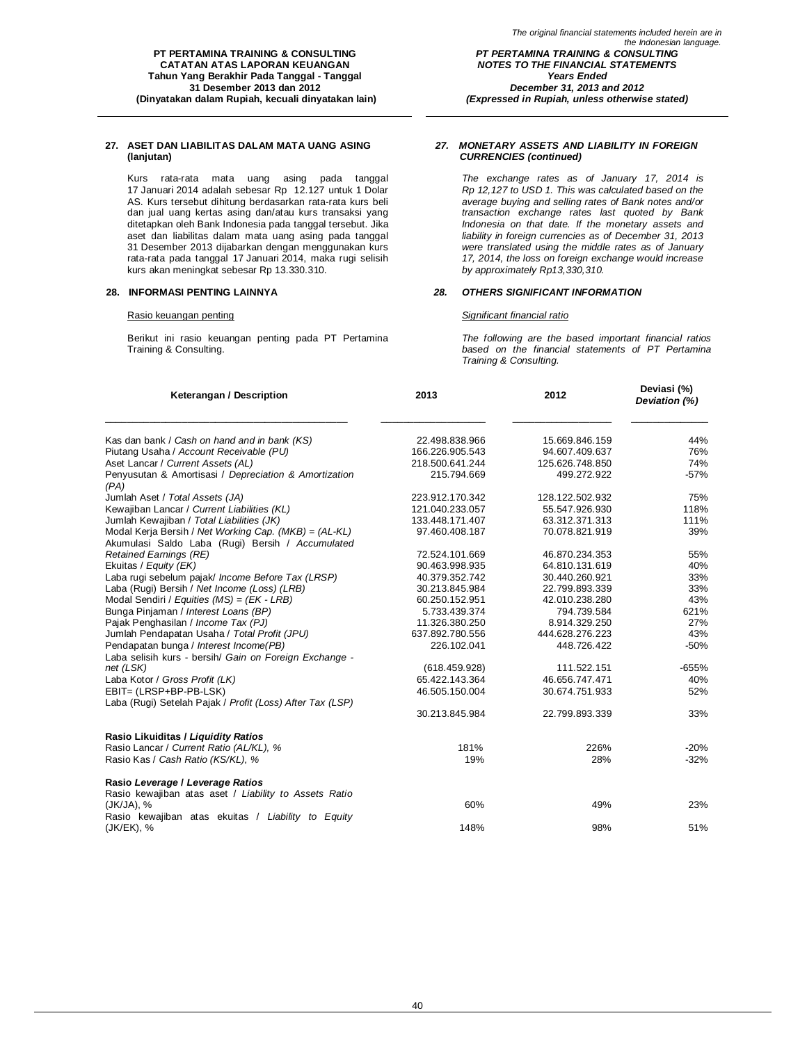Kurs rata-rata mata uang asing pada tanggal 17 Januari 2014 adalah sebesar Rp 12.127 untuk 1 Dolar AS. Kurs tersebut dihitung berdasarkan rata-rata kurs beli dan jual uang kertas asing dan/atau kurs transaksi yang ditetapkan oleh Bank Indonesia pada tanggal tersebut. Jika aset dan liabilitas dalam mata uang asing pada tanggal 31 Desember 2013 dijabarkan dengan menggunakan kurs rata-rata pada tanggal 17 Januari 2014, maka rugi selisih kurs akan meningkat sebesar Rp 13.330.310.

#### Rasio keuangan penting *Significant financial ratio*

Berikut ini rasio keuangan penting pada PT Pertamina Training & Consulting.

#### *27. MONETARY ASSETS AND LIABILITY IN FOREIGN CURRENCIES (continued)*

*(Expressed in Rupiah, unless otherwise stated)*

*The exchange rates as of January 17, 2014 is Rp 12,127 to USD 1. This was calculated based on the average buying and selling rates of Bank notes and/or transaction exchange rates last quoted by Bank Indonesia on that date. If the monetary assets and liability in foreign currencies as of December 31, 2013 were translated using the middle rates as of January 17, 2014, the loss on foreign exchange would increase by approximately Rp13,330,310.*

### **28. INFORMASI PENTING LAINNYA** *28. OTHERS SIGNIFICANT INFORMATION*

*The following are the based important financial ratios based on the financial statements of PT Pertamina Training & Consulting.*

| Keterangan / Description                                                                                  | 2013            | 2012            | Deviasi (%)<br>Deviation (%) |
|-----------------------------------------------------------------------------------------------------------|-----------------|-----------------|------------------------------|
| Kas dan bank / Cash on hand and in bank (KS)                                                              | 22.498.838.966  | 15.669.846.159  | 44%                          |
| Piutang Usaha / Account Receivable (PU)                                                                   | 166.226.905.543 | 94.607.409.637  | 76%                          |
| Aset Lancar / Current Assets (AL)                                                                         | 218.500.641.244 | 125.626.748.850 | 74%                          |
| Penyusutan & Amortisasi / Depreciation & Amortization<br>(PA)                                             | 215.794.669     | 499.272.922     | $-57%$                       |
| Jumlah Aset / Total Assets (JA)                                                                           | 223.912.170.342 | 128.122.502.932 | 75%                          |
| Kewajiban Lancar / Current Liabilities (KL)                                                               | 121.040.233.057 | 55.547.926.930  | 118%                         |
| Jumlah Kewajiban / Total Liabilities (JK)                                                                 | 133.448.171.407 | 63.312.371.313  | 111%                         |
| Modal Kerja Bersih / Net Working Cap. (MKB) = (AL-KL)<br>Akumulasi Saldo Laba (Rugi) Bersih / Accumulated | 97.460.408.187  | 70.078.821.919  | 39%                          |
| <b>Retained Earnings (RE)</b>                                                                             | 72.524.101.669  | 46.870.234.353  | 55%                          |
| Ekuitas / Equity (EK)                                                                                     | 90.463.998.935  | 64.810.131.619  | 40%                          |
| Laba rugi sebelum pajak/ Income Before Tax (LRSP)                                                         | 40.379.352.742  | 30.440.260.921  | 33%                          |
| Laba (Rugi) Bersih / Net Income (Loss) (LRB)                                                              | 30.213.845.984  | 22.799.893.339  | 33%                          |
| Modal Sendiri / Equities (MS) = (EK - LRB)                                                                | 60.250.152.951  | 42.010.238.280  | 43%                          |
| Bunga Pinjaman / Interest Loans (BP)                                                                      | 5.733.439.374   | 794.739.584     | 621%                         |
| Pajak Penghasilan / Income Tax (PJ)                                                                       | 11.326.380.250  | 8.914.329.250   | 27%                          |
| Jumlah Pendapatan Usaha / Total Profit (JPU)                                                              | 637.892.780.556 | 444.628.276.223 | 43%                          |
| Pendapatan bunga / Interest Income(PB)<br>Laba selisih kurs - bersih/ Gain on Foreign Exchange -          | 226.102.041     | 448.726.422     | $-50%$                       |
| net (LSK)                                                                                                 | (618.459.928)   | 111.522.151     | $-655%$                      |
| Laba Kotor / Gross Profit (LK)                                                                            | 65.422.143.364  | 46.656.747.471  | 40%                          |
| EBIT= (LRSP+BP-PB-LSK)<br>Laba (Rugi) Setelah Pajak / Profit (Loss) After Tax (LSP)                       | 46.505.150.004  | 30.674.751.933  | 52%                          |
|                                                                                                           | 30.213.845.984  | 22.799.893.339  | 33%                          |
| Rasio Likuiditas / Liquidity Ratios                                                                       |                 |                 |                              |
| Rasio Lancar / Current Ratio (AL/KL), %                                                                   | 181%            | 226%            | $-20%$                       |
| Rasio Kas / Cash Ratio (KS/KL), %                                                                         | 19%             | 28%             | $-32%$                       |
| Rasio Leverage / Leverage Ratios                                                                          |                 |                 |                              |
| Rasio kewajiban atas aset / Liability to Assets Ratio<br>(JK/JA), %                                       | 60%             | 49%             | 23%                          |
| Rasio kewajiban atas ekuitas / Liability to Equity<br>(JK/EK), %                                          | 148%            | 98%             | 51%                          |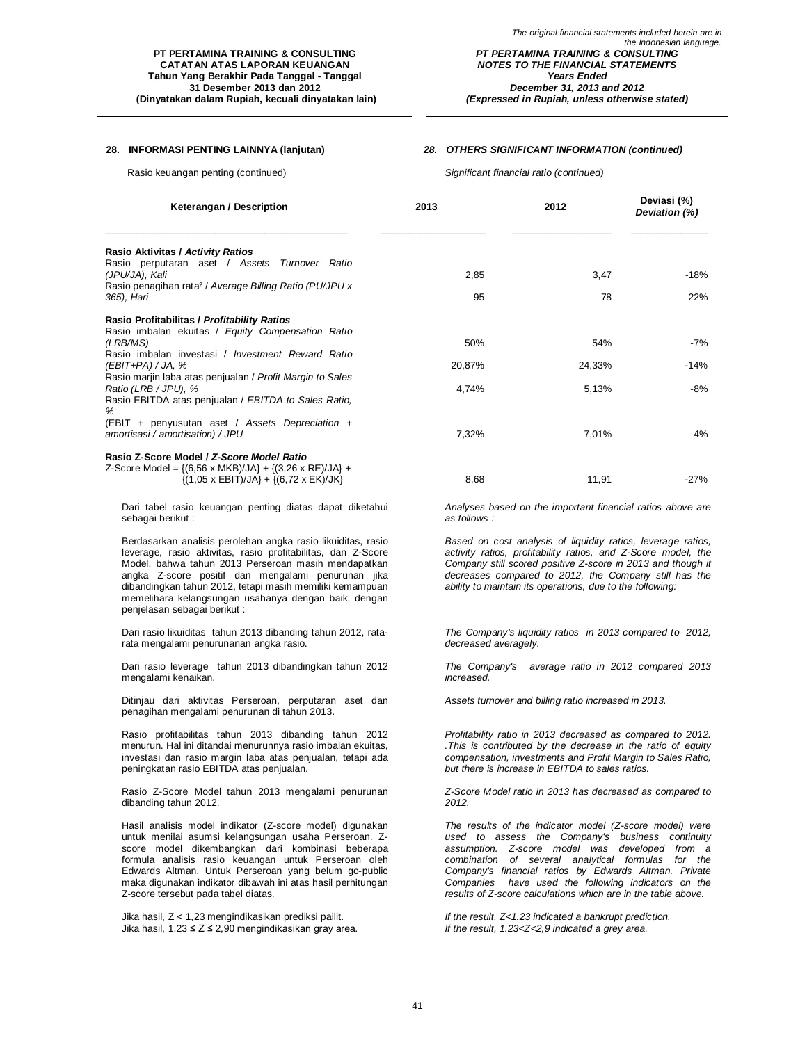*The original financial statements included herein are in the Indonesian language. PT PERTAMINA TRAINING & CONSULTING NOTES TO THE FINANCIAL STATEMENTS Years Ended December 31, 2013 and 2012 (Expressed in Rupiah, unless otherwise stated)*

#### **28. INFORMASI PENTING LAINNYA (lanjutan)** *28. OTHERS SIGNIFICANT INFORMATION (continued)*

Rasio keuangan penting (continued) *Significant financial ratio (continued)*

| Keterangan / Description                                                                                                                      | 2013         | 2012                                                       | Deviasi (%)<br>Deviation (%) |  |
|-----------------------------------------------------------------------------------------------------------------------------------------------|--------------|------------------------------------------------------------|------------------------------|--|
| Rasio Aktivitas / Activity Ratios                                                                                                             |              |                                                            |                              |  |
| Rasio perputaran aset / Assets Turnover Ratio<br>(JPU/JA), Kali                                                                               | 2,85         | 3,47                                                       | $-18%$                       |  |
| Rasio penagihan rata <sup>2</sup> / Average Billing Ratio (PU/JPU x<br>365), Hari                                                             | 95           | 78                                                         | 22%                          |  |
| Rasio Profitabilitas / Profitability Ratios<br>Rasio imbalan ekuitas / Equity Compensation Ratio                                              |              |                                                            |                              |  |
| (LRB/MS)                                                                                                                                      | 50%          | 54%                                                        | $-7%$                        |  |
| Rasio imbalan investasi / Investment Reward Ratio<br>$(EBIT+PA)/JA, %$                                                                        | 20,87%       | 24,33%                                                     | $-14%$                       |  |
| Rasio marjin laba atas penjualan / Profit Margin to Sales<br>Ratio (LRB / JPU), %                                                             | 4,74%        | 5,13%                                                      | $-8%$                        |  |
| Rasio EBITDA atas penjualan / EBITDA to Sales Ratio,<br>%                                                                                     |              |                                                            |                              |  |
| (EBIT + penyusutan aset / Assets Depreciation +<br>amortisasi / amortisation) / JPU                                                           | 7,32%        | 7,01%                                                      | 4%                           |  |
| Rasio Z-Score Model / Z-Score Model Ratio                                                                                                     |              |                                                            |                              |  |
| Z-Score Model = $\{(6,56 \times MKB)/JA\} + \{(3,26 \times RE)/JA\} +$<br>$\{(1,05 \times \text{EBIT})/JA\} + \{(6,72 \times \text{EK})/JK\}$ | 8,68         | 11,91                                                      | $-27%$                       |  |
| Dari tabel rasio keuangan penting diatas dapat diketahui<br>sebagai berikut:                                                                  | as follows : | Analyses based on the important financial ratios above are |                              |  |

Berdasarkan analisis perolehan angka rasio likuiditas, rasio leverage, rasio aktivitas, rasio profitabilitas, dan Z-Score Model, bahwa tahun 2013 Perseroan masih mendapatkan angka Z-score positif dan mengalami penurunan jika dibandingkan tahun 2012, tetapi masih memiliki kemampuan memelihara kelangsungan usahanya dengan baik, dengan penjelasan sebagai berikut :

Dari rasio likuiditas tahun 2013 dibanding tahun 2012, ratarata mengalami penurunanan angka rasio.

Dari rasio leverage tahun 2013 dibandingkan tahun 2012 mengalami kenaikan.

Ditinjau dari aktivitas Perseroan, perputaran aset dan penagihan mengalami penurunan di tahun 2013.

Rasio profitabilitas tahun 2013 dibanding tahun 2012 menurun. Hal ini ditandai menurunnya rasio imbalan ekuitas, investasi dan rasio margin laba atas penjualan, tetapi ada peningkatan rasio EBITDA atas penjualan.

Rasio Z-Score Model tahun 2013 mengalami penurunan dibanding tahun 2012.

Hasil analisis model indikator (Z-score model) digunakan untuk menilai asumsi kelangsungan usaha Perseroan. Zscore model dikembangkan dari kombinasi beberapa formula analisis rasio keuangan untuk Perseroan oleh Edwards Altman. Untuk Perseroan yang belum go-public maka digunakan indikator dibawah ini atas hasil perhitungan Z-score tersebut pada tabel diatas.

Jika hasil, Z < 1,23 mengindikasikan prediksi pailit. *If the result, Z<1.23 indicated a bankrupt prediction.* Jika hasil, 1,23 ≤ Z ≤ 2,90 mengindikasikan gray area. *If the result, 1.23<Z<2,9 indicated a grey area.*

*Profitability ratio in 2013 decreased as compared to 2012. .This is contributed by the decrease in the ratio of equity compensation, investments and Profit Margin to Sales Ratio,* 

*Based on cost analysis of liquidity ratios, leverage ratios, activity ratios, profitability ratios, and Z-Score model, the Company still scored positive Z-score in 2013 and though it decreases compared to 2012, the Company still has the ability to maintain its operations, due to the following:*

*The Company's liquidity ratios in 2013 compared to 2012,* 

*The Company's average ratio in 2012 compared 2013*

*Assets turnover and billing ratio increased in 2013.*

*but there is increase in EBITDA to sales ratios.*

*decreased averagely.*

*increased.*

*Z-Score Model ratio in 2013 has decreased as compared to 2012.*

*The results of the indicator model (Z-score model) were used to assess the Company's business continuity assumption. Z-score model was developed from a combination of several analytical formulas for the Company's financial ratios by Edwards Altman. Private Companies have used the following indicators on the results of Z-score calculations which are in the table above.*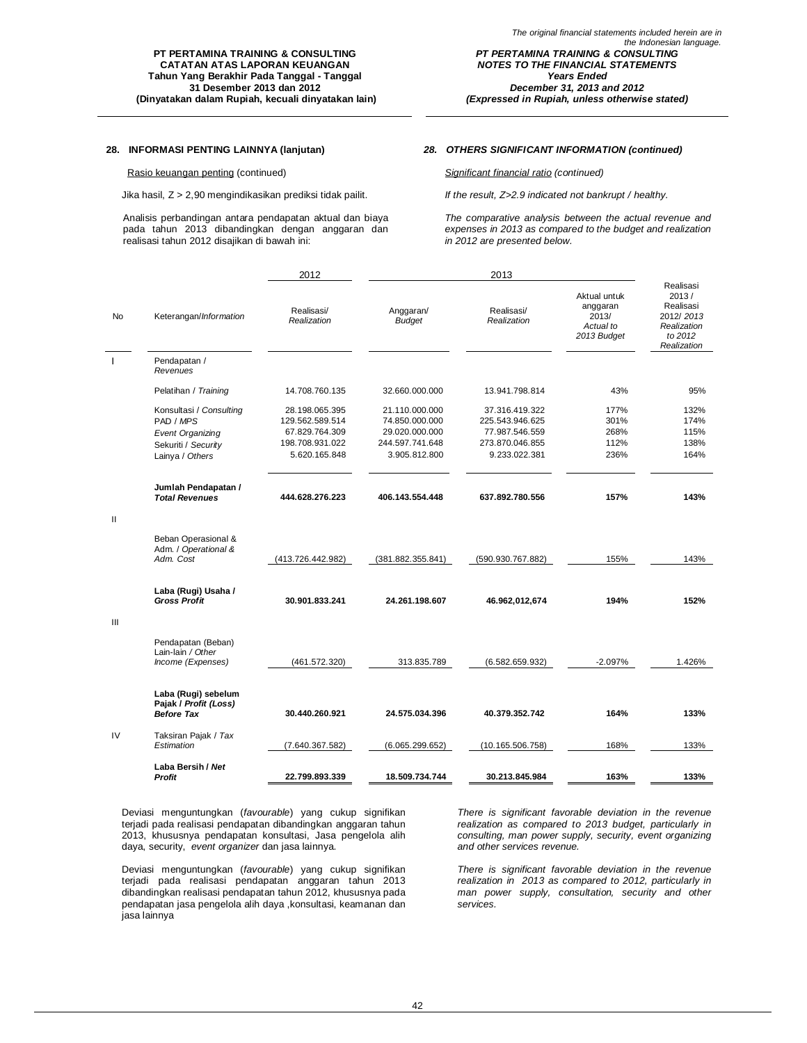### Rasio keuangan penting (continued) *Significant financial ratio (continued)*

Jika hasil, Z > 2,90 mengindikasikan prediksi tidak pailit. *If the result, Z>2.9 indicated not bankrupt / healthy.*

Analisis perbandingan antara pendapatan aktual dan biaya pada tahun 2013 dibandingkan dengan anggaran dan realisasi tahun 2012 disajikan di bawah ini:

### **28. INFORMASI PENTING LAINNYA (lanjutan)** *28. OTHERS SIGNIFICANT INFORMATION (continued)*

*The comparative analysis between the actual revenue and expenses in 2013 as compared to the budget and realization in 2012 are presented below.*

|                |                                                                                                           | 2012                                                                                    | 2013                                                                                   |                                                                                         |                                                               |                                                                                       |
|----------------|-----------------------------------------------------------------------------------------------------------|-----------------------------------------------------------------------------------------|----------------------------------------------------------------------------------------|-----------------------------------------------------------------------------------------|---------------------------------------------------------------|---------------------------------------------------------------------------------------|
| <b>No</b>      | Keterangan/Information                                                                                    | Realisasi/<br>Realization                                                               | Anggaran/<br><b>Budget</b>                                                             | Realisasi/<br>Realization                                                               | Aktual untuk<br>anggaran<br>2013/<br>Actual to<br>2013 Budget | Realisasi<br>2013/<br>Realisasi<br>2012/2013<br>Realization<br>to 2012<br>Realization |
|                | Pendapatan /<br>Revenues                                                                                  |                                                                                         |                                                                                        |                                                                                         |                                                               |                                                                                       |
|                | Pelatihan / Training                                                                                      | 14.708.760.135                                                                          | 32.660.000.000                                                                         | 13.941.798.814                                                                          | 43%                                                           | 95%                                                                                   |
|                | Konsultasi / Consulting<br>PAD / MPS<br><b>Event Organizing</b><br>Sekuriti / Security<br>Lainya / Others | 28.198.065.395<br>129.562.589.514<br>67.829.764.309<br>198.708.931.022<br>5.620.165.848 | 21.110.000.000<br>74.850.000.000<br>29.020.000.000<br>244.597.741.648<br>3.905.812.800 | 37.316.419.322<br>225.543.946.625<br>77.987.546.559<br>273.870.046.855<br>9.233.022.381 | 177%<br>301%<br>268%<br>112%<br>236%                          | 132%<br>174%<br>115%<br>138%<br>164%                                                  |
| $\mathbf{H}$   | Jumlah Pendapatan /<br><b>Total Revenues</b>                                                              | 444.628.276.223                                                                         | 406.143.554.448                                                                        | 637.892.780.556                                                                         | 157%                                                          | 143%                                                                                  |
|                | Beban Operasional &<br>Adm. / Operational &<br>Adm. Cost                                                  | (413.726.442.982)                                                                       | (381.882.355.841)                                                                      | (590.930.767.882)                                                                       | 155%                                                          | 143%                                                                                  |
| $\mathsf{III}$ | Laba (Rugi) Usaha /<br><b>Gross Profit</b>                                                                | 30.901.833.241                                                                          | 24.261.198.607                                                                         | 46.962,012,674                                                                          | 194%                                                          | 152%                                                                                  |
|                | Pendapatan (Beban)<br>Lain-lain / Other<br>Income (Expenses)                                              | (461.572.320)                                                                           | 313.835.789                                                                            | (6.582.659.932)                                                                         | $-2.097%$                                                     | 1.426%                                                                                |
|                | Laba (Rugi) sebelum<br>Pajak / Profit (Loss)<br><b>Before Tax</b>                                         | 30.440.260.921                                                                          | 24.575.034.396                                                                         | 40.379.352.742                                                                          | 164%                                                          | 133%                                                                                  |
| IV             | Taksiran Pajak / Tax<br>Estimation                                                                        | (7.640.367.582)                                                                         | (6.065.299.652)                                                                        | (10.165.506.758)                                                                        | 168%                                                          | 133%                                                                                  |
|                | Laba Bersih / Net<br>Profit                                                                               | 22.799.893.339                                                                          | 18.509.734.744                                                                         | 30.213.845.984                                                                          | 163%                                                          | 133%                                                                                  |

Deviasi menguntungkan (*favourable*) yang cukup signifikan terjadi pada realisasi pendapatan dibandingkan anggaran tahun 2013, khususnya pendapatan konsultasi, Jasa pengelola alih daya, security, *event organizer* dan jasa lainnya.

Deviasi menguntungkan (*favourable*) yang cukup signifikan terjadi pada realisasi pendapatan anggaran tahun 2013 dibandingkan realisasi pendapatan tahun 2012, khususnya pada pendapatan jasa pengelola alih daya ,konsultasi, keamanan dan jasa lainnya

*There is significant favorable deviation in the revenue realization as compared to 2013 budget, particularly in consulting, man power supply, security, event organizing and other services revenue.*

*There is significant favorable deviation in the revenue realization in 2013 as compared to 2012, particularly in man power supply, consultation, security and other services.*